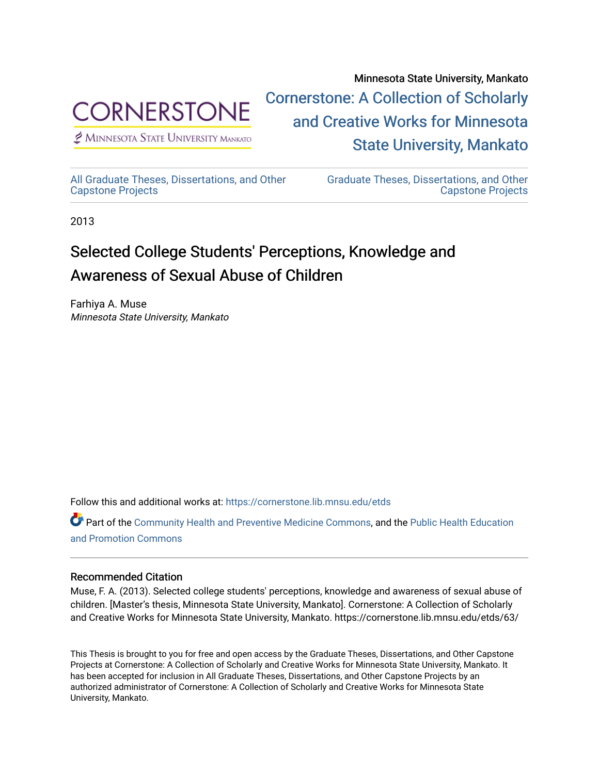

 $<sup>2</sup>$  Minnesota State University Mankato</sup>

Minnesota State University, Mankato [Cornerstone: A Collection of Scholarly](https://cornerstone.lib.mnsu.edu/)  [and Creative Works for Minnesota](https://cornerstone.lib.mnsu.edu/)  [State University, Mankato](https://cornerstone.lib.mnsu.edu/) 

[All Graduate Theses, Dissertations, and Other](https://cornerstone.lib.mnsu.edu/etds)  [Capstone Projects](https://cornerstone.lib.mnsu.edu/etds) 

[Graduate Theses, Dissertations, and Other](https://cornerstone.lib.mnsu.edu/theses_dissertations-capstone)  [Capstone Projects](https://cornerstone.lib.mnsu.edu/theses_dissertations-capstone) 

2013

## Selected College Students' Perceptions, Knowledge and Awareness of Sexual Abuse of Children

Farhiya A. Muse Minnesota State University, Mankato

Follow this and additional works at: [https://cornerstone.lib.mnsu.edu/etds](https://cornerstone.lib.mnsu.edu/etds?utm_source=cornerstone.lib.mnsu.edu%2Fetds%2F63&utm_medium=PDF&utm_campaign=PDFCoverPages) 

Part of the [Community Health and Preventive Medicine Commons](http://network.bepress.com/hgg/discipline/744?utm_source=cornerstone.lib.mnsu.edu%2Fetds%2F63&utm_medium=PDF&utm_campaign=PDFCoverPages), and the [Public Health Education](http://network.bepress.com/hgg/discipline/743?utm_source=cornerstone.lib.mnsu.edu%2Fetds%2F63&utm_medium=PDF&utm_campaign=PDFCoverPages) [and Promotion Commons](http://network.bepress.com/hgg/discipline/743?utm_source=cornerstone.lib.mnsu.edu%2Fetds%2F63&utm_medium=PDF&utm_campaign=PDFCoverPages)

#### Recommended Citation

Muse, F. A. (2013). Selected college students' perceptions, knowledge and awareness of sexual abuse of children. [Master's thesis, Minnesota State University, Mankato]. Cornerstone: A Collection of Scholarly and Creative Works for Minnesota State University, Mankato. https://cornerstone.lib.mnsu.edu/etds/63/

This Thesis is brought to you for free and open access by the Graduate Theses, Dissertations, and Other Capstone Projects at Cornerstone: A Collection of Scholarly and Creative Works for Minnesota State University, Mankato. It has been accepted for inclusion in All Graduate Theses, Dissertations, and Other Capstone Projects by an authorized administrator of Cornerstone: A Collection of Scholarly and Creative Works for Minnesota State University, Mankato.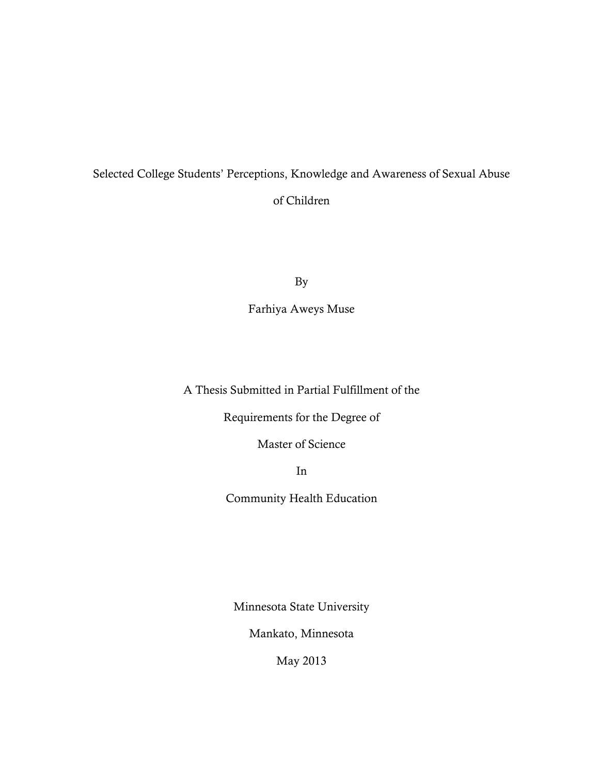## Selected College Students' Perceptions, Knowledge and Awareness of Sexual Abuse of Children

By

Farhiya Aweys Muse

A Thesis Submitted in Partial Fulfillment of the

Requirements for the Degree of

Master of Science

In

Community Health Education

Minnesota State University

Mankato, Minnesota

May 2013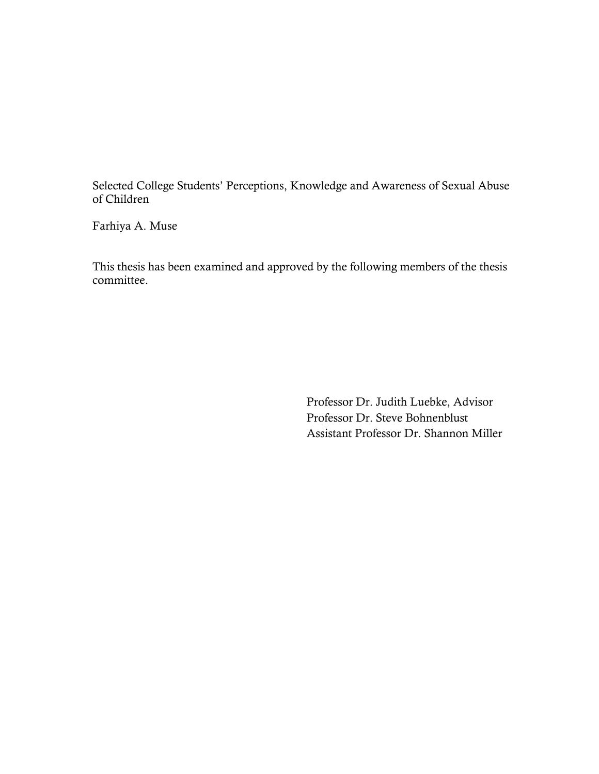Selected College Students' Perceptions, Knowledge and Awareness of Sexual Abuse of Children

Farhiya A. Muse

This thesis has been examined and approved by the following members of the thesis committee.

> Professor Dr. Judith Luebke, Advisor Professor Dr. Steve Bohnenblust Assistant Professor Dr. Shannon Miller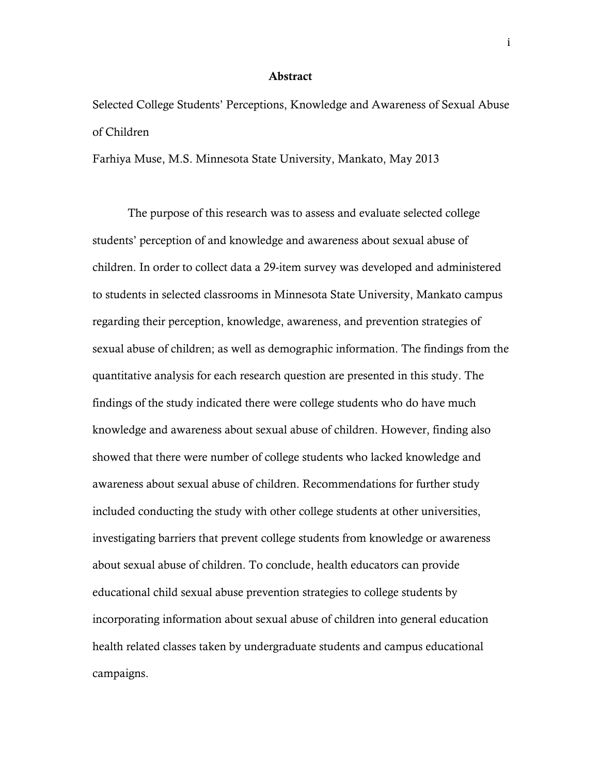#### Abstract

Selected College Students' Perceptions, Knowledge and Awareness of Sexual Abuse of Children

Farhiya Muse, M.S. Minnesota State University, Mankato, May 2013

The purpose of this research was to assess and evaluate selected college students' perception of and knowledge and awareness about sexual abuse of children. In order to collect data a 29-item survey was developed and administered to students in selected classrooms in Minnesota State University, Mankato campus regarding their perception, knowledge, awareness, and prevention strategies of sexual abuse of children; as well as demographic information. The findings from the quantitative analysis for each research question are presented in this study. The findings of the study indicated there were college students who do have much knowledge and awareness about sexual abuse of children. However, finding also showed that there were number of college students who lacked knowledge and awareness about sexual abuse of children. Recommendations for further study included conducting the study with other college students at other universities, investigating barriers that prevent college students from knowledge or awareness about sexual abuse of children. To conclude, health educators can provide educational child sexual abuse prevention strategies to college students by incorporating information about sexual abuse of children into general education health related classes taken by undergraduate students and campus educational campaigns.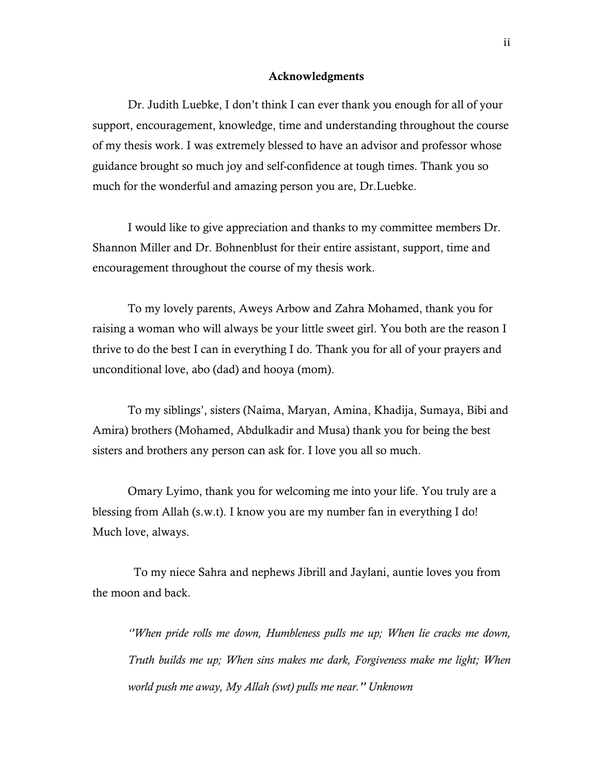#### Acknowledgments

Dr. Judith Luebke, I don't think I can ever thank you enough for all of your support, encouragement, knowledge, time and understanding throughout the course of my thesis work. I was extremely blessed to have an advisor and professor whose guidance brought so much joy and self-confidence at tough times. Thank you so much for the wonderful and amazing person you are, Dr.Luebke.

I would like to give appreciation and thanks to my committee members Dr. Shannon Miller and Dr. Bohnenblust for their entire assistant, support, time and encouragement throughout the course of my thesis work.

To my lovely parents, Aweys Arbow and Zahra Mohamed, thank you for raising a woman who will always be your little sweet girl. You both are the reason I thrive to do the best I can in everything I do. Thank you for all of your prayers and unconditional love, abo (dad) and hooya (mom).

To my siblings', sisters (Naima, Maryan, Amina, Khadija, Sumaya, Bibi and Amira) brothers (Mohamed, Abdulkadir and Musa) thank you for being the best sisters and brothers any person can ask for. I love you all so much.

Omary Lyimo, thank you for welcoming me into your life. You truly are a blessing from Allah (s.w.t). I know you are my number fan in everything I do! Much love, always.

 To my niece Sahra and nephews Jibrill and Jaylani, auntie loves you from the moon and back.

*''When pride rolls me down, Humbleness pulls me up; When lie cracks me down, Truth builds me up; When sins makes me dark, Forgiveness make me light; When world push me away, My Allah (swt) pulls me near.'' Unknown*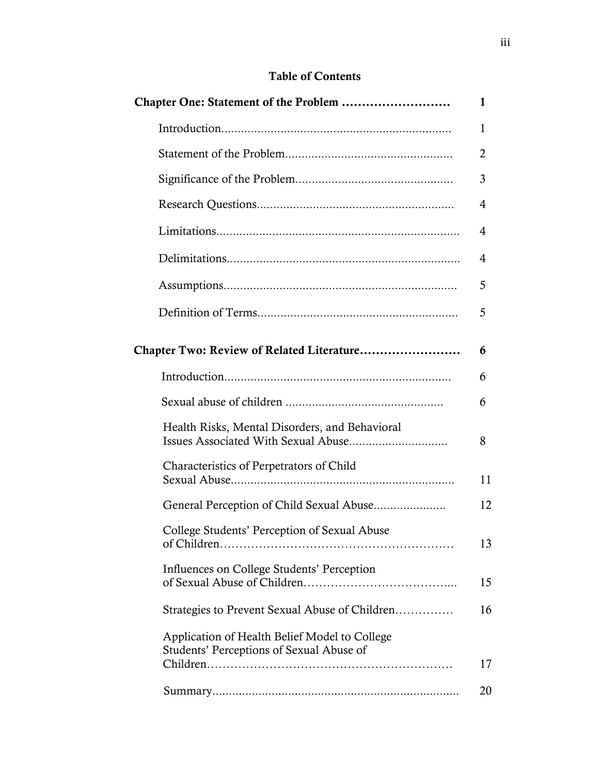## Table of Contents

|                                                                                           | 1  |
|-------------------------------------------------------------------------------------------|----|
|                                                                                           | 1  |
|                                                                                           | 2  |
|                                                                                           | 3  |
|                                                                                           | 4  |
|                                                                                           | 4  |
|                                                                                           | 4  |
|                                                                                           | 5  |
|                                                                                           | 5  |
| Chapter Two: Review of Related Literature                                                 | 6  |
|                                                                                           | 6  |
|                                                                                           | 6  |
| Health Risks, Mental Disorders, and Behavioral                                            | 8  |
| Characteristics of Perpetrators of Child                                                  | 11 |
|                                                                                           | 12 |
| College Students' Perception of Sexual Abuse                                              | 13 |
| Influences on College Students' Perception                                                | 15 |
| Strategies to Prevent Sexual Abuse of Children                                            | 16 |
| Application of Health Belief Model to College<br>Students' Perceptions of Sexual Abuse of |    |
|                                                                                           | 17 |
|                                                                                           | 20 |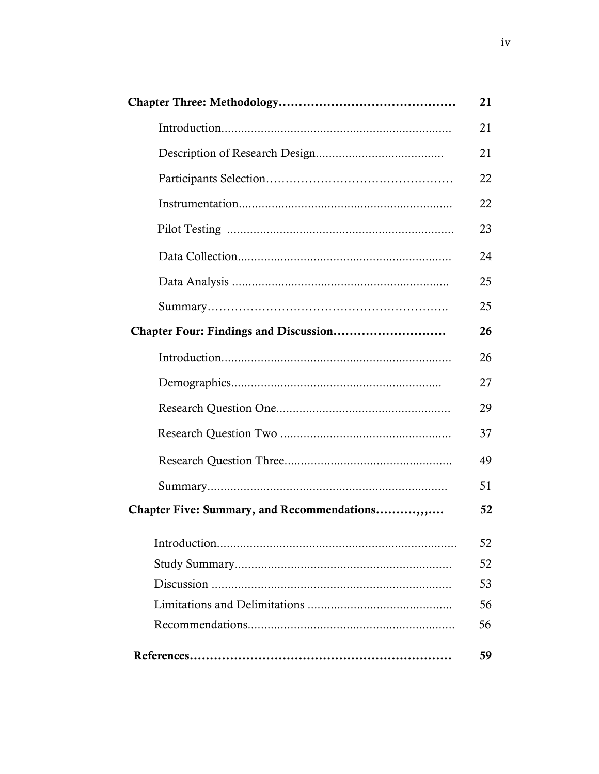|                                               | 21 |
|-----------------------------------------------|----|
|                                               | 21 |
|                                               | 21 |
|                                               | 22 |
|                                               | 22 |
|                                               | 23 |
|                                               | 24 |
|                                               | 25 |
|                                               | 25 |
|                                               | 26 |
|                                               | 26 |
|                                               | 27 |
|                                               | 29 |
|                                               | 37 |
|                                               | 49 |
|                                               | 51 |
| Chapter Five: Summary, and Recommendations,,, | 52 |
|                                               | 52 |
|                                               | 52 |
|                                               | 53 |
|                                               | 56 |
|                                               | 56 |
|                                               | 59 |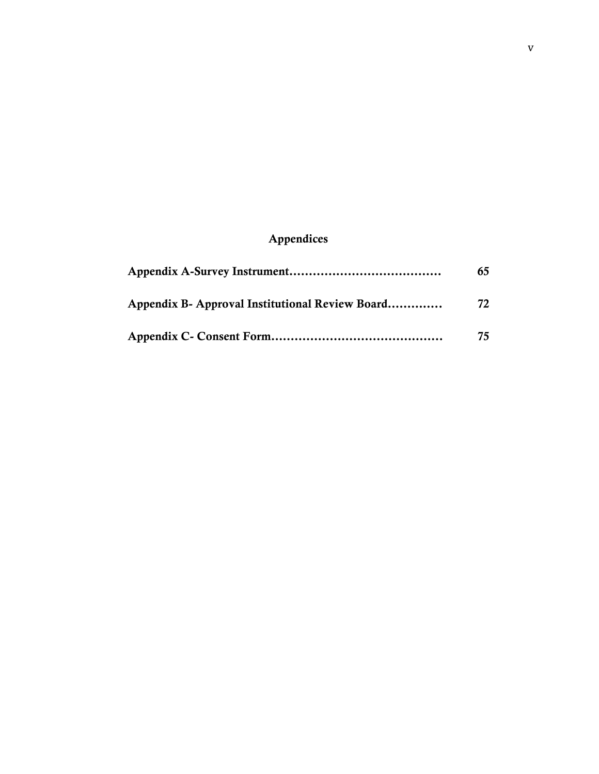## Appendices

|                                                 | 65  |
|-------------------------------------------------|-----|
| Appendix B- Approval Institutional Review Board | 72  |
|                                                 | 75. |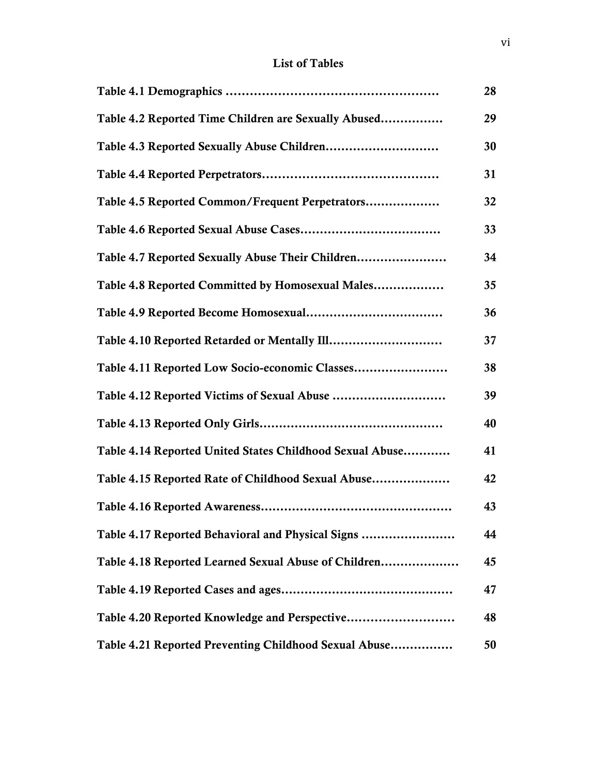## List of Tables

|                                                          | 28 |
|----------------------------------------------------------|----|
| Table 4.2 Reported Time Children are Sexually Abused     | 29 |
|                                                          | 30 |
|                                                          | 31 |
| Table 4.5 Reported Common/Frequent Perpetrators          | 32 |
|                                                          | 33 |
| Table 4.7 Reported Sexually Abuse Their Children         | 34 |
| Table 4.8 Reported Committed by Homosexual Males         | 35 |
|                                                          | 36 |
|                                                          | 37 |
| Table 4.11 Reported Low Socio-economic Classes           | 38 |
|                                                          | 39 |
|                                                          | 40 |
| Table 4.14 Reported United States Childhood Sexual Abuse | 41 |
| Table 4.15 Reported Rate of Childhood Sexual Abuse       | 42 |
|                                                          | 43 |
| Table 4.17 Reported Behavioral and Physical Signs        | 44 |
| Table 4.18 Reported Learned Sexual Abuse of Children     | 45 |
|                                                          | 47 |
|                                                          | 48 |
| Table 4.21 Reported Preventing Childhood Sexual Abuse    | 50 |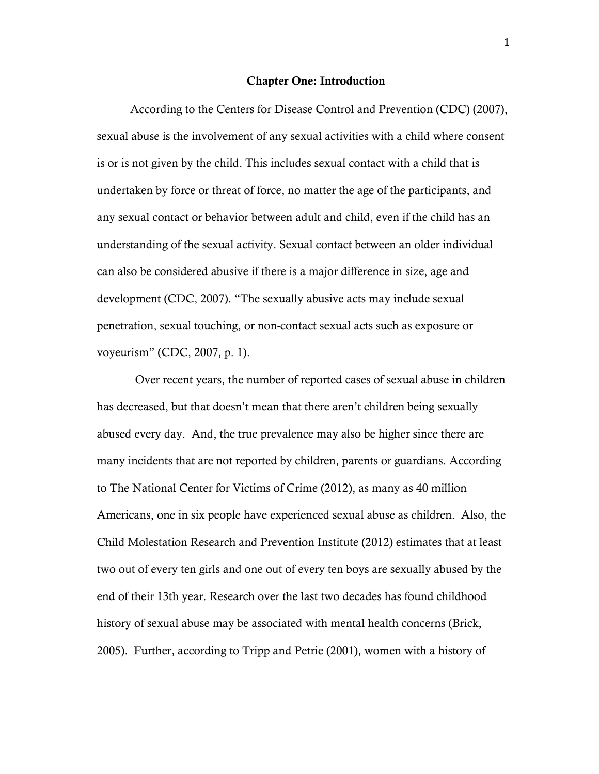#### Chapter One: Introduction

 According to the Centers for Disease Control and Prevention (CDC) (2007), sexual abuse is the involvement of any sexual activities with a child where consent is or is not given by the child. This includes sexual contact with a child that is undertaken by force or threat of force, no matter the age of the participants, and any sexual contact or behavior between adult and child, even if the child has an understanding of the sexual activity. Sexual contact between an older individual can also be considered abusive if there is a major difference in size, age and development (CDC, 2007). "The sexually abusive acts may include sexual penetration, sexual touching, or non-contact sexual acts such as exposure or voyeurism" (CDC, 2007, p. 1).

 Over recent years, the number of reported cases of sexual abuse in children has decreased, but that doesn't mean that there aren't children being sexually abused every day. And, the true prevalence may also be higher since there are many incidents that are not reported by children, parents or guardians. According to The National Center for Victims of Crime (2012), as many as 40 million Americans, one in six people have experienced sexual abuse as children. Also, the Child Molestation Research and Prevention Institute (2012) estimates that at least two out of every ten girls and one out of every ten boys are sexually abused by the end of their 13th year. Research over the last two decades has found childhood history of sexual abuse may be associated with mental health concerns (Brick, 2005). Further, according to Tripp and Petrie (2001), women with a history of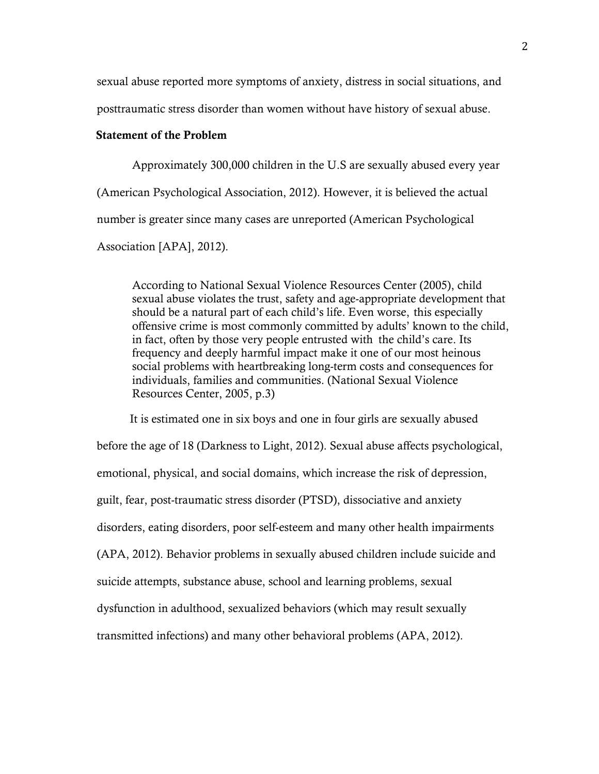sexual abuse reported more symptoms of anxiety, distress in social situations, and

posttraumatic stress disorder than women without have history of sexual abuse.

## Statement of the Problem

Approximately 300,000 children in the U.S are sexually abused every year (American Psychological Association, 2012). However, it is believed the actual number is greater since many cases are unreported (American Psychological Association [APA], 2012).

According to National Sexual Violence Resources Center (2005), child sexual abuse violates the trust, safety and age-appropriate development that should be a natural part of each child's life. Even worse, this especially offensive crime is most commonly committed by adults' known to the child, in fact, often by those very people entrusted with the child's care. Its frequency and deeply harmful impact make it one of our most heinous social problems with heartbreaking long-term costs and consequences for individuals, families and communities. (National Sexual Violence Resources Center, 2005, p.3)

 It is estimated one in six boys and one in four girls are sexually abused before the age of 18 (Darkness to Light, 2012). Sexual abuse affects psychological, emotional, physical, and social domains, which increase the risk of depression, guilt, fear, post-traumatic stress disorder (PTSD), dissociative and anxiety disorders, eating disorders, poor self-esteem and many other health impairments (APA, 2012). Behavior problems in sexually abused children include suicide and suicide attempts, substance abuse, school and learning problems, sexual dysfunction in adulthood, sexualized behaviors (which may result sexually transmitted infections) and many other behavioral problems (APA, 2012).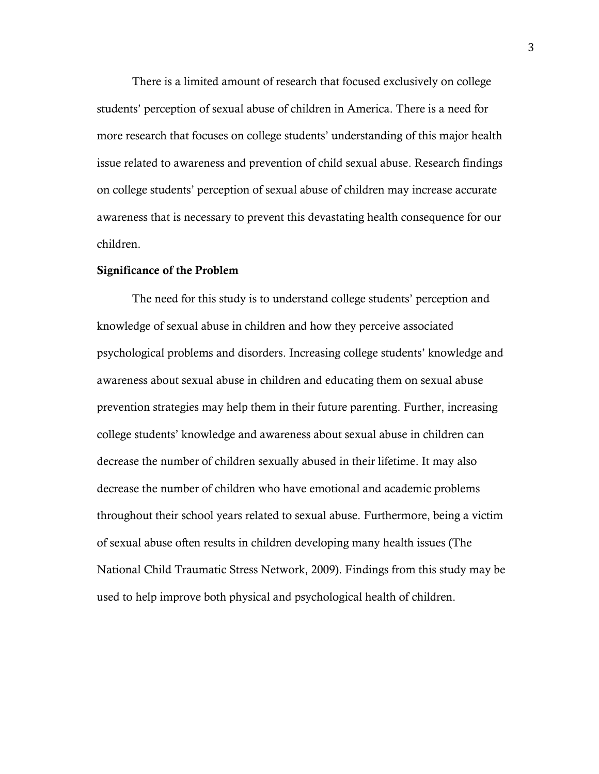There is a limited amount of research that focused exclusively on college students' perception of sexual abuse of children in America. There is a need for more research that focuses on college students' understanding of this major health issue related to awareness and prevention of child sexual abuse. Research findings on college students' perception of sexual abuse of children may increase accurate awareness that is necessary to prevent this devastating health consequence for our children.

#### Significance of the Problem

The need for this study is to understand college students' perception and knowledge of sexual abuse in children and how they perceive associated psychological problems and disorders. Increasing college students' knowledge and awareness about sexual abuse in children and educating them on sexual abuse prevention strategies may help them in their future parenting. Further, increasing college students' knowledge and awareness about sexual abuse in children can decrease the number of children sexually abused in their lifetime. It may also decrease the number of children who have emotional and academic problems throughout their school years related to sexual abuse. Furthermore, being a victim of sexual abuse often results in children developing many health issues (The National Child Traumatic Stress Network, 2009). Findings from this study may be used to help improve both physical and psychological health of children.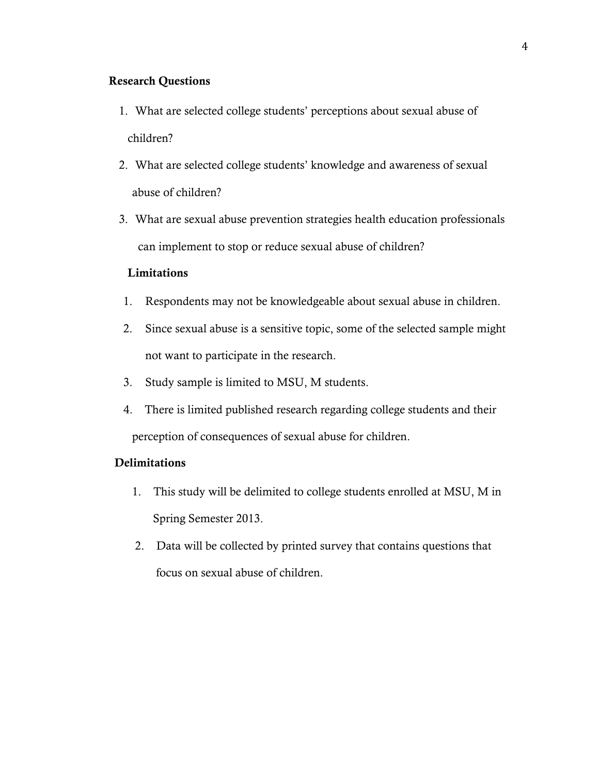## Research Questions

- 1. What are selected college students' perceptions about sexual abuse of children?
- 2. What are selected college students' knowledge and awareness of sexual abuse of children?
- 3. What are sexual abuse prevention strategies health education professionals can implement to stop or reduce sexual abuse of children?

## Limitations

- 1. Respondents may not be knowledgeable about sexual abuse in children.
- 2. Since sexual abuse is a sensitive topic, some of the selected sample might not want to participate in the research.
- 3. Study sample is limited to MSU, M students.
- 4. There is limited published research regarding college students and their perception of consequences of sexual abuse for children.

#### **Delimitations**

- 1. This study will be delimited to college students enrolled at MSU, M in Spring Semester 2013.
- 2. Data will be collected by printed survey that contains questions that focus on sexual abuse of children.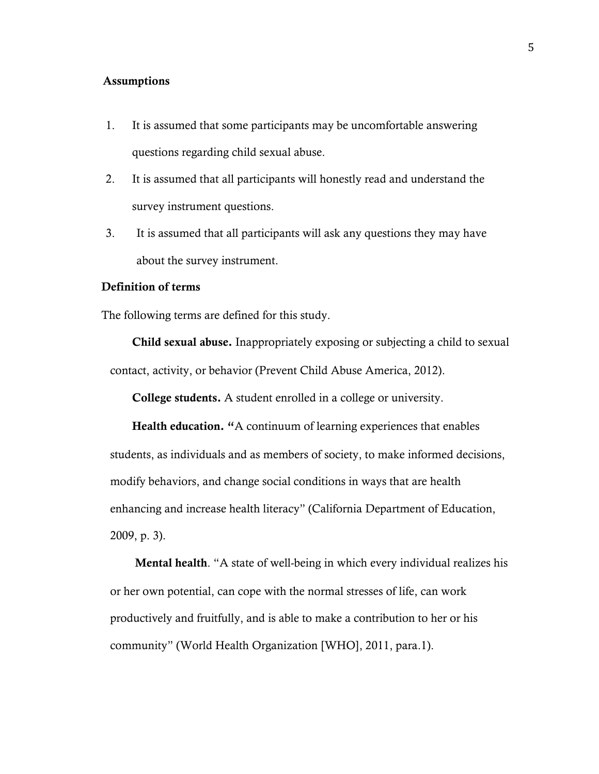## Assumptions

- 1. It is assumed that some participants may be uncomfortable answering questions regarding child sexual abuse.
- 2. It is assumed that all participants will honestly read and understand the survey instrument questions.
- 3. It is assumed that all participants will ask any questions they may have about the survey instrument.

### Definition of terms

The following terms are defined for this study.

Child sexual abuse. Inappropriately exposing or subjecting a child to sexual contact, activity, or behavior (Prevent Child Abuse America, 2012).

College students. A student enrolled in a college or university.

Health education. "A continuum of learning experiences that enables students, as individuals and as members of society, to make informed decisions, modify behaviors, and change social conditions in ways that are health enhancing and increase health literacy" (California Department of Education, 2009, p. 3).

Mental health. "A state of well-being in which every individual realizes his or her own potential, can cope with the normal stresses of life, can work productively and fruitfully, and is able to make a contribution to her or his community" (World Health Organization [WHO], 2011, para.1).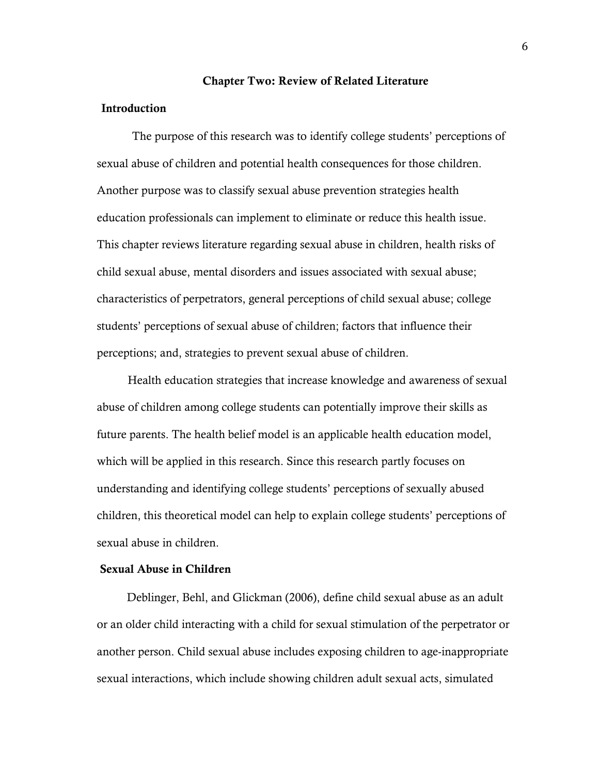#### Chapter Two: Review of Related Literature

#### Introduction

The purpose of this research was to identify college students' perceptions of sexual abuse of children and potential health consequences for those children. Another purpose was to classify sexual abuse prevention strategies health education professionals can implement to eliminate or reduce this health issue. This chapter reviews literature regarding sexual abuse in children, health risks of child sexual abuse, mental disorders and issues associated with sexual abuse; characteristics of perpetrators, general perceptions of child sexual abuse; college students' perceptions of sexual abuse of children; factors that influence their perceptions; and, strategies to prevent sexual abuse of children.

Health education strategies that increase knowledge and awareness of sexual abuse of children among college students can potentially improve their skills as future parents. The health belief model is an applicable health education model, which will be applied in this research. Since this research partly focuses on understanding and identifying college students' perceptions of sexually abused children, this theoretical model can help to explain college students' perceptions of sexual abuse in children.

#### Sexual Abuse in Children

 Deblinger, Behl, and Glickman (2006), define child sexual abuse as an adult or an older child interacting with a child for sexual stimulation of the perpetrator or another person. Child sexual abuse includes exposing children to age-inappropriate sexual interactions, which include showing children adult sexual acts, simulated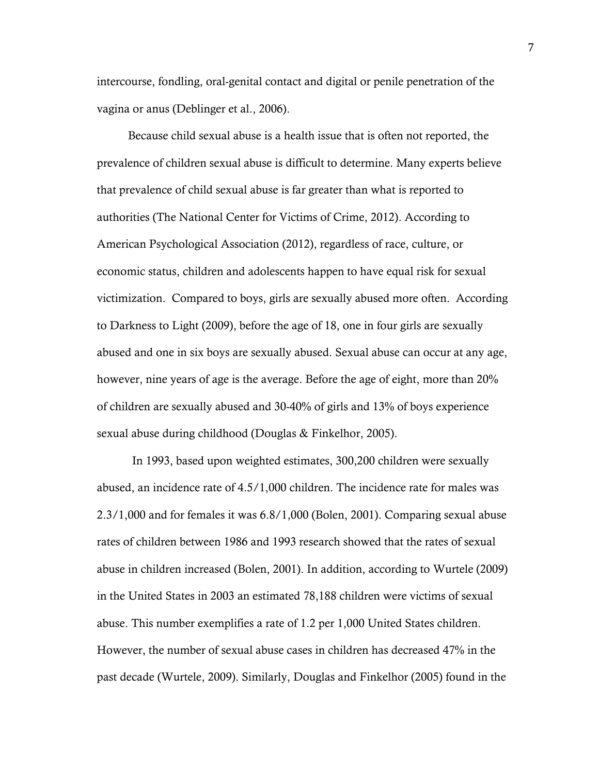intercourse, fondling, oral-genital contact and digital or penile penetration of the vagina or anus (Deblinger et al., 2006).

Because child sexual abuse is a health issue that is often not reported, the prevalence of children sexual abuse is difficult to determine. Many experts believe that prevalence of child sexual abuse is far greater than what is reported to authorities (The National Center for Victims of Crime, 2012). According to American Psychological Association (2012), regardless of race, culture, or economic status, children and adolescents happen to have equal risk for sexual victimization. Compared to boys, girls are sexually abused more often. According to Darkness to Light (2009), before the age of 18, one in four girls are sexually abused and one in six boys are sexually abused. Sexual abuse can occur at any age, however, nine years of age is the average. Before the age of eight, more than 20% of children are sexually abused and 30-40% of girls and 13% of boys experience sexual abuse during childhood (Douglas & Finkelhor, 2005).

In 1993, based upon weighted estimates, 300,200 children were sexually abused, an incidence rate of 4.5/1,000 children. The incidence rate for males was 2.3/1,000 and for females it was 6.8/1,000 (Bolen, 2001). Comparing sexual abuse rates of children between 1986 and 1993 research showed that the rates of sexual abuse in children increased (Bolen, 2001). In addition, according to Wurtele (2009) in the United States in 2003 an estimated 78,188 children were victims of sexual abuse. This number exemplifies a rate of 1.2 per 1,000 United States children. However, the number of sexual abuse cases in children has decreased 47% in the past decade (Wurtele, 2009). Similarly, Douglas and Finkelhor (2005) found in the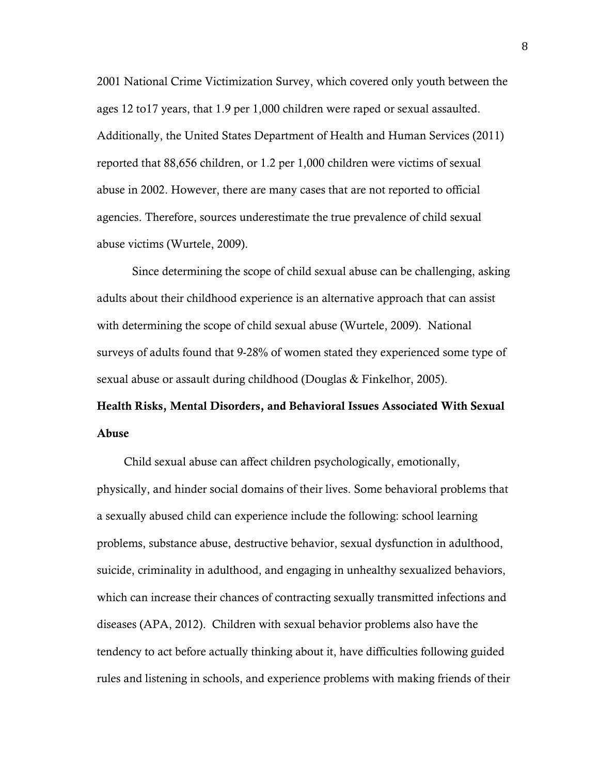2001 National Crime Victimization Survey, which covered only youth between the ages 12 to17 years, that 1.9 per 1,000 children were raped or sexual assaulted. Additionally, the United States Department of Health and Human Services (2011) reported that 88,656 children, or 1.2 per 1,000 children were victims of sexual abuse in 2002. However, there are many cases that are not reported to official agencies. Therefore, sources underestimate the true prevalence of child sexual abuse victims (Wurtele, 2009).

Since determining the scope of child sexual abuse can be challenging, asking adults about their childhood experience is an alternative approach that can assist with determining the scope of child sexual abuse (Wurtele, 2009). National surveys of adults found that 9-28% of women stated they experienced some type of sexual abuse or assault during childhood (Douglas & Finkelhor, 2005).

# Health Risks, Mental Disorders, and Behavioral Issues Associated With Sexual Abuse

 Child sexual abuse can affect children psychologically, emotionally, physically, and hinder social domains of their lives. Some behavioral problems that a sexually abused child can experience include the following: school learning problems, substance abuse, destructive behavior, sexual dysfunction in adulthood, suicide, criminality in adulthood, and engaging in unhealthy sexualized behaviors, which can increase their chances of contracting sexually transmitted infections and diseases (APA, 2012). Children with sexual behavior problems also have the tendency to act before actually thinking about it, have difficulties following guided rules and listening in schools, and experience problems with making friends of their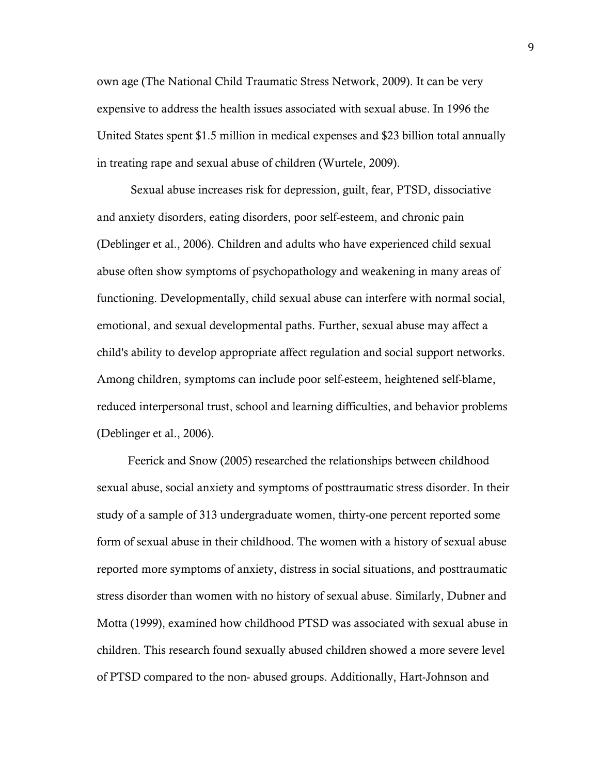own age (The National Child Traumatic Stress Network, 2009). It can be very expensive to address the health issues associated with sexual abuse. In 1996 the United States spent \$1.5 million in medical expenses and \$23 billion total annually in treating rape and sexual abuse of children (Wurtele, 2009).

Sexual abuse increases risk for depression, guilt, fear, PTSD, dissociative and anxiety disorders, eating disorders, poor self-esteem, and chronic pain (Deblinger et al., 2006). Children and adults who have experienced child sexual abuse often show symptoms of psychopathology and weakening in many areas of functioning. Developmentally, child sexual abuse can interfere with normal social, emotional, and sexual developmental paths. Further, sexual abuse may affect a child's ability to develop appropriate affect regulation and social support networks. Among children, symptoms can include poor self-esteem, heightened self-blame, reduced interpersonal trust, school and learning difficulties, and behavior problems (Deblinger et al., 2006).

Feerick and Snow (2005) researched the relationships between childhood sexual abuse, social anxiety and symptoms of posttraumatic stress disorder. In their study of a sample of 313 undergraduate women, thirty-one percent reported some form of sexual abuse in their childhood. The women with a history of sexual abuse reported more symptoms of anxiety, distress in social situations, and posttraumatic stress disorder than women with no history of sexual abuse. Similarly, Dubner and Motta (1999), examined how childhood PTSD was associated with sexual abuse in children. This research found sexually abused children showed a more severe level of PTSD compared to the non- abused groups. Additionally, Hart-Johnson and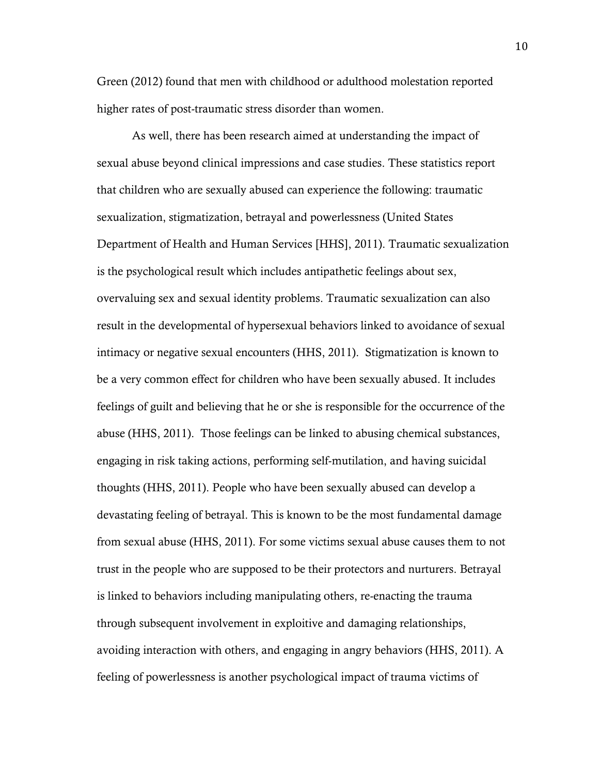Green (2012) found that men with childhood or adulthood molestation reported higher rates of post-traumatic stress disorder than women.

As well, there has been research aimed at understanding the impact of sexual abuse beyond clinical impressions and case studies. These statistics report that children who are sexually abused can experience the following: traumatic sexualization, stigmatization, betrayal and powerlessness (United States Department of Health and Human Services [HHS], 2011). Traumatic sexualization is the psychological result which includes antipathetic feelings about sex, overvaluing sex and sexual identity problems. Traumatic sexualization can also result in the developmental of hypersexual behaviors linked to avoidance of sexual intimacy or negative sexual encounters (HHS, 2011). Stigmatization is known to be a very common effect for children who have been sexually abused. It includes feelings of guilt and believing that he or she is responsible for the occurrence of the abuse (HHS, 2011). Those feelings can be linked to abusing chemical substances, engaging in risk taking actions, performing self-mutilation, and having suicidal thoughts (HHS, 2011). People who have been sexually abused can develop a devastating feeling of betrayal. This is known to be the most fundamental damage from sexual abuse (HHS, 2011). For some victims sexual abuse causes them to not trust in the people who are supposed to be their protectors and nurturers. Betrayal is linked to behaviors including manipulating others, re-enacting the trauma through subsequent involvement in exploitive and damaging relationships, avoiding interaction with others, and engaging in angry behaviors (HHS, 2011). A feeling of powerlessness is another psychological impact of trauma victims of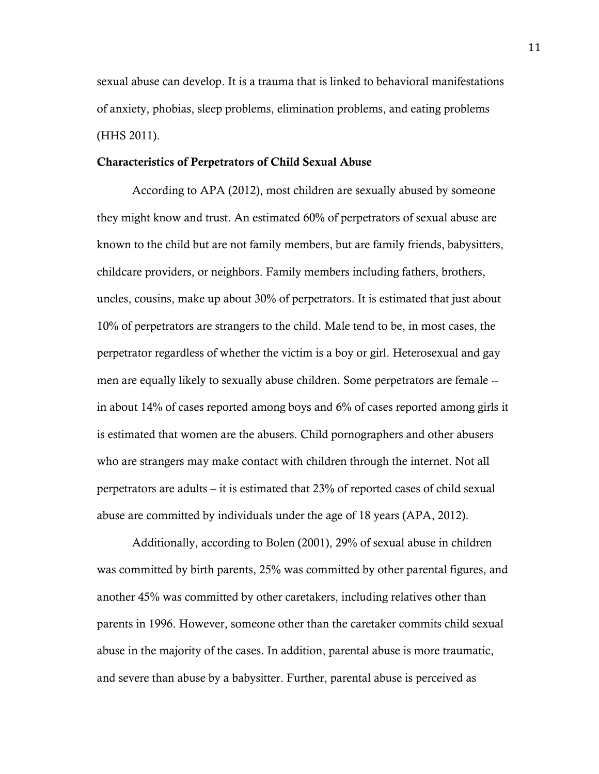sexual abuse can develop. It is a trauma that is linked to behavioral manifestations of anxiety, phobias, sleep problems, elimination problems, and eating problems (HHS 2011).

#### Characteristics of Perpetrators of Child Sexual Abuse

According to APA (2012), most children are sexually abused by someone they might know and trust. An estimated 60% of perpetrators of sexual abuse are known to the child but are not family members, but are family friends, babysitters, childcare providers, or neighbors. Family members including fathers, brothers, uncles, cousins, make up about 30% of perpetrators. It is estimated that just about 10% of perpetrators are strangers to the child. Male tend to be, in most cases, the perpetrator regardless of whether the victim is a boy or girl. Heterosexual and gay men are equally likely to sexually abuse children. Some perpetrators are female - in about 14% of cases reported among boys and 6% of cases reported among girls it is estimated that women are the abusers. Child pornographers and other abusers who are strangers may make contact with children through the internet. Not all perpetrators are adults – it is estimated that 23% of reported cases of child sexual abuse are committed by individuals under the age of 18 years (APA, 2012).

Additionally, according to Bolen (2001), 29% of sexual abuse in children was committed by birth parents, 25% was committed by other parental figures, and another 45% was committed by other caretakers, including relatives other than parents in 1996. However, someone other than the caretaker commits child sexual abuse in the majority of the cases. In addition, parental abuse is more traumatic, and severe than abuse by a babysitter. Further, parental abuse is perceived as

11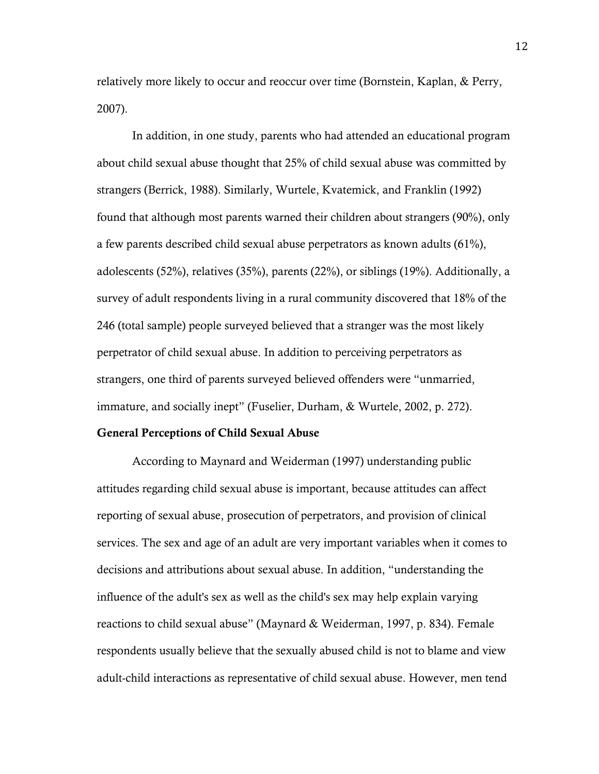relatively more likely to occur and reoccur over time (Bornstein, Kaplan, & Perry, 2007).

In addition, in one study, parents who had attended an educational program about child sexual abuse thought that 25% of child sexual abuse was committed by strangers (Berrick, 1988). Similarly, Wurtele, Kvatemick, and Franklin (1992) found that although most parents warned their children about strangers (90%), only a few parents described child sexual abuse perpetrators as known adults (61%), adolescents (52%), relatives (35%), parents (22%), or siblings (19%). Additionally, a survey of adult respondents living in a rural community discovered that 18% of the 246 (total sample) people surveyed believed that a stranger was the most likely perpetrator of child sexual abuse. In addition to perceiving perpetrators as strangers, one third of parents surveyed believed offenders were "unmarried, immature, and socially inept" (Fuselier, Durham, & Wurtele, 2002, p. 272).

#### General Perceptions of Child Sexual Abuse

 According to Maynard and Weiderman (1997) understanding public attitudes regarding child sexual abuse is important, because attitudes can affect reporting of sexual abuse, prosecution of perpetrators, and provision of clinical services. The sex and age of an adult are very important variables when it comes to decisions and attributions about sexual abuse. In addition, "understanding the influence of the adult's sex as well as the child's sex may help explain varying reactions to child sexual abuse" (Maynard & Weiderman, 1997, p. 834). Female respondents usually believe that the sexually abused child is not to blame and view adult-child interactions as representative of child sexual abuse. However, men tend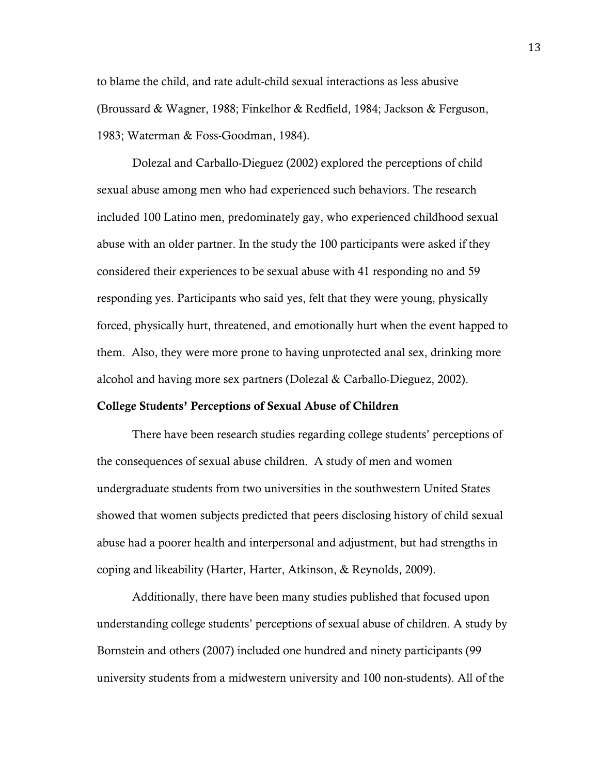to blame the child, and rate adult-child sexual interactions as less abusive (Broussard & Wagner, 1988; Finkelhor & Redfield, 1984; Jackson & Ferguson, 1983; Waterman & Foss-Goodman, 1984).

Dolezal and Carballo-Dieguez (2002) explored the perceptions of child sexual abuse among men who had experienced such behaviors. The research included 100 Latino men, predominately gay, who experienced childhood sexual abuse with an older partner. In the study the 100 participants were asked if they considered their experiences to be sexual abuse with 41 responding no and 59 responding yes. Participants who said yes, felt that they were young, physically forced, physically hurt, threatened, and emotionally hurt when the event happed to them. Also, they were more prone to having unprotected anal sex, drinking more alcohol and having more sex partners (Dolezal & Carballo-Dieguez, 2002).

#### College Students' Perceptions of Sexual Abuse of Children

There have been research studies regarding college students' perceptions of the consequences of sexual abuse children. A study of men and women undergraduate students from two universities in the southwestern United States showed that women subjects predicted that peers disclosing history of child sexual abuse had a poorer health and interpersonal and adjustment, but had strengths in coping and likeability (Harter, Harter, Atkinson, & Reynolds, 2009).

Additionally, there have been many studies published that focused upon understanding college students' perceptions of sexual abuse of children. A study by Bornstein and others (2007) included one hundred and ninety participants (99 university students from a midwestern university and 100 non-students). All of the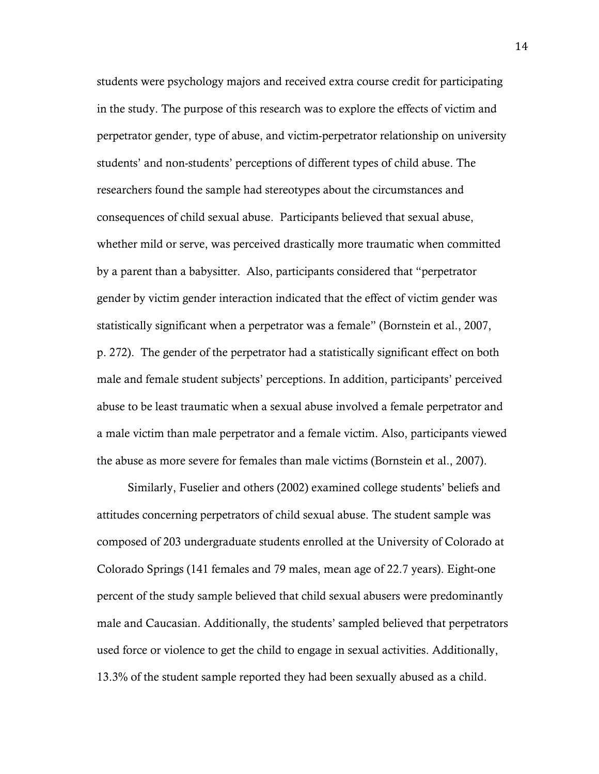students were psychology majors and received extra course credit for participating in the study. The purpose of this research was to explore the effects of victim and perpetrator gender, type of abuse, and victim-perpetrator relationship on university students' and non-students' perceptions of different types of child abuse. The researchers found the sample had stereotypes about the circumstances and consequences of child sexual abuse. Participants believed that sexual abuse, whether mild or serve, was perceived drastically more traumatic when committed by a parent than a babysitter. Also, participants considered that "perpetrator gender by victim gender interaction indicated that the effect of victim gender was statistically significant when a perpetrator was a female" (Bornstein et al., 2007, p. 272). The gender of the perpetrator had a statistically significant effect on both male and female student subjects' perceptions. In addition, participants' perceived abuse to be least traumatic when a sexual abuse involved a female perpetrator and a male victim than male perpetrator and a female victim. Also, participants viewed the abuse as more severe for females than male victims (Bornstein et al., 2007).

Similarly, Fuselier and others (2002) examined college students' beliefs and attitudes concerning perpetrators of child sexual abuse. The student sample was composed of 203 undergraduate students enrolled at the University of Colorado at Colorado Springs (141 females and 79 males, mean age of 22.7 years). Eight-one percent of the study sample believed that child sexual abusers were predominantly male and Caucasian. Additionally, the students' sampled believed that perpetrators used force or violence to get the child to engage in sexual activities. Additionally, 13.3% of the student sample reported they had been sexually abused as a child.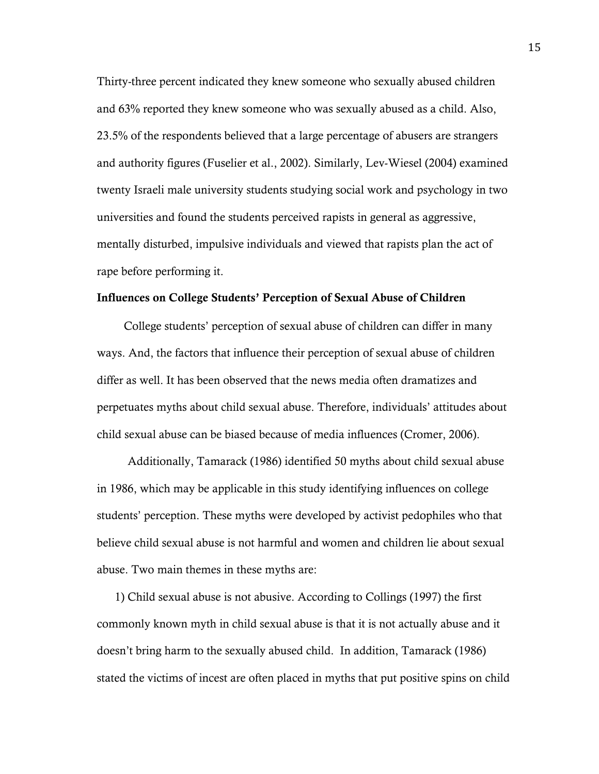Thirty-three percent indicated they knew someone who sexually abused children and 63% reported they knew someone who was sexually abused as a child. Also, 23.5% of the respondents believed that a large percentage of abusers are strangers and authority figures (Fuselier et al., 2002). Similarly, Lev-Wiesel (2004) examined twenty Israeli male university students studying social work and psychology in two universities and found the students perceived rapists in general as aggressive, mentally disturbed, impulsive individuals and viewed that rapists plan the act of rape before performing it.

#### Influences on College Students' Perception of Sexual Abuse of Children

 College students' perception of sexual abuse of children can differ in many ways. And, the factors that influence their perception of sexual abuse of children differ as well. It has been observed that the news media often dramatizes and perpetuates myths about child sexual abuse. Therefore, individuals' attitudes about child sexual abuse can be biased because of media influences (Cromer, 2006).

Additionally, Tamarack (1986) identified 50 myths about child sexual abuse in 1986, which may be applicable in this study identifying influences on college students' perception. These myths were developed by activist pedophiles who that believe child sexual abuse is not harmful and women and children lie about sexual abuse. Two main themes in these myths are:

 1) Child sexual abuse is not abusive. According to Collings (1997) the first commonly known myth in child sexual abuse is that it is not actually abuse and it doesn't bring harm to the sexually abused child. In addition, Tamarack (1986) stated the victims of incest are often placed in myths that put positive spins on child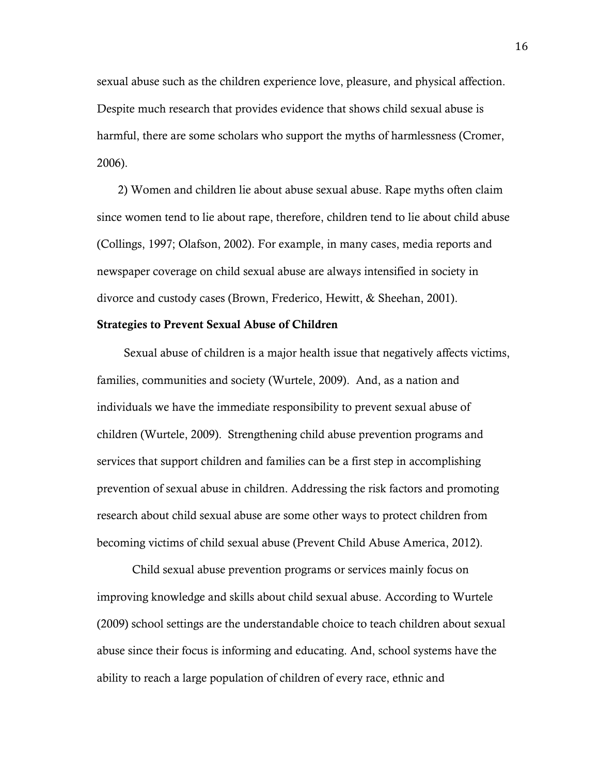sexual abuse such as the children experience love, pleasure, and physical affection. Despite much research that provides evidence that shows child sexual abuse is harmful, there are some scholars who support the myths of harmlessness (Cromer, 2006).

 2) Women and children lie about abuse sexual abuse. Rape myths often claim since women tend to lie about rape, therefore, children tend to lie about child abuse (Collings, 1997; Olafson, 2002). For example, in many cases, media reports and newspaper coverage on child sexual abuse are always intensified in society in divorce and custody cases (Brown, Frederico, Hewitt, & Sheehan, 2001).

#### Strategies to Prevent Sexual Abuse of Children

 Sexual abuse of children is a major health issue that negatively affects victims, families, communities and society (Wurtele, 2009). And, as a nation and individuals we have the immediate responsibility to prevent sexual abuse of children (Wurtele, 2009). Strengthening child abuse prevention programs and services that support children and families can be a first step in accomplishing prevention of sexual abuse in children. Addressing the risk factors and promoting research about child sexual abuse are some other ways to protect children from becoming victims of child sexual abuse (Prevent Child Abuse America, 2012).

Child sexual abuse prevention programs or services mainly focus on improving knowledge and skills about child sexual abuse. According to Wurtele (2009) school settings are the understandable choice to teach children about sexual abuse since their focus is informing and educating. And, school systems have the ability to reach a large population of children of every race, ethnic and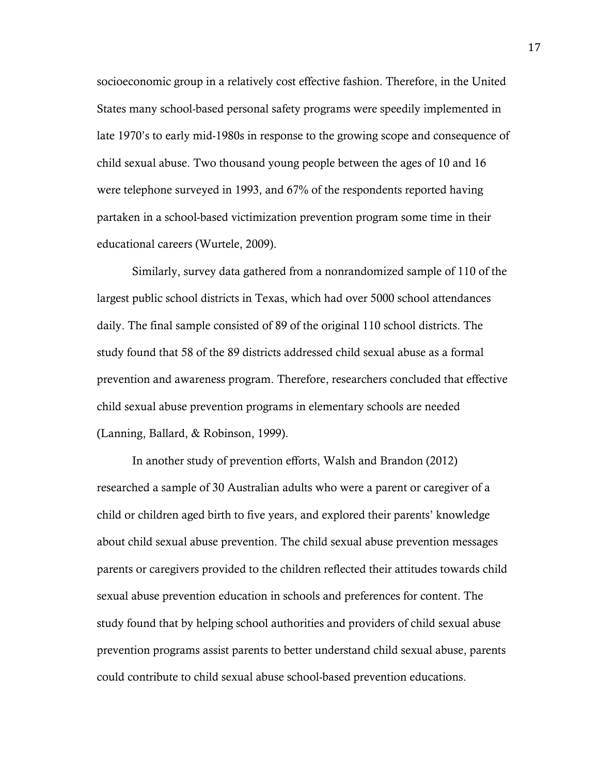socioeconomic group in a relatively cost effective fashion. Therefore, in the United States many school-based personal safety programs were speedily implemented in late 1970's to early mid-1980s in response to the growing scope and consequence of child sexual abuse. Two thousand young people between the ages of 10 and 16 were telephone surveyed in 1993, and 67% of the respondents reported having partaken in a school-based victimization prevention program some time in their educational careers (Wurtele, 2009).

Similarly, survey data gathered from a nonrandomized sample of 110 of the largest public school districts in Texas, which had over 5000 school attendances daily. The final sample consisted of 89 of the original 110 school districts. The study found that 58 of the 89 districts addressed child sexual abuse as a formal prevention and awareness program. Therefore, researchers concluded that effective child sexual abuse prevention programs in elementary schools are needed (Lanning, Ballard, & Robinson, 1999).

In another study of prevention efforts, Walsh and Brandon (2012) researched a sample of 30 Australian adults who were a parent or caregiver of a child or children aged birth to five years, and explored their parents' knowledge about child sexual abuse prevention. The child sexual abuse prevention messages parents or caregivers provided to the children reflected their attitudes towards child sexual abuse prevention education in schools and preferences for content. The study found that by helping school authorities and providers of child sexual abuse prevention programs assist parents to better understand child sexual abuse, parents could contribute to child sexual abuse school-based prevention educations.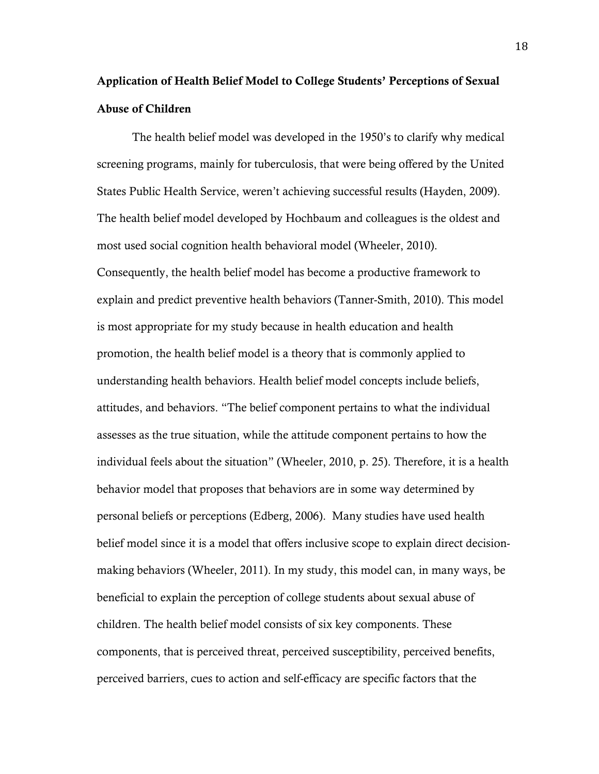## Application of Health Belief Model to College Students' Perceptions of Sexual Abuse of Children

The health belief model was developed in the 1950's to clarify why medical screening programs, mainly for tuberculosis, that were being offered by the United States Public Health Service, weren't achieving successful results (Hayden, 2009). The health belief model developed by Hochbaum and colleagues is the oldest and most used social cognition health behavioral model (Wheeler, 2010). Consequently, the health belief model has become a productive framework to explain and predict preventive health behaviors (Tanner-Smith, 2010). This model is most appropriate for my study because in health education and health promotion, the health belief model is a theory that is commonly applied to understanding health behaviors. Health belief model concepts include beliefs, attitudes, and behaviors. "The belief component pertains to what the individual assesses as the true situation, while the attitude component pertains to how the individual feels about the situation" (Wheeler, 2010, p. 25). Therefore, it is a health behavior model that proposes that behaviors are in some way determined by personal beliefs or perceptions (Edberg, 2006). Many studies have used health belief model since it is a model that offers inclusive scope to explain direct decisionmaking behaviors (Wheeler, 2011). In my study, this model can, in many ways, be beneficial to explain the perception of college students about sexual abuse of children. The health belief model consists of six key components. These components, that is perceived threat, perceived susceptibility, perceived benefits, perceived barriers, cues to action and self-efficacy are specific factors that the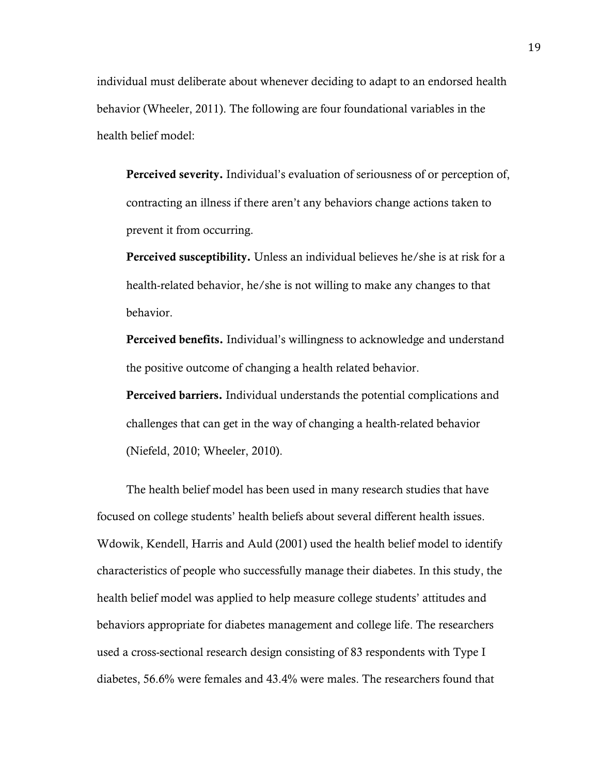individual must deliberate about whenever deciding to adapt to an endorsed health behavior (Wheeler, 2011). The following are four foundational variables in the health belief model:

Perceived severity. Individual's evaluation of seriousness of or perception of, contracting an illness if there aren't any behaviors change actions taken to prevent it from occurring.

Perceived susceptibility. Unless an individual believes he/she is at risk for a health-related behavior, he/she is not willing to make any changes to that behavior.

Perceived benefits. Individual's willingness to acknowledge and understand the positive outcome of changing a health related behavior.

Perceived barriers. Individual understands the potential complications and challenges that can get in the way of changing a health-related behavior (Niefeld, 2010; Wheeler, 2010).

The health belief model has been used in many research studies that have focused on college students' health beliefs about several different health issues. Wdowik, Kendell, Harris and Auld (2001) used the health belief model to identify characteristics of people who successfully manage their diabetes. In this study, the health belief model was applied to help measure college students' attitudes and behaviors appropriate for diabetes management and college life. The researchers used a cross-sectional research design consisting of 83 respondents with Type I diabetes, 56.6% were females and 43.4% were males. The researchers found that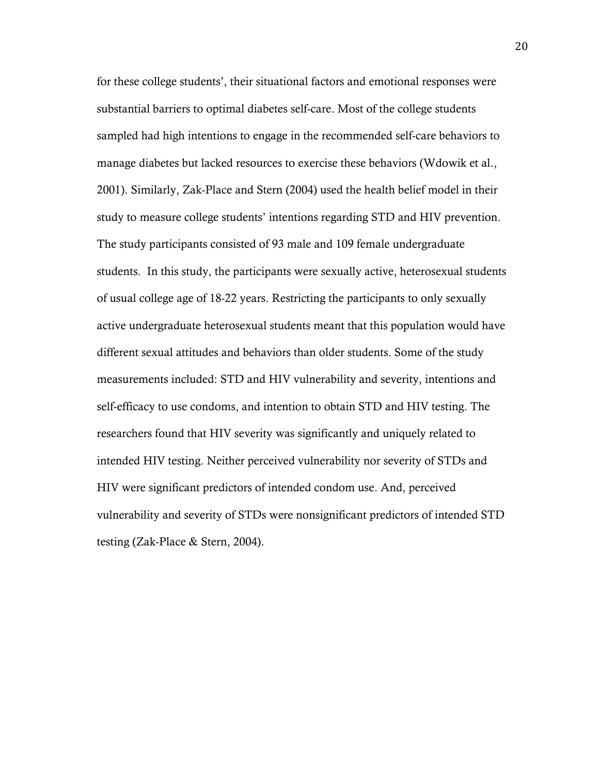for these college students', their situational factors and emotional responses were substantial barriers to optimal diabetes self-care. Most of the college students sampled had high intentions to engage in the recommended self-care behaviors to manage diabetes but lacked resources to exercise these behaviors (Wdowik et al., 2001). Similarly, Zak-Place and Stern (2004) used the health belief model in their study to measure college students' intentions regarding STD and HIV prevention. The study participants consisted of 93 male and 109 female undergraduate students. In this study, the participants were sexually active, heterosexual students of usual college age of 18-22 years. Restricting the participants to only sexually active undergraduate heterosexual students meant that this population would have different sexual attitudes and behaviors than older students. Some of the study measurements included: STD and HIV vulnerability and severity, intentions and self-efficacy to use condoms, and intention to obtain STD and HIV testing. The researchers found that HIV severity was significantly and uniquely related to intended HIV testing. Neither perceived vulnerability nor severity of STDs and HIV were significant predictors of intended condom use. And, perceived vulnerability and severity of STDs were nonsignificant predictors of intended STD testing (Zak-Place & Stern, 2004).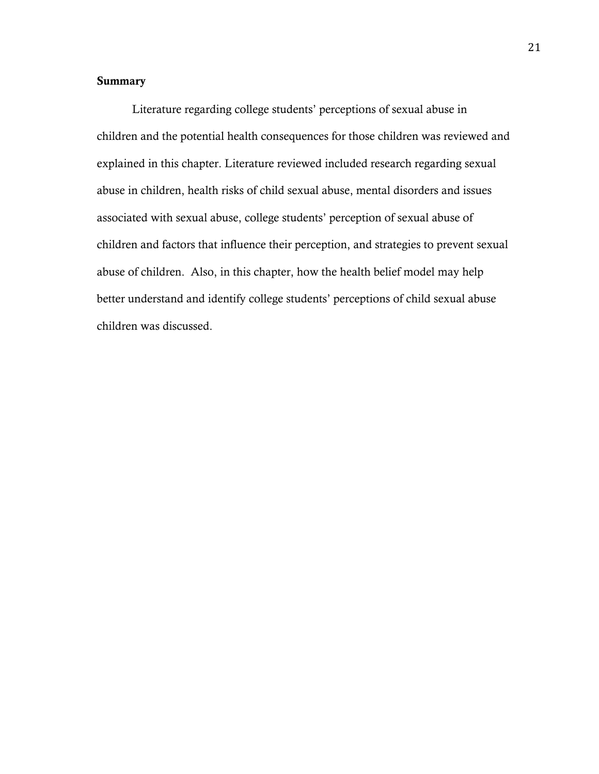## **Summary**

Literature regarding college students' perceptions of sexual abuse in children and the potential health consequences for those children was reviewed and explained in this chapter. Literature reviewed included research regarding sexual abuse in children, health risks of child sexual abuse, mental disorders and issues associated with sexual abuse, college students' perception of sexual abuse of children and factors that influence their perception, and strategies to prevent sexual abuse of children. Also, in this chapter, how the health belief model may help better understand and identify college students' perceptions of child sexual abuse children was discussed.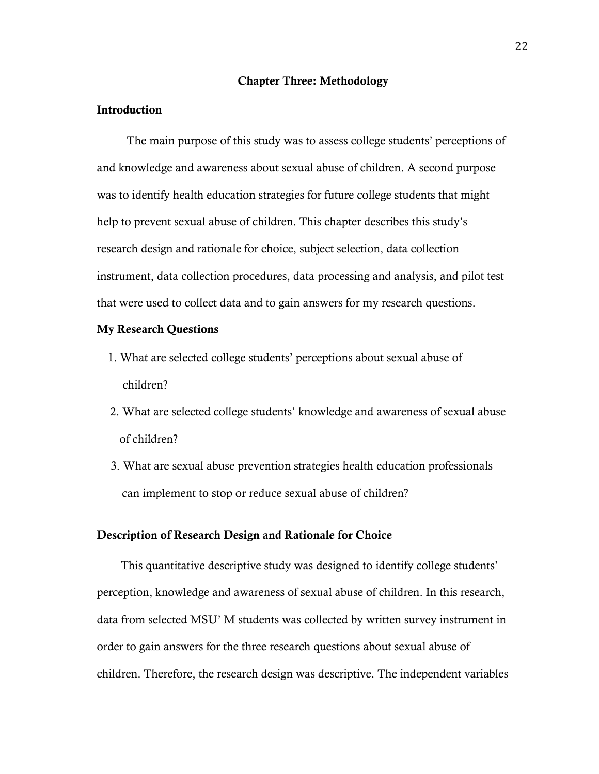#### Chapter Three: Methodology

#### Introduction

 The main purpose of this study was to assess college students' perceptions of and knowledge and awareness about sexual abuse of children. A second purpose was to identify health education strategies for future college students that might help to prevent sexual abuse of children. This chapter describes this study's research design and rationale for choice, subject selection, data collection instrument, data collection procedures, data processing and analysis, and pilot test that were used to collect data and to gain answers for my research questions.

#### My Research Questions

- 1. What are selected college students' perceptions about sexual abuse of children?
- 2. What are selected college students' knowledge and awareness of sexual abuse of children?
- 3. What are sexual abuse prevention strategies health education professionals can implement to stop or reduce sexual abuse of children?

#### Description of Research Design and Rationale for Choice

 This quantitative descriptive study was designed to identify college students' perception, knowledge and awareness of sexual abuse of children. In this research, data from selected MSU' M students was collected by written survey instrument in order to gain answers for the three research questions about sexual abuse of children. Therefore, the research design was descriptive. The independent variables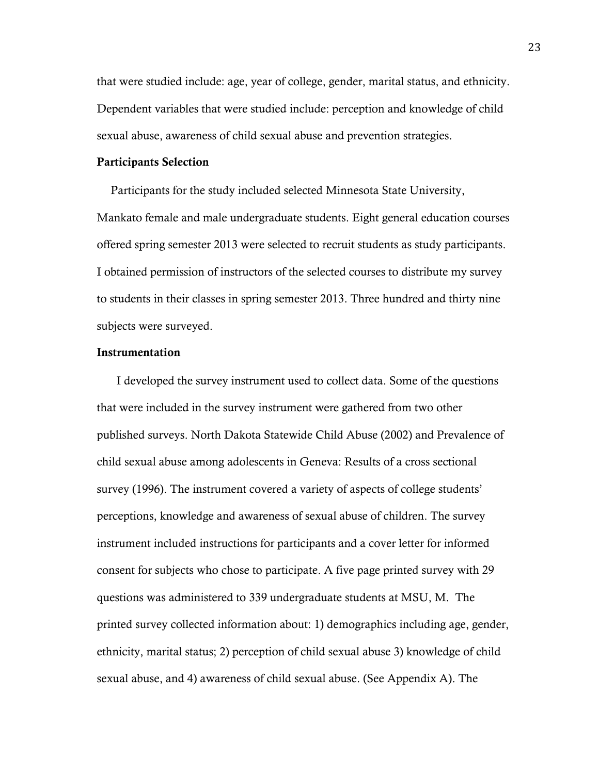that were studied include: age, year of college, gender, marital status, and ethnicity. Dependent variables that were studied include: perception and knowledge of child sexual abuse, awareness of child sexual abuse and prevention strategies.

#### Participants Selection

Participants for the study included selected Minnesota State University, Mankato female and male undergraduate students. Eight general education courses offered spring semester 2013 were selected to recruit students as study participants. I obtained permission of instructors of the selected courses to distribute my survey to students in their classes in spring semester 2013. Three hundred and thirty nine subjects were surveyed.

### Instrumentation

 I developed the survey instrument used to collect data. Some of the questions that were included in the survey instrument were gathered from two other published surveys. North Dakota Statewide Child Abuse (2002) and Prevalence of child sexual abuse among adolescents in Geneva: Results of a cross sectional survey (1996). The instrument covered a variety of aspects of college students' perceptions, knowledge and awareness of sexual abuse of children. The survey instrument included instructions for participants and a cover letter for informed consent for subjects who chose to participate. A five page printed survey with 29 questions was administered to 339 undergraduate students at MSU, M. The printed survey collected information about: 1) demographics including age, gender, ethnicity, marital status; 2) perception of child sexual abuse 3) knowledge of child sexual abuse, and 4) awareness of child sexual abuse. (See Appendix A). The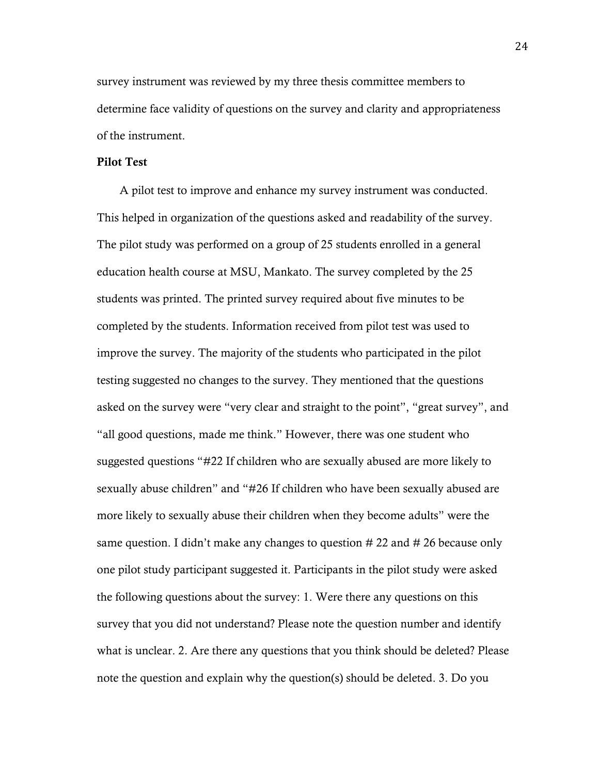survey instrument was reviewed by my three thesis committee members to determine face validity of questions on the survey and clarity and appropriateness of the instrument.

#### Pilot Test

 A pilot test to improve and enhance my survey instrument was conducted. This helped in organization of the questions asked and readability of the survey. The pilot study was performed on a group of 25 students enrolled in a general education health course at MSU, Mankato. The survey completed by the 25 students was printed. The printed survey required about five minutes to be completed by the students. Information received from pilot test was used to improve the survey. The majority of the students who participated in the pilot testing suggested no changes to the survey. They mentioned that the questions asked on the survey were "very clear and straight to the point", "great survey", and "all good questions, made me think." However, there was one student who suggested questions "#22 If children who are sexually abused are more likely to sexually abuse children" and "#26 If children who have been sexually abused are more likely to sexually abuse their children when they become adults" were the same question. I didn't make any changes to question # 22 and # 26 because only one pilot study participant suggested it. Participants in the pilot study were asked the following questions about the survey: 1. Were there any questions on this survey that you did not understand? Please note the question number and identify what is unclear. 2. Are there any questions that you think should be deleted? Please note the question and explain why the question(s) should be deleted. 3. Do you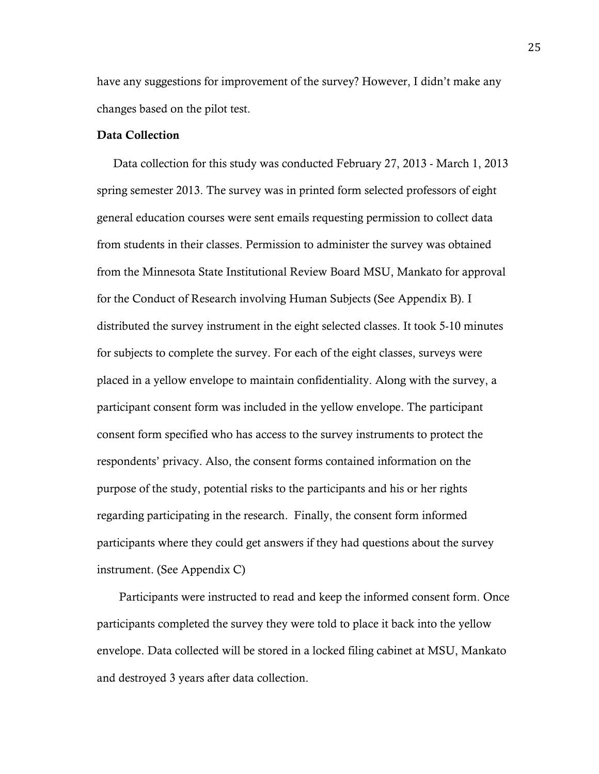have any suggestions for improvement of the survey? However, I didn't make any changes based on the pilot test.

## Data Collection

Data collection for this study was conducted February 27, 2013 - March 1, 2013 spring semester 2013. The survey was in printed form selected professors of eight general education courses were sent emails requesting permission to collect data from students in their classes. Permission to administer the survey was obtained from the Minnesota State Institutional Review Board MSU, Mankato for approval for the Conduct of Research involving Human Subjects (See Appendix B). I distributed the survey instrument in the eight selected classes. It took 5-10 minutes for subjects to complete the survey. For each of the eight classes, surveys were placed in a yellow envelope to maintain confidentiality. Along with the survey, a participant consent form was included in the yellow envelope. The participant consent form specified who has access to the survey instruments to protect the respondents' privacy. Also, the consent forms contained information on the purpose of the study, potential risks to the participants and his or her rights regarding participating in the research. Finally, the consent form informed participants where they could get answers if they had questions about the survey instrument. (See Appendix C)

 Participants were instructed to read and keep the informed consent form. Once participants completed the survey they were told to place it back into the yellow envelope. Data collected will be stored in a locked filing cabinet at MSU, Mankato and destroyed 3 years after data collection.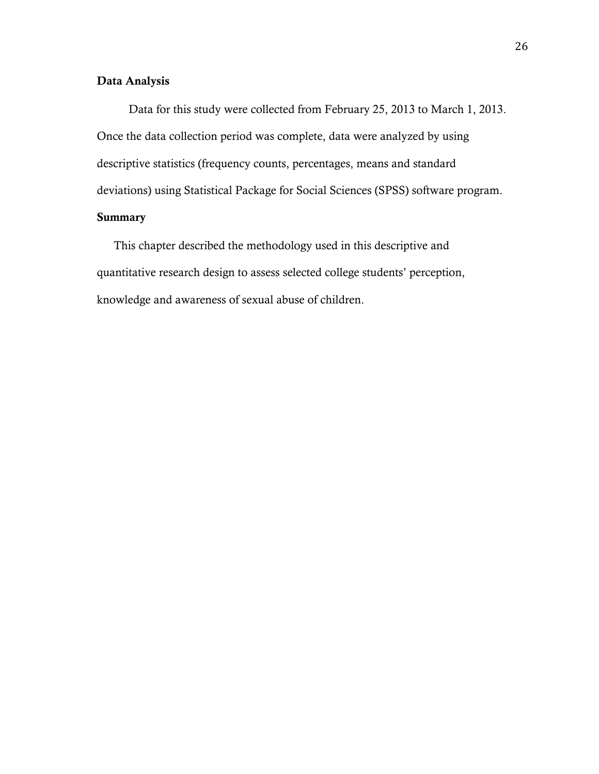## Data Analysis

 Data for this study were collected from February 25, 2013 to March 1, 2013. Once the data collection period was complete, data were analyzed by using descriptive statistics (frequency counts, percentages, means and standard deviations) using Statistical Package for Social Sciences (SPSS) software program. Summary

 This chapter described the methodology used in this descriptive and quantitative research design to assess selected college students' perception, knowledge and awareness of sexual abuse of children.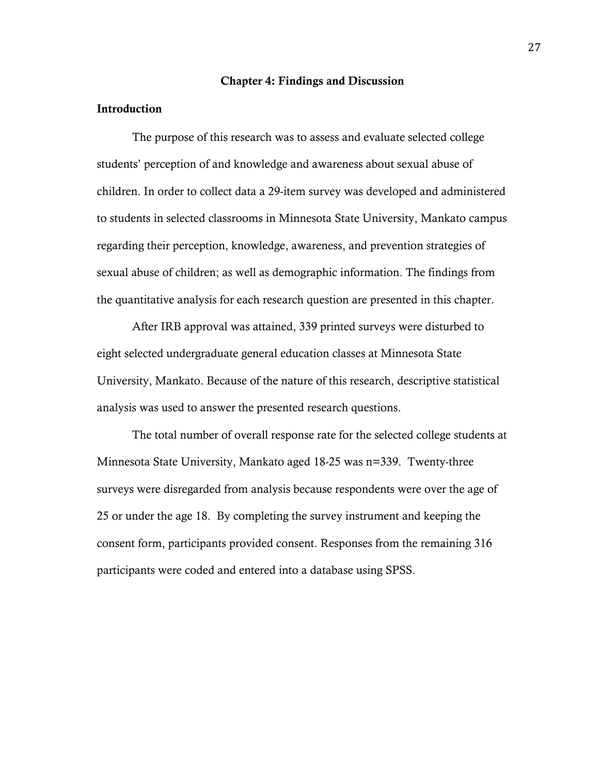#### Chapter 4: Findings and Discussion

#### Introduction

The purpose of this research was to assess and evaluate selected college students' perception of and knowledge and awareness about sexual abuse of children. In order to collect data a 29-item survey was developed and administered to students in selected classrooms in Minnesota State University, Mankato campus regarding their perception, knowledge, awareness, and prevention strategies of sexual abuse of children; as well as demographic information. The findings from the quantitative analysis for each research question are presented in this chapter.

After IRB approval was attained, 339 printed surveys were disturbed to eight selected undergraduate general education classes at Minnesota State University, Mankato. Because of the nature of this research, descriptive statistical analysis was used to answer the presented research questions.

The total number of overall response rate for the selected college students at Minnesota State University, Mankato aged 18-25 was n=339. Twenty-three surveys were disregarded from analysis because respondents were over the age of 25 or under the age 18. By completing the survey instrument and keeping the consent form, participants provided consent. Responses from the remaining 316 participants were coded and entered into a database using SPSS.

27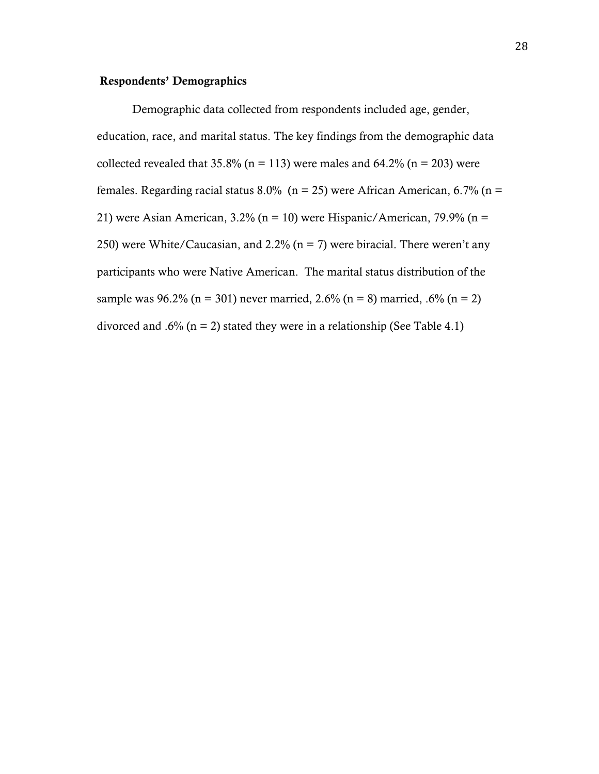# Respondents' Demographics

Demographic data collected from respondents included age, gender, education, race, and marital status. The key findings from the demographic data collected revealed that  $35.8\%$  (n = 113) were males and  $64.2\%$  (n = 203) were females. Regarding racial status 8.0% ( $n = 25$ ) were African American, 6.7% ( $n =$ 21) were Asian American,  $3.2\%$  (n = 10) were Hispanic/American,  $79.9\%$  (n = 250) were White/Caucasian, and 2.2% ( $n = 7$ ) were biracial. There weren't any participants who were Native American. The marital status distribution of the sample was  $96.2\%$  (n = 301) never married, 2.6% (n = 8) married, .6% (n = 2) divorced and .6% ( $n = 2$ ) stated they were in a relationship (See Table 4.1)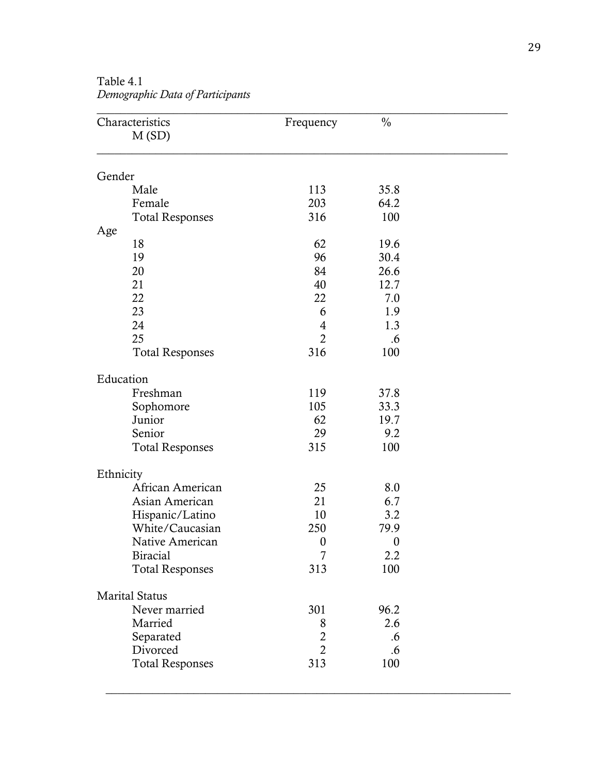| Gender                 | 113<br>203<br>316 | 35.8<br>64.2<br>100 |  |
|------------------------|-------------------|---------------------|--|
|                        |                   |                     |  |
| Male                   |                   |                     |  |
| Female                 |                   |                     |  |
| <b>Total Responses</b> |                   |                     |  |
| Age                    |                   |                     |  |
| 18                     | 62                | 19.6                |  |
| 19                     | 96                | 30.4                |  |
| 20                     | 84                | 26.6                |  |
| 21                     | 40                | 12.7                |  |
| 22<br>23               | 22<br>6           | 7.0<br>1.9          |  |
| 24                     | 4                 | 1.3                 |  |
| 25                     | $\overline{2}$    | .6                  |  |
| <b>Total Responses</b> | 316               | 100                 |  |
| Education              |                   |                     |  |
| Freshman               | 119               | 37.8                |  |
| Sophomore              | 105               | 33.3                |  |
| Junior                 | 62                | 19.7                |  |
| Senior                 | 29                | 9.2                 |  |
| <b>Total Responses</b> | 315               | 100                 |  |
| Ethnicity              |                   |                     |  |
| African American       | 25                | 8.0                 |  |
| Asian American         | 21                | 6.7                 |  |
| Hispanic/Latino        | 10                | 3.2                 |  |
| White/Caucasian        | 250               | 79.9                |  |
| Native American        | $\boldsymbol{0}$  | $\boldsymbol{0}$    |  |
| <b>Biracial</b>        | 7<br>313          | 2.2                 |  |
| <b>Total Responses</b> |                   | 100                 |  |
| <b>Marital Status</b>  |                   |                     |  |
| Never married          | 301               | 96.2                |  |
| Married                | 8                 | 2.6                 |  |
| Separated              | $\overline{c}$    | .6                  |  |
| Divorced               | $\overline{2}$    | .6                  |  |
| <b>Total Responses</b> | 313               | 100                 |  |

 $\_$  , and the set of the set of the set of the set of the set of the set of the set of the set of the set of the set of the set of the set of the set of the set of the set of the set of the set of the set of the set of th

Table 4.1 *Demographic Data of Participants*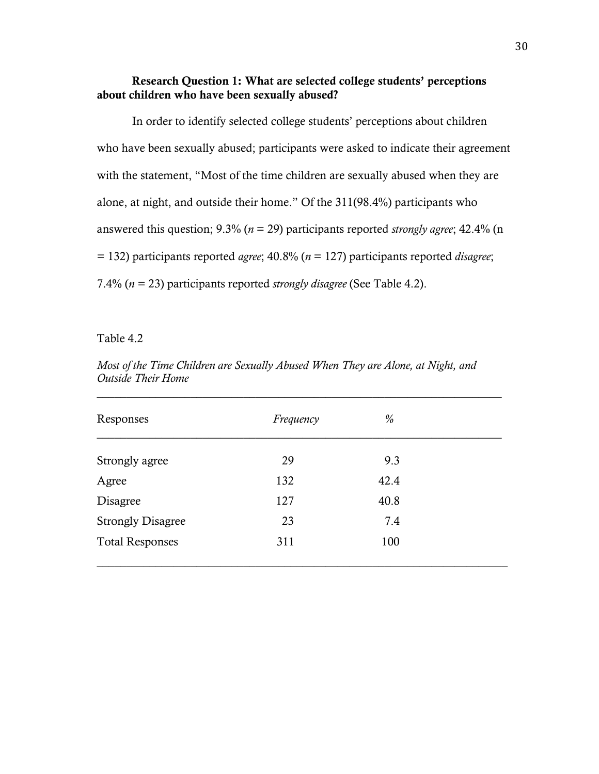# Research Question 1: What are selected college students' perceptions about children who have been sexually abused?

In order to identify selected college students' perceptions about children who have been sexually abused; participants were asked to indicate their agreement with the statement, "Most of the time children are sexually abused when they are alone, at night, and outside their home." Of the 311(98.4%) participants who answered this question; 9.3% (*n* = 29) participants reported *strongly agree*; 42.4% (n = 132) participants reported *agree*; 40.8% (*n* = 127) participants reported *disagree*; 7.4% (*n* = 23) participants reported *strongly disagree* (See Table 4.2).

Table 4.2

| Responses                | Frequency | %    |  |
|--------------------------|-----------|------|--|
| Strongly agree           | 29        | 9.3  |  |
| Agree                    | 132       | 42.4 |  |
| Disagree                 | 127       | 40.8 |  |
| <b>Strongly Disagree</b> | 23        | 7.4  |  |
| <b>Total Responses</b>   | 311       | 100  |  |

*Most of the Time Children are Sexually Abused When They are Alone, at Night, and Outside Their Home*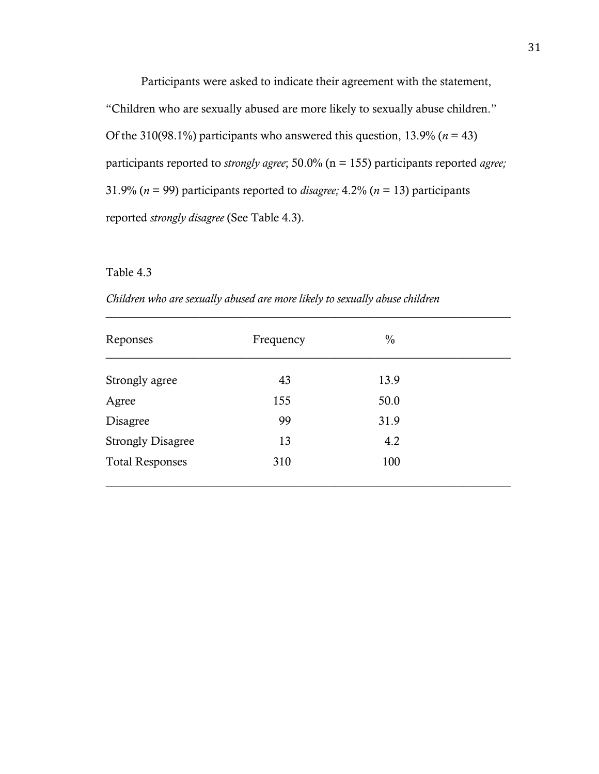Participants were asked to indicate their agreement with the statement, "Children who are sexually abused are more likely to sexually abuse children." Of the 310(98.1%) participants who answered this question,  $13.9\%$  ( $n = 43$ ) participants reported to *strongly agree*; 50.0% (n = 155) participants reported *agree;* 31.9% ( $n = 99$ ) participants reported to *disagree*; 4.2% ( $n = 13$ ) participants reported *strongly disagree* (See Table 4.3).

#### Table 4.3

| Reponses                 | Frequency | $\frac{0}{0}$ |  |
|--------------------------|-----------|---------------|--|
| Strongly agree           | 43        | 13.9          |  |
| Agree                    | 155       | 50.0          |  |
| Disagree                 | 99        | 31.9          |  |
| <b>Strongly Disagree</b> | 13        | 4.2           |  |
| <b>Total Responses</b>   | 310       | 100           |  |
|                          |           |               |  |

\_\_\_\_\_\_\_\_\_\_\_\_\_\_\_\_\_\_\_\_\_\_\_\_\_\_\_\_\_\_\_\_\_\_\_\_\_\_\_\_\_\_\_\_\_\_\_\_\_\_\_\_\_\_\_\_\_\_\_\_\_\_\_\_\_\_\_\_\_

*Children who are sexually abused are more likely to sexually abuse children*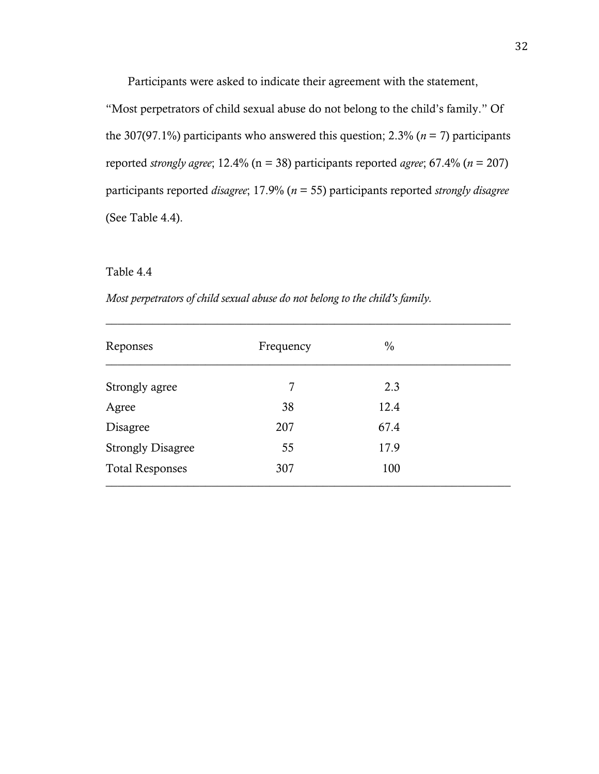Participants were asked to indicate their agreement with the statement,

"Most perpetrators of child sexual abuse do not belong to the child's family." Of the 307(97.1%) participants who answered this question;  $2.3\%$  ( $n = 7$ ) participants reported *strongly agree*; 12.4% (n = 38) participants reported *agree*; 67.4% (*n* = 207) participants reported *disagree*; 17.9% (*n* = 55) participants reported *strongly disagree* (See Table 4.4).

#### Table 4.4

*Most perpetrators of child sexual abuse do not belong to the child's family.*

| Reponses                 | Frequency | $\frac{0}{0}$ |  |
|--------------------------|-----------|---------------|--|
| Strongly agree           | 7         | 2.3           |  |
| Agree                    | 38        | 12.4          |  |
| Disagree                 | 207       | 67.4          |  |
| <b>Strongly Disagree</b> | 55        | 17.9          |  |
| <b>Total Responses</b>   | 307       | 100           |  |

\_\_\_\_\_\_\_\_\_\_\_\_\_\_\_\_\_\_\_\_\_\_\_\_\_\_\_\_\_\_\_\_\_\_\_\_\_\_\_\_\_\_\_\_\_\_\_\_\_\_\_\_\_\_\_\_\_\_\_\_\_\_\_\_\_\_\_\_\_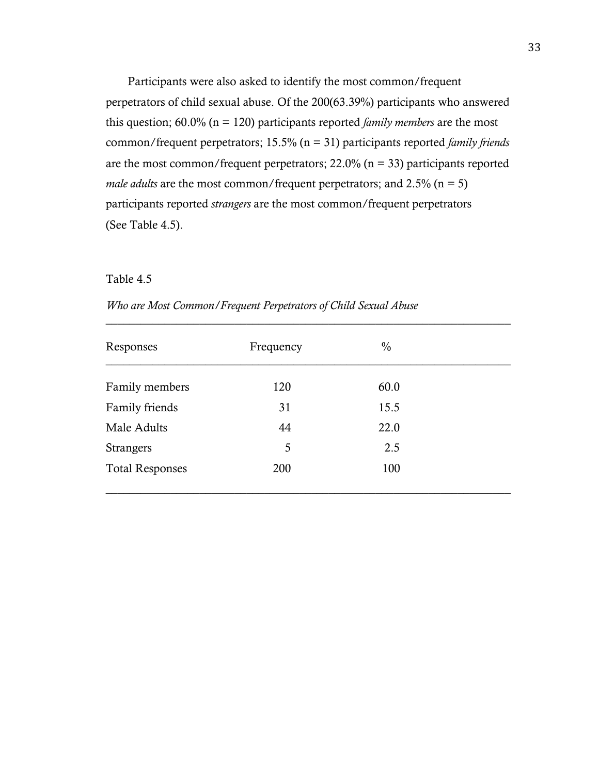Participants were also asked to identify the most common/frequent perpetrators of child sexual abuse. Of the 200(63.39%) participants who answered this question; 60.0% (n = 120) participants reported *family members* are the most common/frequent perpetrators; 15.5% (n = 31) participants reported *family friends* are the most common/frequent perpetrators;  $22.0\%$  (n = 33) participants reported *male adults* are the most common/frequent perpetrators; and  $2.5\%$  (n = 5) participants reported *strangers* are the most common/frequent perpetrators (See Table 4.5).

#### Table 4.5

| Who are Most Common/Frequent Perpetrators of Child Sexual Abuse |  |  |
|-----------------------------------------------------------------|--|--|
|-----------------------------------------------------------------|--|--|

| Responses              | Frequency | $\frac{0}{0}$ |  |
|------------------------|-----------|---------------|--|
| Family members         | 120       | 60.0          |  |
| Family friends         | 31        | 15.5          |  |
| Male Adults            | 44        | 22.0          |  |
| <b>Strangers</b>       | 5         | 2.5           |  |
| <b>Total Responses</b> | 200       | 100           |  |

 $\_$  , and the set of the set of the set of the set of the set of the set of the set of the set of the set of the set of the set of the set of the set of the set of the set of the set of the set of the set of the set of th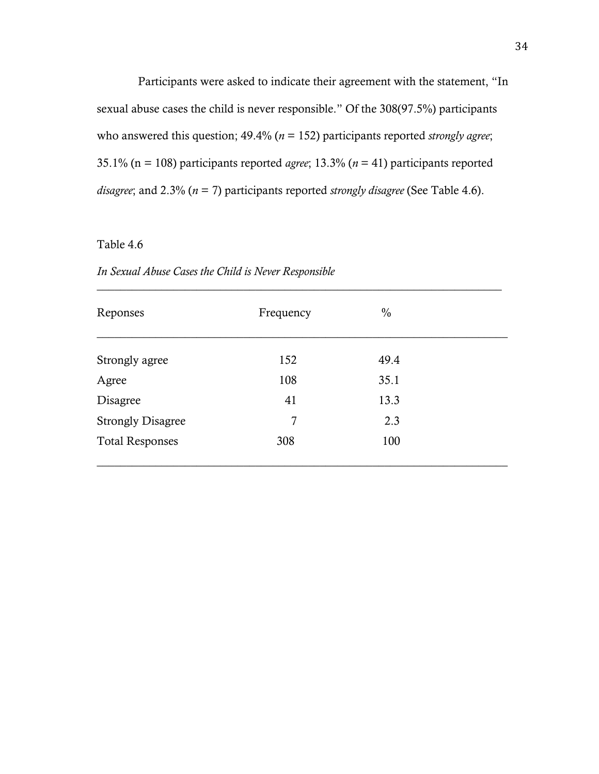Participants were asked to indicate their agreement with the statement, "In sexual abuse cases the child is never responsible." Of the 308(97.5%) participants who answered this question; 49.4% ( $n = 152$ ) participants reported *strongly agree*; 35.1% (n = 108) participants reported *agree*; 13.3% (*n* = 41) participants reported *disagree*; and 2.3% (*n* = 7) participants reported *strongly disagree* (See Table 4.6).

# Table 4.6

*In Sexual Abuse Cases the Child is Never Responsible* 

| Reponses                 | Frequency | $\frac{0}{0}$ |  |
|--------------------------|-----------|---------------|--|
| Strongly agree           | 152       | 49.4          |  |
| Agree                    | 108       | 35.1          |  |
| Disagree                 | 41        | 13.3          |  |
| <b>Strongly Disagree</b> | 7         | 2.3           |  |
| <b>Total Responses</b>   | 308       | 100           |  |

\_\_\_\_\_\_\_\_\_\_\_\_\_\_\_\_\_\_\_\_\_\_\_\_\_\_\_\_\_\_\_\_\_\_\_\_\_\_\_\_\_\_\_\_\_\_\_\_\_\_\_\_\_\_\_\_\_\_\_\_\_\_\_\_\_\_\_\_\_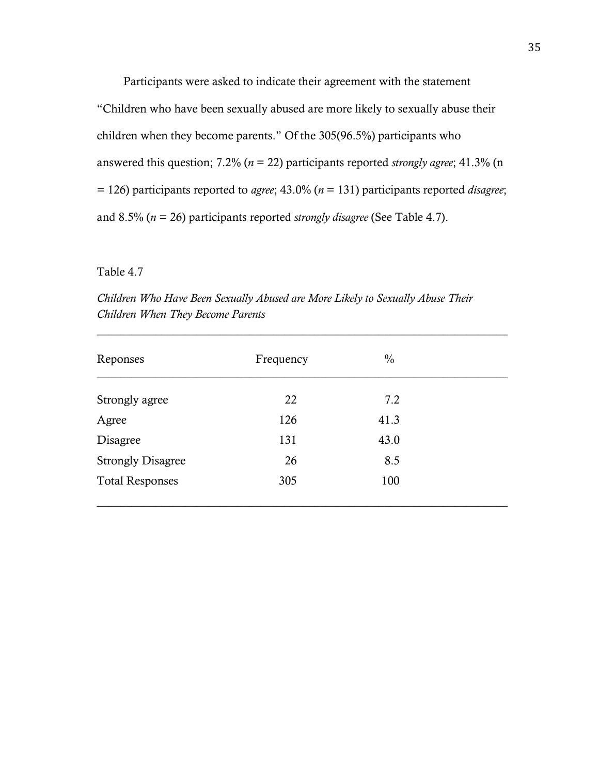Participants were asked to indicate their agreement with the statement

"Children who have been sexually abused are more likely to sexually abuse their children when they become parents." Of the 305(96.5%) participants who answered this question; 7.2% (*n* = 22) participants reported *strongly agree*; 41.3% (n = 126) participants reported to *agree*; 43.0% (*n* = 131) participants reported *disagree*; and 8.5% (*n* = 26) participants reported *strongly disagree* (See Table 4.7).

#### Table 4.7

*Children Who Have Been Sexually Abused are More Likely to Sexually Abuse Their Children When They Become Parents*

| Reponses                 | Frequency | $\frac{0}{0}$ |  |
|--------------------------|-----------|---------------|--|
| Strongly agree           | 22        | 7.2           |  |
| Agree                    | 126       | 41.3          |  |
| Disagree                 | 131       | 43.0          |  |
| <b>Strongly Disagree</b> | 26        | 8.5           |  |
| <b>Total Responses</b>   | 305       | 100           |  |

 $\_$  , and the set of the set of the set of the set of the set of the set of the set of the set of the set of the set of the set of the set of the set of the set of the set of the set of the set of the set of the set of th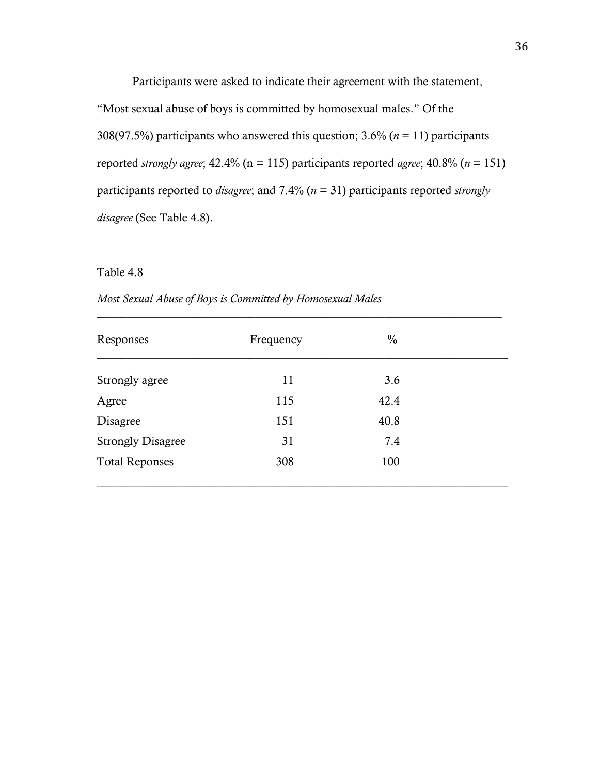Participants were asked to indicate their agreement with the statement,

"Most sexual abuse of boys is committed by homosexual males." Of the 308(97.5%) participants who answered this question; 3.6% (*n* = 11) participants reported *strongly agree*; 42.4% (n = 115) participants reported *agree*; 40.8% (*n* = 151) participants reported to *disagree*; and 7.4% (*n* = 31) participants reported *strongly disagree* (See Table 4.8).

# Table 4.8

| Responses                | Frequency | $\frac{0}{0}$ |  |
|--------------------------|-----------|---------------|--|
| Strongly agree           | 11        | 3.6           |  |
| Agree                    | 115       | 42.4          |  |
| Disagree                 | 151       | 40.8          |  |
| <b>Strongly Disagree</b> | 31        | 7.4           |  |
| <b>Total Reponses</b>    | 308       | 100           |  |

*Most Sexual Abuse of Boys is Committed by Homosexual Males*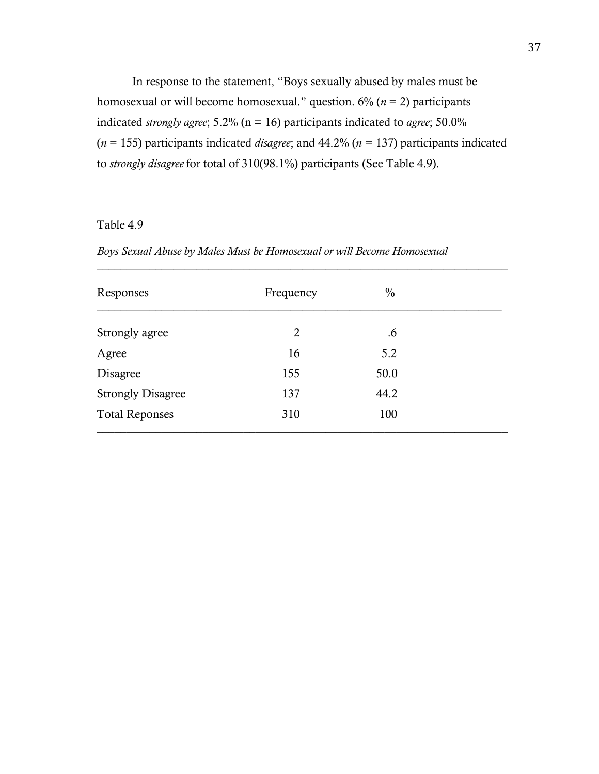In response to the statement, "Boys sexually abused by males must be homosexual or will become homosexual." question. 6% (*n* = 2) participants indicated *strongly agree*; 5.2% (n = 16) participants indicated to *agree*; 50.0% (*n* = 155) participants indicated *disagree*; and 44.2% (*n* = 137) participants indicated to *strongly disagree* for total of 310(98.1%) participants (See Table 4.9).

# Table 4.9

| Responses                | Frequency      | $\frac{0}{0}$ |  |
|--------------------------|----------------|---------------|--|
| Strongly agree           | $\overline{2}$ | .6            |  |
| Agree                    | 16             | 5.2           |  |
| Disagree                 | 155            | 50.0          |  |
| <b>Strongly Disagree</b> | 137            | 44.2          |  |
| <b>Total Reponses</b>    | 310            | 100           |  |

 $\_$  , and the set of the set of the set of the set of the set of the set of the set of the set of the set of the set of the set of the set of the set of the set of the set of the set of the set of the set of the set of th

*Boys Sexual Abuse by Males Must be Homosexual or will Become Homosexual*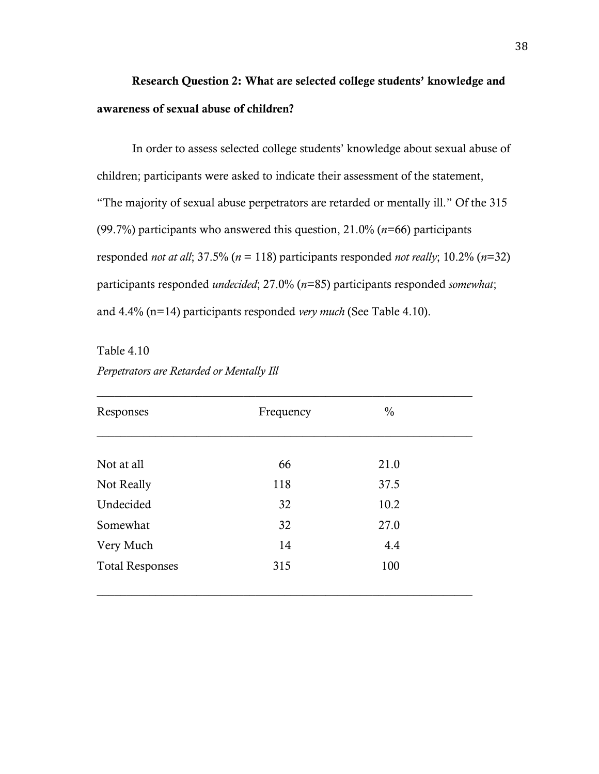# Research Question 2: What are selected college students' knowledge and awareness of sexual abuse of children?

In order to assess selected college students' knowledge about sexual abuse of children; participants were asked to indicate their assessment of the statement, "The majority of sexual abuse perpetrators are retarded or mentally ill." Of the 315 (99.7%) participants who answered this question, 21.0% (*n*=66) participants responded *not at all*; 37.5% (*n* = 118) participants responded *not really*; 10.2% (*n*=32) participants responded *undecided*; 27.0% (*n*=85) participants responded *somewhat*; and 4.4% (n=14) participants responded *very much* (See Table 4.10).

Table 4.10

| Perpetrators are Retarded or Mentally Ill |  |  |  |
|-------------------------------------------|--|--|--|
|-------------------------------------------|--|--|--|

| 66<br>118 | 21.0<br>37.5 |  |
|-----------|--------------|--|
|           |              |  |
|           |              |  |
| 32        | 10.2         |  |
| 32        | 27.0         |  |
| 14        | 4.4          |  |
| 315       | 100          |  |
|           |              |  |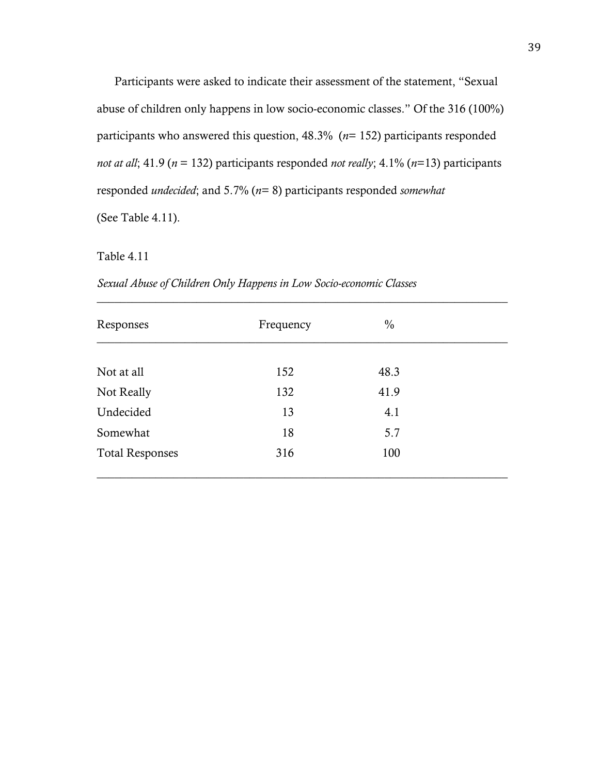Participants were asked to indicate their assessment of the statement, "Sexual abuse of children only happens in low socio-economic classes." Of the 316 (100%) participants who answered this question, 48.3% (*n*= 152) participants responded *not at all*; 41.9 (*n* = 132) participants responded *not really*; 4.1% (*n*=13) participants responded *undecided*; and 5.7% (*n*= 8) participants responded *somewhat*  (See Table 4.11).

#### Table 4.11

| Responses              | Frequency | $\frac{0}{0}$ |  |
|------------------------|-----------|---------------|--|
|                        |           |               |  |
| Not at all             | 152       | 48.3          |  |
| Not Really             | 132       | 41.9          |  |
| Undecided              | 13        | 4.1           |  |
| Somewhat               | 18        | 5.7           |  |
| <b>Total Responses</b> | 316       | 100           |  |

*Sexual Abuse of Children Only Happens in Low Socio-economic Classes*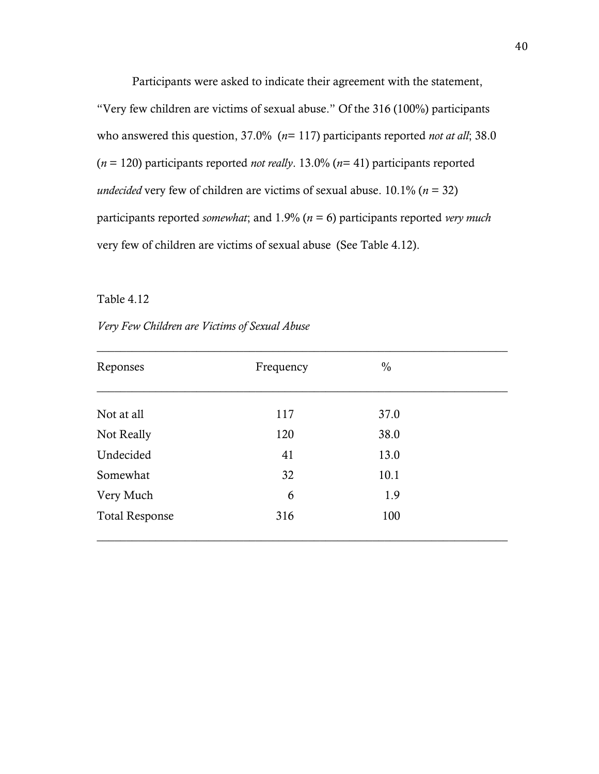Participants were asked to indicate their agreement with the statement, "Very few children are victims of sexual abuse." Of the 316 (100%) participants who answered this question, 37.0% (*n*= 117) participants reported *not at all*; 38.0 (*n* = 120) participants reported *not really*. 13.0% (*n*= 41) participants reported *undecided* very few of children are victims of sexual abuse.  $10.1\%$  ( $n = 32$ ) participants reported *somewhat*; and 1.9% (*n* = 6) participants reported *very much* very few of children are victims of sexual abuse (See Table 4.12).

#### Table 4.12

#### *Very Few Children are Victims of Sexual Abuse*

| Reponses              | Frequency | $\frac{0}{0}$ |  |
|-----------------------|-----------|---------------|--|
| Not at all            | 117       | 37.0          |  |
| Not Really            | 120       | 38.0          |  |
| Undecided             | 41        | 13.0          |  |
| Somewhat              | 32        | 10.1          |  |
| Very Much             | 6         | 1.9           |  |
| <b>Total Response</b> | 316       | 100           |  |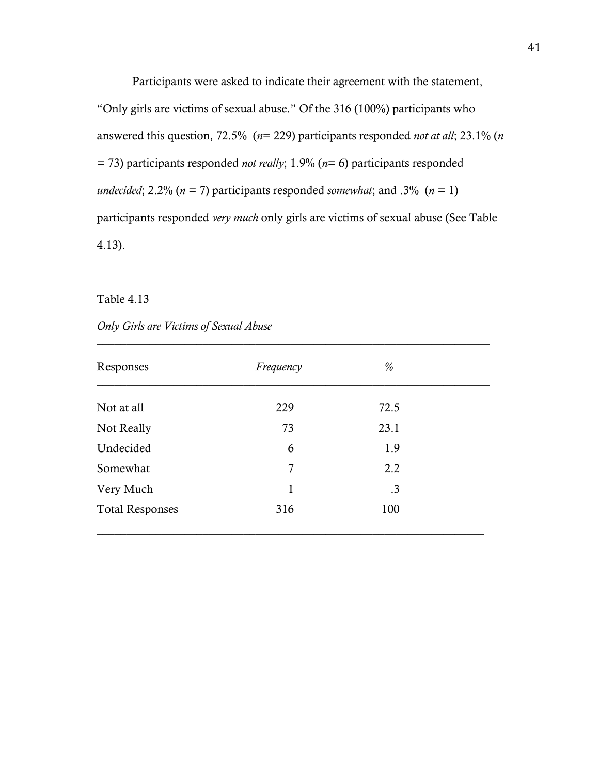Participants were asked to indicate their agreement with the statement,

"Only girls are victims of sexual abuse." Of the 316 (100%) participants who answered this question, 72.5% (*n*= 229) participants responded *not at all*; 23.1% (*n*  = 73) participants responded *not really*; 1.9% (*n*= 6) participants responded *undecided*; 2.2% ( $n = 7$ ) participants responded *somewhat*; and .3% ( $n = 1$ ) participants responded *very much* only girls are victims of sexual abuse (See Table 4.13).

Table 4.13

| Only Girls are Victims of Sexual Abuse |  |  |
|----------------------------------------|--|--|
|                                        |  |  |

| Responses              | Frequency | $\%$ |  |
|------------------------|-----------|------|--|
| Not at all             | 229       | 72.5 |  |
| Not Really             | 73        | 23.1 |  |
| Undecided              | 6         | 1.9  |  |
| Somewhat               | 7         | 2.2  |  |
| Very Much              | 1         | .3   |  |
| <b>Total Responses</b> | 316       | 100  |  |

 $\_$  , and the set of the set of the set of the set of the set of the set of the set of the set of the set of the set of the set of the set of the set of the set of the set of the set of the set of the set of the set of th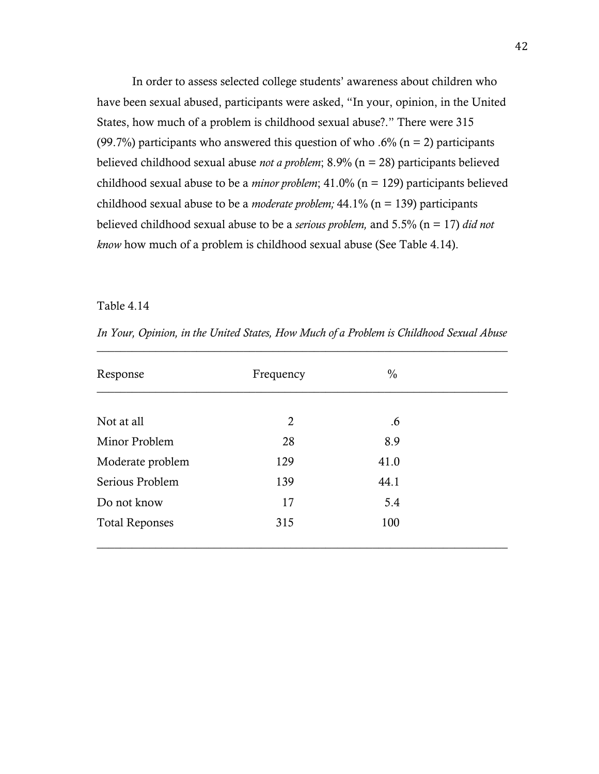In order to assess selected college students' awareness about children who have been sexual abused, participants were asked, "In your, opinion, in the United States, how much of a problem is childhood sexual abuse?." There were 315 (99.7%) participants who answered this question of who .6% ( $n = 2$ ) participants believed childhood sexual abuse *not a problem*; 8.9% (n = 28) participants believed childhood sexual abuse to be a *minor problem*; 41.0% (n = 129) participants believed childhood sexual abuse to be a *moderate problem;* 44.1% (n = 139) participants believed childhood sexual abuse to be a *serious problem,* and 5.5% (n = 17) *did not know* how much of a problem is childhood sexual abuse (See Table 4.14).

## Table 4.14

| Frequency | $\frac{0}{0}$  |    |
|-----------|----------------|----|
|           |                |    |
|           |                |    |
| 28        | 8.9            |    |
| 129       | 41.0           |    |
| 139       | 44.1           |    |
| 17        | 5.4            |    |
| 315       | 100            |    |
|           | $\overline{2}$ | .6 |

*In Your, Opinion, in the United States, How Much of a Problem is Childhood Sexual Abuse*  $\_$  , and the set of the set of the set of the set of the set of the set of the set of the set of the set of the set of the set of the set of the set of the set of the set of the set of the set of the set of the set of th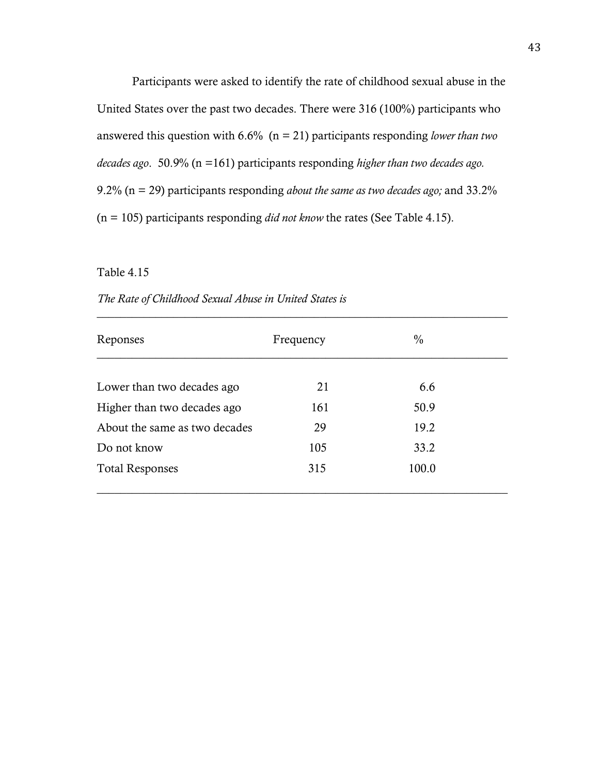Participants were asked to identify the rate of childhood sexual abuse in the United States over the past two decades. There were 316 (100%) participants who answered this question with 6.6% (n = 21) participants responding *lower than two decades ago*. 50.9% (n =161) participants responding *higher than two decades ago.* 9.2% (n = 29) participants responding *about the same as two decades ago;* and 33.2% (n = 105) participants responding *did not know* the rates (See Table 4.15).

#### Table 4.15

| <b>Reponses</b> | Frequency | υ, |  |
|-----------------|-----------|----|--|

*The Rate of Childhood Sexual Abuse in United States is*

| Reponses                      | Frequency | $\frac{0}{0}$ |  |
|-------------------------------|-----------|---------------|--|
|                               |           |               |  |
| Lower than two decades ago    | 21        | 6.6           |  |
| Higher than two decades ago   | 161       | 50.9          |  |
| About the same as two decades | 29        | 19.2          |  |
| Do not know                   | 105       | 33.2          |  |
| <b>Total Responses</b>        | 315       | 100.0         |  |
|                               |           |               |  |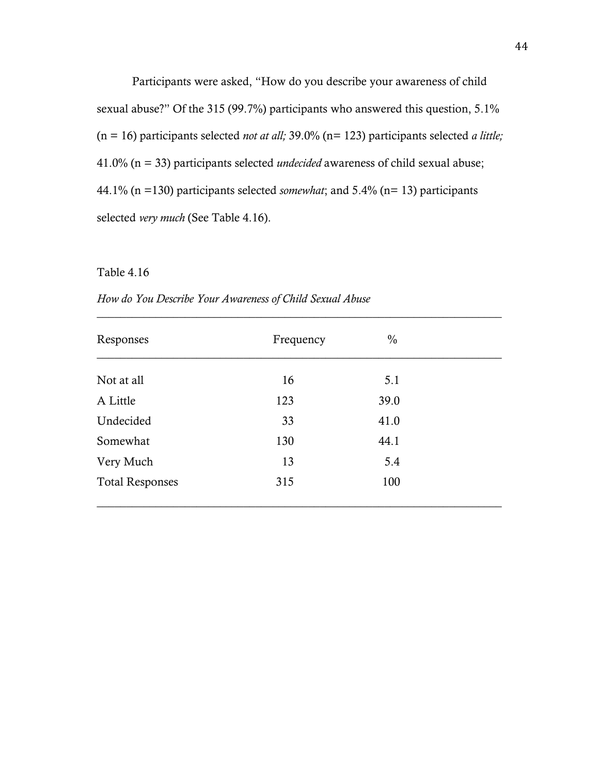Participants were asked, "How do you describe your awareness of child sexual abuse?" Of the 315 (99.7%) participants who answered this question, 5.1% (n = 16) participants selected *not at all;* 39.0% (n= 123) participants selected *a little;* 41.0% (n = 33) participants selected *undecided* awareness of child sexual abuse; 44.1% (n =130) participants selected *somewhat*; and 5.4% (n= 13) participants selected *very much* (See Table 4.16).

#### Table 4.16

| How do You Describe Your Awareness of Child Sexual Abuse |
|----------------------------------------------------------|
|                                                          |

| Responses              | Frequency | $\frac{0}{0}$ |  |
|------------------------|-----------|---------------|--|
| Not at all             | 16        | 5.1           |  |
| A Little               | 123       | 39.0          |  |
| Undecided              | 33        | 41.0          |  |
| Somewhat               | 130       | 44.1          |  |
| Very Much              | 13        | 5.4           |  |
| <b>Total Responses</b> | 315       | 100           |  |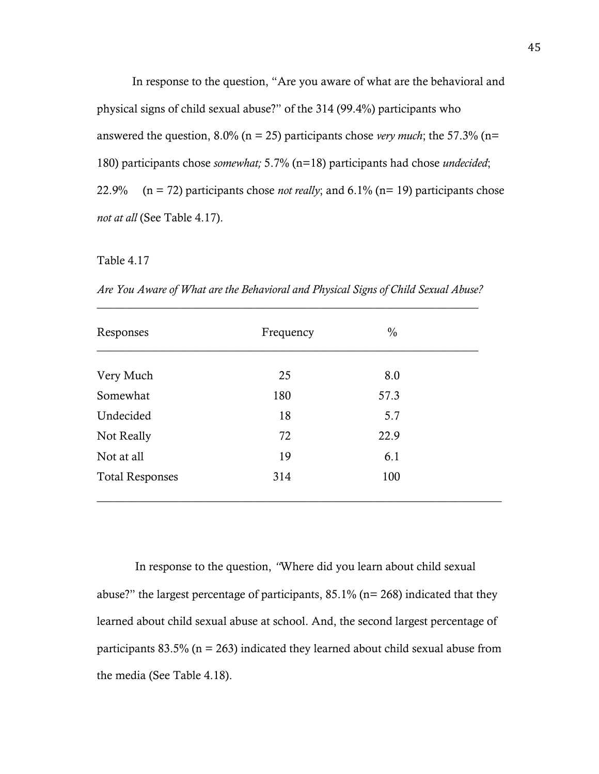In response to the question, "Are you aware of what are the behavioral and physical signs of child sexual abuse?" of the 314 (99.4%) participants who answered the question, 8.0% (n = 25) participants chose *very much*; the 57.3% (n= 180) participants chose *somewhat;* 5.7% (n=18) participants had chose *undecided*; 22.9% (n = 72) participants chose *not really*; and 6.1% (n= 19) participants chose *not at all* (See Table 4.17).

#### Table 4.17

*Are You Aware of What are the Behavioral and Physical Signs of Child Sexual Abuse?* \_\_\_\_\_\_\_\_\_\_\_\_\_\_\_\_\_\_\_\_\_\_\_\_\_\_\_\_\_\_\_\_\_\_\_\_\_\_\_\_\_\_\_\_\_\_\_\_\_\_\_\_\_\_\_\_\_\_\_\_\_\_\_\_\_

| Responses              | Frequency | $\frac{0}{0}$ |  |
|------------------------|-----------|---------------|--|
| Very Much              | 25        | 8.0           |  |
| Somewhat               | 180       | 57.3          |  |
| Undecided              | 18        | 5.7           |  |
| Not Really             | 72        | 22.9          |  |
| Not at all             | 19        | 6.1           |  |
| <b>Total Responses</b> | 314       | 100           |  |

In response to the question, *"*Where did you learn about child sexual abuse?" the largest percentage of participants, 85.1% (n= 268) indicated that they learned about child sexual abuse at school. And, the second largest percentage of participants  $83.5\%$  (n = 263) indicated they learned about child sexual abuse from the media (See Table 4.18).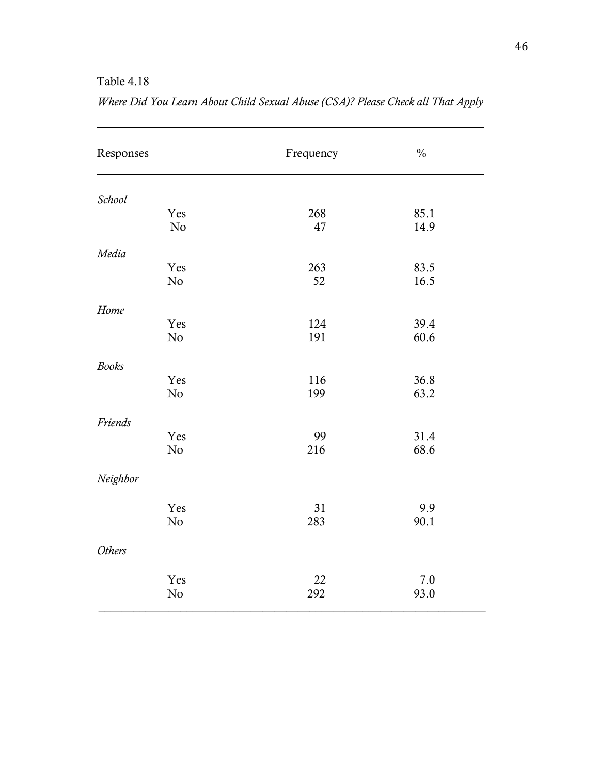# Table 4.18

| Responses     | Frequency | $\frac{0}{0}$ |
|---------------|-----------|---------------|
| School        |           |               |
| Yes<br>No     | 268<br>47 | 85.1<br>14.9  |
|               |           |               |
| Media         |           |               |
| Yes           | 263       | 83.5          |
| $\rm No$      | 52        | 16.5          |
| Home          |           |               |
| Yes           | 124       | 39.4          |
| No            | 191       | 60.6          |
| <b>Books</b>  |           |               |
| Yes           | 116       | 36.8          |
| No            | 199       | 63.2          |
| Friends       |           |               |
| Yes           | 99        | 31.4          |
| No            | 216       | 68.6          |
| Neighbor      |           |               |
| Yes           | 31        | 9.9           |
| No            | 283       | 90.1          |
| <b>Others</b> |           |               |
| Yes           | 22        | 7.0           |
| $\rm No$      | 292       | 93.0          |

| Where Did You Learn About Child Sexual Abuse (CSA)? Please Check all That Apply |  |  |
|---------------------------------------------------------------------------------|--|--|
|---------------------------------------------------------------------------------|--|--|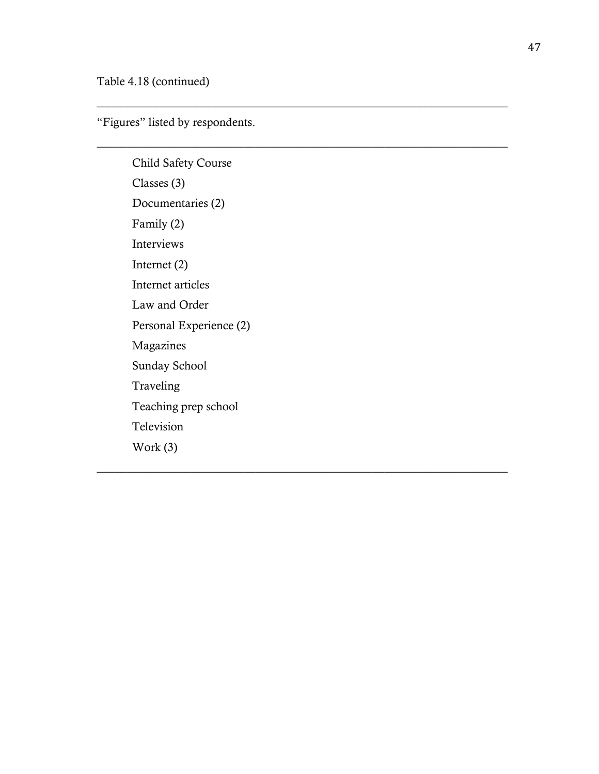"Figures" listed by respondents.

 $\_$  , and the set of the set of the set of the set of the set of the set of the set of the set of the set of the set of the set of the set of the set of the set of the set of the set of the set of the set of the set of th

 $\_$  , and the set of the set of the set of the set of the set of the set of the set of the set of the set of the set of the set of the set of the set of the set of the set of the set of the set of the set of the set of th

 $\_$  , and the set of the set of the set of the set of the set of the set of the set of the set of the set of the set of the set of the set of the set of the set of the set of the set of the set of the set of the set of th

Child Safety Course Classes (3) Documentaries (2) Family (2) Interviews Internet (2) Internet articles Law and Order Personal Experience (2) Magazines Sunday School Traveling Teaching prep school Television Work (3)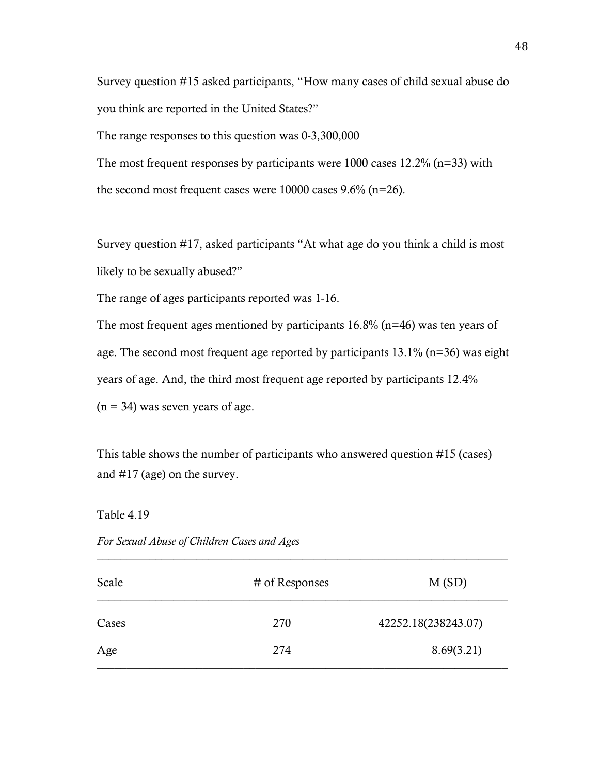Survey question #15 asked participants, "How many cases of child sexual abuse do you think are reported in the United States?"

The range responses to this question was 0-3,300,000

The most frequent responses by participants were 1000 cases 12.2% (n=33) with the second most frequent cases were 10000 cases 9.6% (n=26).

Survey question #17, asked participants "At what age do you think a child is most likely to be sexually abused?"

The range of ages participants reported was 1-16.

The most frequent ages mentioned by participants 16.8% (n=46) was ten years of age. The second most frequent age reported by participants 13.1% (n=36) was eight years of age. And, the third most frequent age reported by participants 12.4%  $(n = 34)$  was seven years of age.

This table shows the number of participants who answered question #15 (cases) and #17 (age) on the survey.

Table 4.19

| Scale | # of Responses | M(SD)               |
|-------|----------------|---------------------|
| Cases | 270            | 42252.18(238243.07) |
| Age   | 274            | 8.69(3.21)          |

 $\_$  , and the set of the set of the set of the set of the set of the set of the set of the set of the set of the set of the set of the set of the set of the set of the set of the set of the set of the set of the set of th

*For Sexual Abuse of Children Cases and Ages*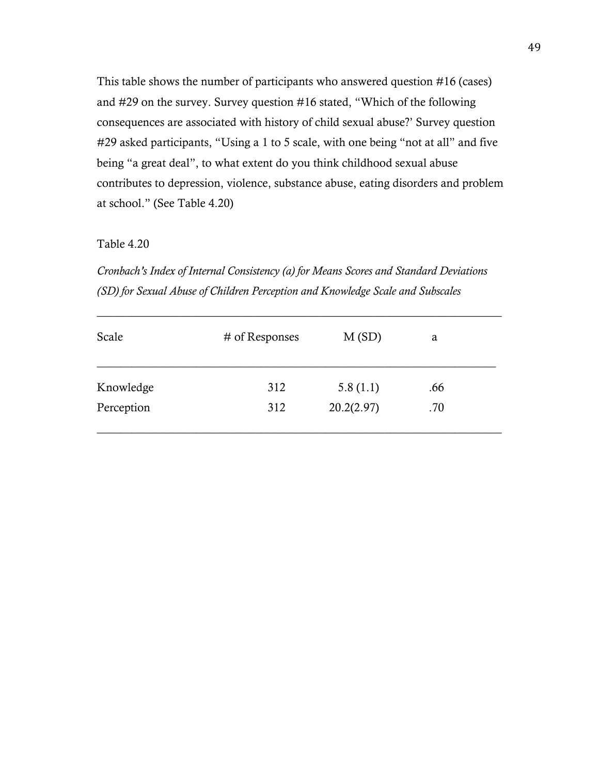This table shows the number of participants who answered question #16 (cases) and #29 on the survey. Survey question #16 stated, "Which of the following consequences are associated with history of child sexual abuse?' Survey question #29 asked participants, "Using a 1 to 5 scale, with one being "not at all" and five being "a great deal", to what extent do you think childhood sexual abuse contributes to depression, violence, substance abuse, eating disorders and problem at school." (See Table 4.20)

Table 4.20

*Cronbach's Index of Internal Consistency (a) for Means Scores and Standard Deviations (SD) for Sexual Abuse of Children Perception and Knowledge Scale and Subscales* 

\_\_\_\_\_\_\_\_\_\_\_\_\_\_\_\_\_\_\_\_\_\_\_\_\_\_\_\_\_\_\_\_\_\_\_\_\_\_\_\_\_\_\_\_\_\_\_\_\_\_\_\_\_\_\_\_\_\_\_\_\_\_\_\_\_\_\_\_\_

| Scale      | # of Responses | M(SD)      | a   |  |
|------------|----------------|------------|-----|--|
| Knowledge  | 312            | 5.8(1.1)   | .66 |  |
| Perception | 312            | 20.2(2.97) | .70 |  |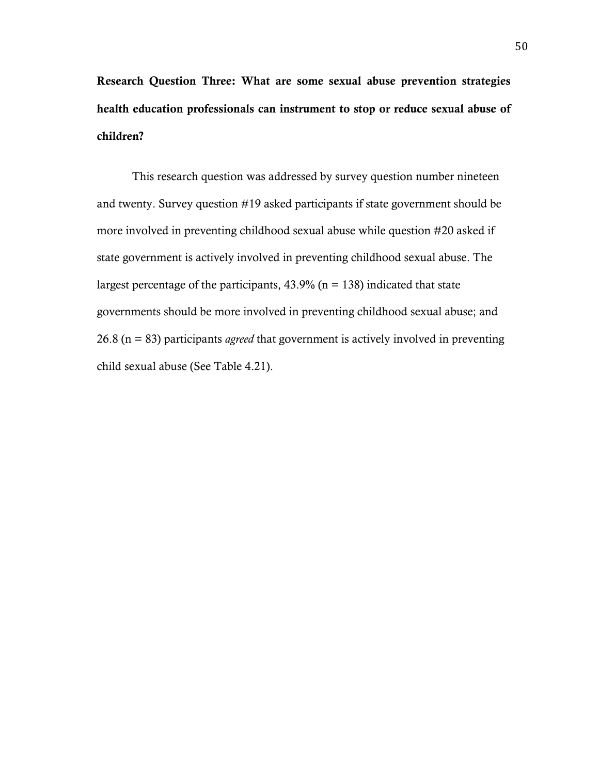Research Question Three: What are some sexual abuse prevention strategies health education professionals can instrument to stop or reduce sexual abuse of children?

This research question was addressed by survey question number nineteen and twenty. Survey question #19 asked participants if state government should be more involved in preventing childhood sexual abuse while question #20 asked if state government is actively involved in preventing childhood sexual abuse. The largest percentage of the participants,  $43.9\%$  (n = 138) indicated that state governments should be more involved in preventing childhood sexual abuse; and 26.8 (n = 83) participants *agreed* that government is actively involved in preventing child sexual abuse (See Table 4.21).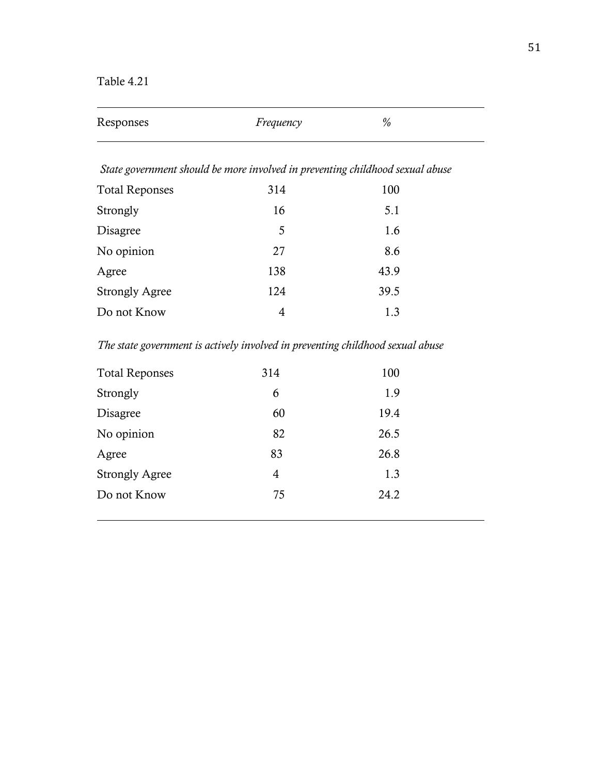Table 4.21

| Responses             | Frequency                                                                     | $\%$ |
|-----------------------|-------------------------------------------------------------------------------|------|
|                       | State government should be more involved in preventing childhood sexual abuse |      |
| <b>Total Reponses</b> | 314                                                                           | 100  |
| Strongly              | 16                                                                            | 5.1  |
| Disagree              | 5                                                                             | 1.6  |
| No opinion            | 27                                                                            | 8.6  |
| Agree                 | 138                                                                           | 43.9 |
| <b>Strongly Agree</b> | 124                                                                           | 39.5 |
| Do not Know           | 4                                                                             | 1.3  |

*The state government is actively involved in preventing childhood sexual abuse*

| <b>Total Reponses</b> | 314 | 100  |  |
|-----------------------|-----|------|--|
| Strongly              | 6   | 1.9  |  |
| <b>Disagree</b>       | 60  | 19.4 |  |
| No opinion            | 82  | 26.5 |  |
| Agree                 | 83  | 26.8 |  |
| <b>Strongly Agree</b> | 4   | 1.3  |  |
| Do not Know           | 75  | 24.2 |  |
|                       |     |      |  |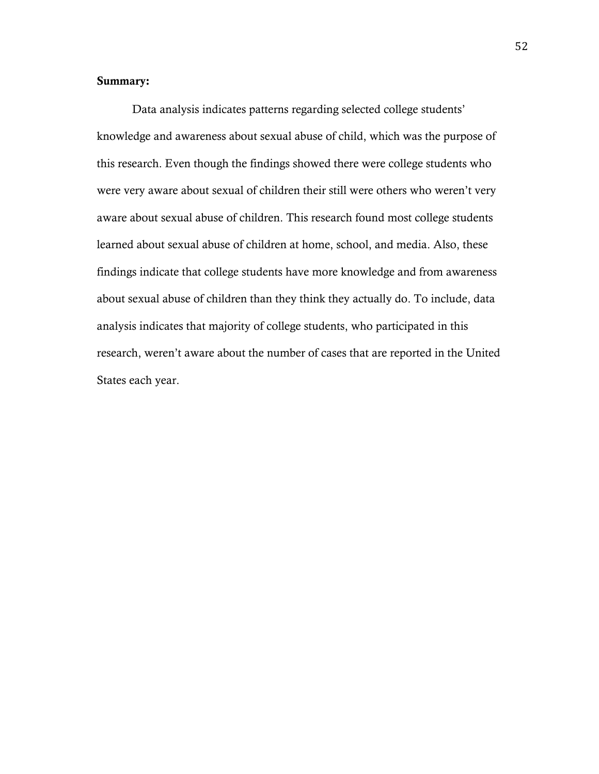# Summary:

Data analysis indicates patterns regarding selected college students' knowledge and awareness about sexual abuse of child, which was the purpose of this research. Even though the findings showed there were college students who were very aware about sexual of children their still were others who weren't very aware about sexual abuse of children. This research found most college students learned about sexual abuse of children at home, school, and media. Also, these findings indicate that college students have more knowledge and from awareness about sexual abuse of children than they think they actually do. To include, data analysis indicates that majority of college students, who participated in this research, weren't aware about the number of cases that are reported in the United States each year.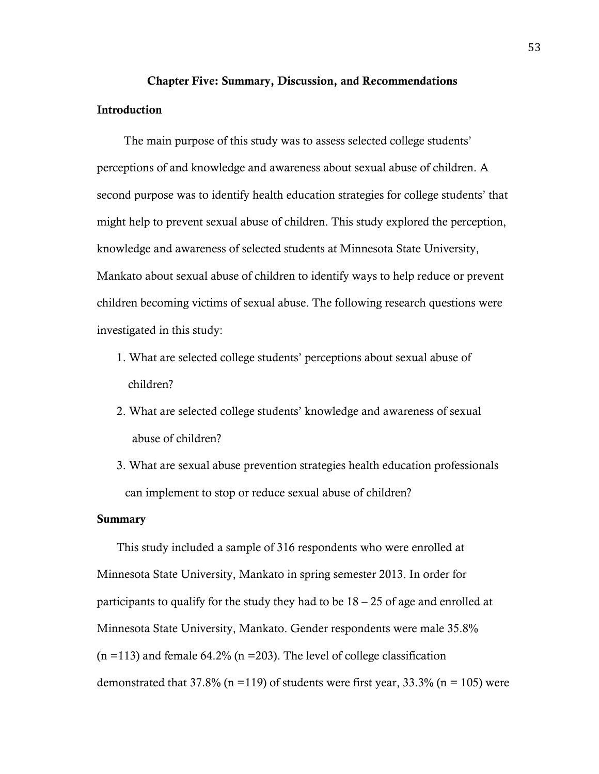# Chapter Five: Summary, Discussion, and Recommendations

# Introduction

 The main purpose of this study was to assess selected college students' perceptions of and knowledge and awareness about sexual abuse of children. A second purpose was to identify health education strategies for college students' that might help to prevent sexual abuse of children. This study explored the perception, knowledge and awareness of selected students at Minnesota State University, Mankato about sexual abuse of children to identify ways to help reduce or prevent children becoming victims of sexual abuse. The following research questions were investigated in this study:

- 1. What are selected college students' perceptions about sexual abuse of children?
- 2. What are selected college students' knowledge and awareness of sexual abuse of children?
- 3. What are sexual abuse prevention strategies health education professionals can implement to stop or reduce sexual abuse of children?

#### Summary

 This study included a sample of 316 respondents who were enrolled at Minnesota State University, Mankato in spring semester 2013. In order for participants to qualify for the study they had to be 18 – 25 of age and enrolled at Minnesota State University, Mankato. Gender respondents were male 35.8%  $(n = 113)$  and female 64.2%  $(n = 203)$ . The level of college classification demonstrated that 37.8% (n = 119) of students were first year, 33.3% (n = 105) were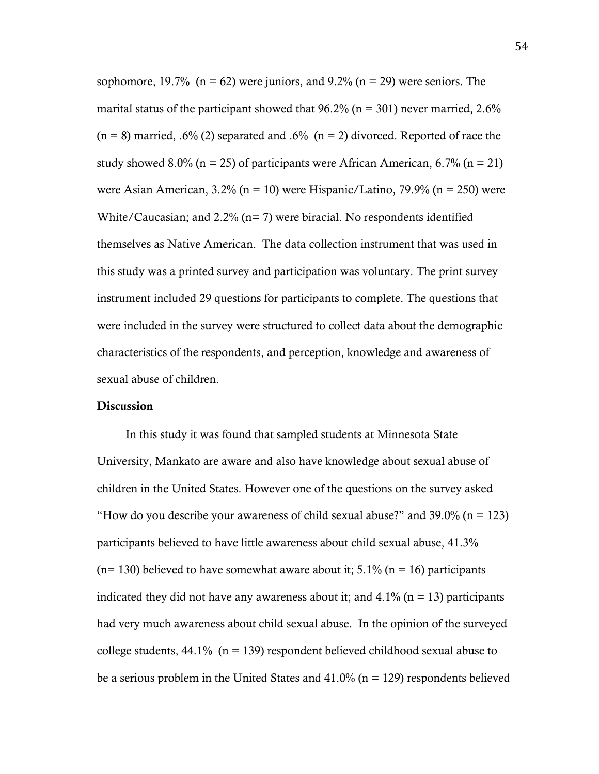sophomore, 19.7% ( $n = 62$ ) were juniors, and 9.2% ( $n = 29$ ) were seniors. The marital status of the participant showed that  $96.2\%$  (n = 301) never married, 2.6%  $(n = 8)$  married, .6% (2) separated and .6%  $(n = 2)$  divorced. Reported of race the study showed 8.0% ( $n = 25$ ) of participants were African American, 6.7% ( $n = 21$ ) were Asian American,  $3.2\%$  (n = 10) were Hispanic/Latino,  $79.9\%$  (n = 250) were White/Caucasian; and 2.2% (n= 7) were biracial. No respondents identified themselves as Native American. The data collection instrument that was used in this study was a printed survey and participation was voluntary. The print survey instrument included 29 questions for participants to complete. The questions that were included in the survey were structured to collect data about the demographic characteristics of the respondents, and perception, knowledge and awareness of sexual abuse of children.

#### **Discussion**

 In this study it was found that sampled students at Minnesota State University, Mankato are aware and also have knowledge about sexual abuse of children in the United States. However one of the questions on the survey asked "How do you describe your awareness of child sexual abuse?" and  $39.0\%$  (n = 123) participants believed to have little awareness about child sexual abuse, 41.3%  $(n= 130)$  believed to have somewhat aware about it; 5.1%  $(n = 16)$  participants indicated they did not have any awareness about it; and  $4.1\%$  (n = 13) participants had very much awareness about child sexual abuse. In the opinion of the surveyed college students,  $44.1\%$  (n = 139) respondent believed childhood sexual abuse to be a serious problem in the United States and  $41.0\%$  (n = 129) respondents believed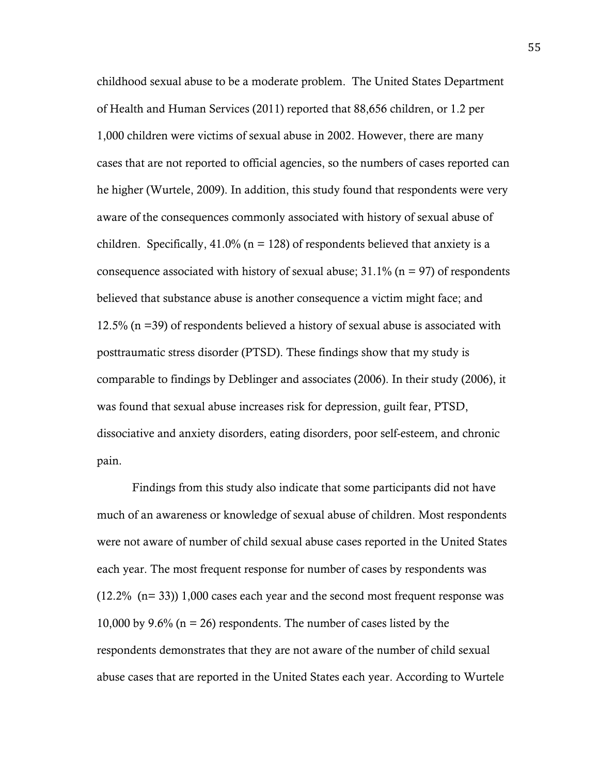childhood sexual abuse to be a moderate problem. The United States Department of Health and Human Services (2011) reported that 88,656 children, or 1.2 per 1,000 children were victims of sexual abuse in 2002. However, there are many cases that are not reported to official agencies, so the numbers of cases reported can he higher (Wurtele, 2009). In addition, this study found that respondents were very aware of the consequences commonly associated with history of sexual abuse of children. Specifically,  $41.0\%$  (n = 128) of respondents believed that anxiety is a consequence associated with history of sexual abuse;  $31.1\%$  (n = 97) of respondents believed that substance abuse is another consequence a victim might face; and 12.5% (n =39) of respondents believed a history of sexual abuse is associated with posttraumatic stress disorder (PTSD). These findings show that my study is comparable to findings by Deblinger and associates (2006). In their study (2006), it was found that sexual abuse increases risk for depression, guilt fear, PTSD, dissociative and anxiety disorders, eating disorders, poor self-esteem, and chronic pain.

Findings from this study also indicate that some participants did not have much of an awareness or knowledge of sexual abuse of children. Most respondents were not aware of number of child sexual abuse cases reported in the United States each year. The most frequent response for number of cases by respondents was (12.2% (n= 33)) 1,000 cases each year and the second most frequent response was 10,000 by 9.6% ( $n = 26$ ) respondents. The number of cases listed by the respondents demonstrates that they are not aware of the number of child sexual abuse cases that are reported in the United States each year. According to Wurtele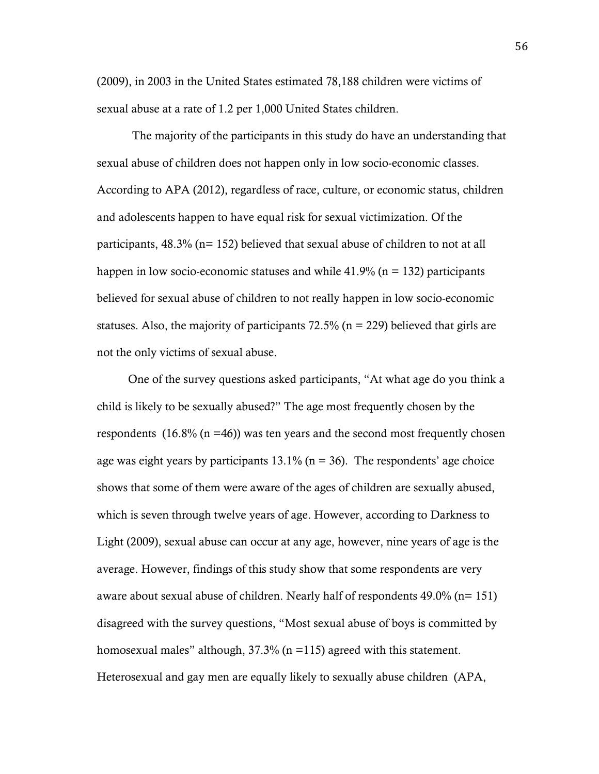(2009), in 2003 in the United States estimated 78,188 children were victims of sexual abuse at a rate of 1.2 per 1,000 United States children.

The majority of the participants in this study do have an understanding that sexual abuse of children does not happen only in low socio-economic classes. According to APA (2012), regardless of race, culture, or economic status, children and adolescents happen to have equal risk for sexual victimization. Of the participants, 48.3% (n= 152) believed that sexual abuse of children to not at all happen in low socio-economic statuses and while  $41.9\%$  (n = 132) participants believed for sexual abuse of children to not really happen in low socio-economic statuses. Also, the majority of participants  $72.5\%$  (n = 229) believed that girls are not the only victims of sexual abuse.

 One of the survey questions asked participants, "At what age do you think a child is likely to be sexually abused?" The age most frequently chosen by the respondents  $(16.8\% (n = 46))$  was ten years and the second most frequently chosen age was eight years by participants  $13.1\%$  (n = 36). The respondents' age choice shows that some of them were aware of the ages of children are sexually abused, which is seven through twelve years of age. However, according to Darkness to Light (2009), sexual abuse can occur at any age, however, nine years of age is the average. However, findings of this study show that some respondents are very aware about sexual abuse of children. Nearly half of respondents 49.0% (n= 151) disagreed with the survey questions, "Most sexual abuse of boys is committed by homosexual males" although,  $37.3\%$  (n = 115) agreed with this statement. Heterosexual and gay men are equally likely to sexually abuse children (APA,

56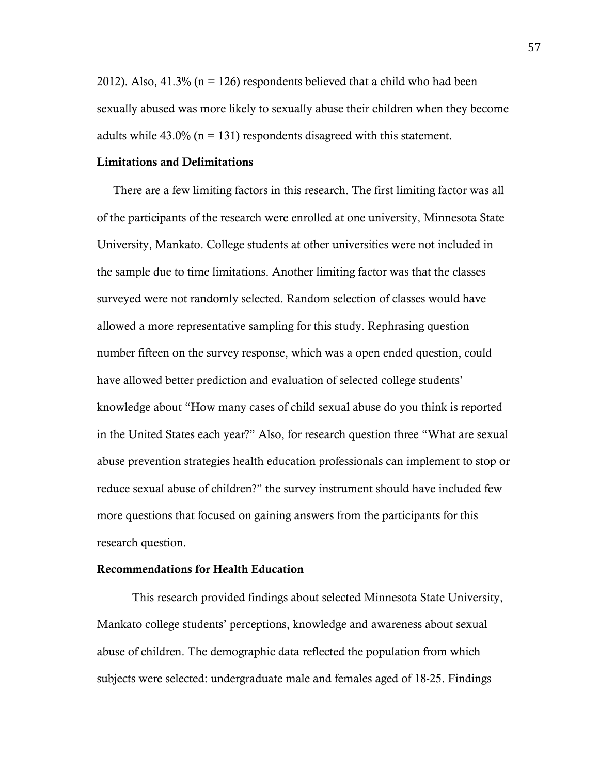2012). Also,  $41.3\%$  (n = 126) respondents believed that a child who had been sexually abused was more likely to sexually abuse their children when they become adults while  $43.0\%$  (n = 131) respondents disagreed with this statement.

#### Limitations and Delimitations

There are a few limiting factors in this research. The first limiting factor was all of the participants of the research were enrolled at one university, Minnesota State University, Mankato. College students at other universities were not included in the sample due to time limitations. Another limiting factor was that the classes surveyed were not randomly selected. Random selection of classes would have allowed a more representative sampling for this study. Rephrasing question number fifteen on the survey response, which was a open ended question, could have allowed better prediction and evaluation of selected college students' knowledge about "How many cases of child sexual abuse do you think is reported in the United States each year?" Also, for research question three "What are sexual abuse prevention strategies health education professionals can implement to stop or reduce sexual abuse of children?" the survey instrument should have included few more questions that focused on gaining answers from the participants for this research question.

#### Recommendations for Health Education

This research provided findings about selected Minnesota State University, Mankato college students' perceptions, knowledge and awareness about sexual abuse of children. The demographic data reflected the population from which subjects were selected: undergraduate male and females aged of 18-25. Findings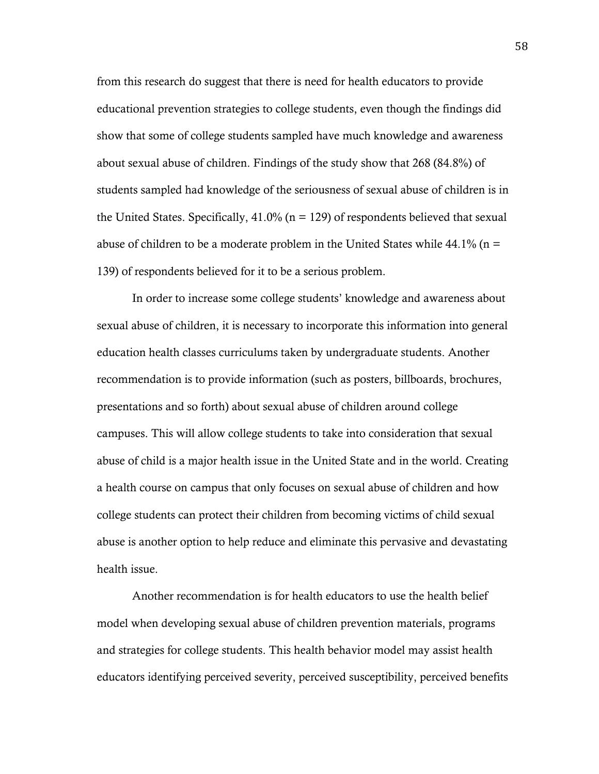from this research do suggest that there is need for health educators to provide educational prevention strategies to college students, even though the findings did show that some of college students sampled have much knowledge and awareness about sexual abuse of children. Findings of the study show that 268 (84.8%) of students sampled had knowledge of the seriousness of sexual abuse of children is in the United States. Specifically,  $41.0\%$  (n = 129) of respondents believed that sexual abuse of children to be a moderate problem in the United States while  $44.1\%$  (n = 139) of respondents believed for it to be a serious problem.

In order to increase some college students' knowledge and awareness about sexual abuse of children, it is necessary to incorporate this information into general education health classes curriculums taken by undergraduate students. Another recommendation is to provide information (such as posters, billboards, brochures, presentations and so forth) about sexual abuse of children around college campuses. This will allow college students to take into consideration that sexual abuse of child is a major health issue in the United State and in the world. Creating a health course on campus that only focuses on sexual abuse of children and how college students can protect their children from becoming victims of child sexual abuse is another option to help reduce and eliminate this pervasive and devastating health issue.

Another recommendation is for health educators to use the health belief model when developing sexual abuse of children prevention materials, programs and strategies for college students. This health behavior model may assist health educators identifying perceived severity, perceived susceptibility, perceived benefits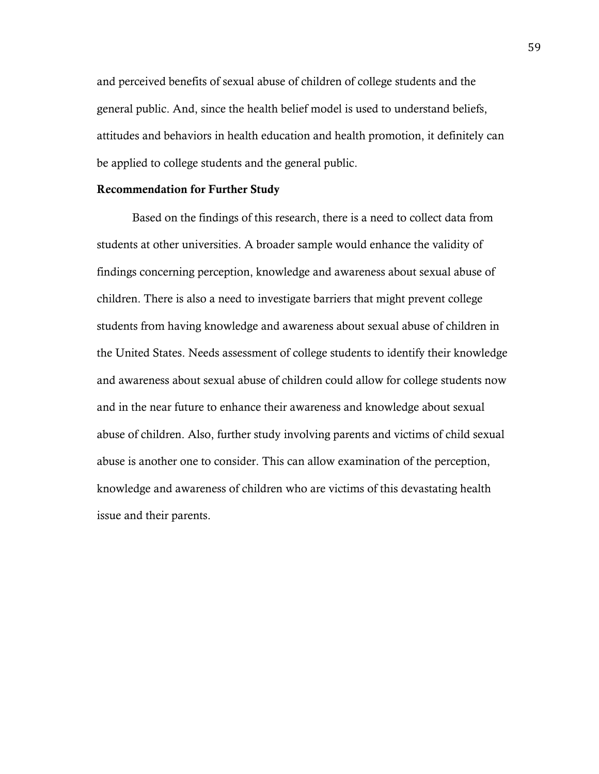and perceived benefits of sexual abuse of children of college students and the general public. And, since the health belief model is used to understand beliefs, attitudes and behaviors in health education and health promotion, it definitely can be applied to college students and the general public.

#### Recommendation for Further Study

Based on the findings of this research, there is a need to collect data from students at other universities. A broader sample would enhance the validity of findings concerning perception, knowledge and awareness about sexual abuse of children. There is also a need to investigate barriers that might prevent college students from having knowledge and awareness about sexual abuse of children in the United States. Needs assessment of college students to identify their knowledge and awareness about sexual abuse of children could allow for college students now and in the near future to enhance their awareness and knowledge about sexual abuse of children. Also, further study involving parents and victims of child sexual abuse is another one to consider. This can allow examination of the perception, knowledge and awareness of children who are victims of this devastating health issue and their parents.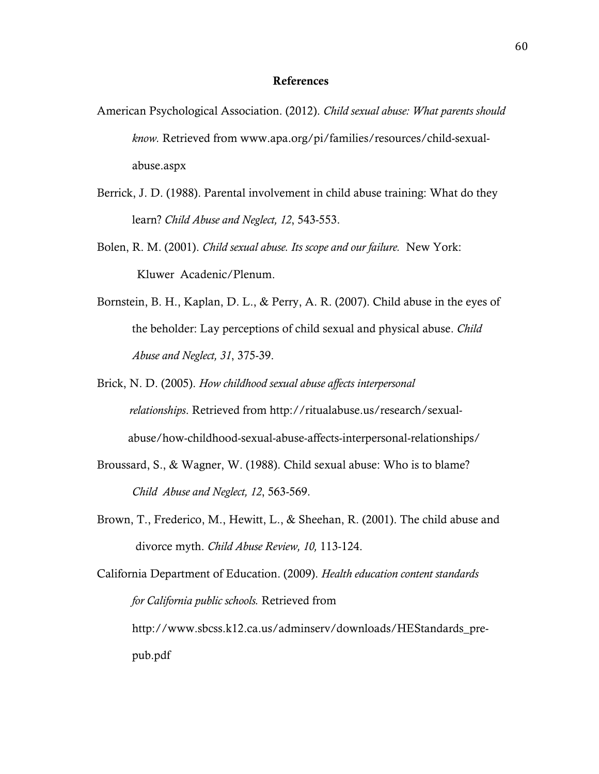#### References

- American Psychological Association. (2012). *Child sexual abuse: What parents should know.* Retrieved from www.apa.org/pi/families/resources/child-sexualabuse.aspx
- Berrick, J. D. (1988). Parental involvement in child abuse training: What do they learn? *Child Abuse and Neglect, 12*, 543-553.
- Bolen, R. M. (2001). *Child sexual abuse. Its scope and our failure.* New York: Kluwer Acadenic/Plenum.
- Bornstein, B. H., Kaplan, D. L., & Perry, A. R. (2007). Child abuse in the eyes of the beholder: Lay perceptions of child sexual and physical abuse. *Child Abuse and Neglect, 31*, 375-39.
- Brick, N. D. (2005). *How childhood sexual abuse affects interpersonal relationships*. Retrieved from http://ritualabuse.us/research/sexual abuse/how-childhood-sexual-abuse-affects-interpersonal-relationships/
- Broussard, S., & Wagner, W. (1988). Child sexual abuse: Who is to blame? *Child Abuse and Neglect, 12*, 563-569.
- Brown, T., Frederico, M., Hewitt, L., & Sheehan, R. (2001). The child abuse and divorce myth. *Child Abuse Review, 10,* 113-124.

California Department of Education. (2009). *Health education content standards for California public schools.* Retrieved from http://www.sbcss.k12.ca.us/adminserv/downloads/HEStandards\_prepub.pdf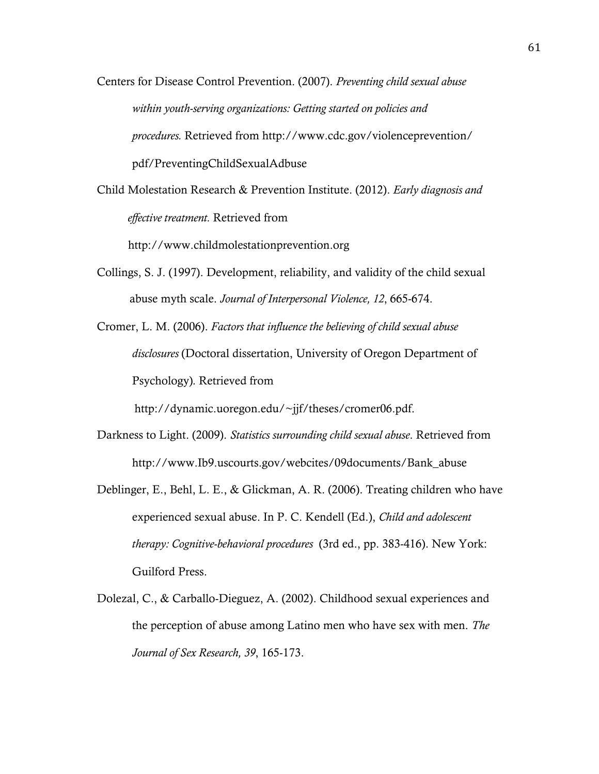- Centers for Disease Control Prevention. (2007). *Preventing child sexual abuse within youth-serving organizations: Getting started on policies and procedures.* Retrieved from http://www.cdc.gov/violenceprevention/ pdf/PreventingChildSexualAdbuse
- Child Molestation Research & Prevention Institute. (2012). *Early diagnosis and effective treatment.* Retrieved from

http://www.childmolestationprevention.org

- Collings, S. J. (1997). Development, reliability, and validity of the child sexual abuse myth scale. *Journal of Interpersonal Violence, 12*, 665-674.
- Cromer, L. M. (2006). *Factors that influence the believing of child sexual abuse disclosures* (Doctoral dissertation, University of Oregon Department of Psychology)*.* Retrieved from

http://dynamic.uoregon.edu/~jjf/theses/cromer06.pdf.

- Darkness to Light. (2009). *Statistics surrounding child sexual abuse*. Retrieved from http://www.Ib9.uscourts.gov/webcites/09documents/Bank\_abuse
- Deblinger, E., Behl, L. E., & Glickman, A. R. (2006). Treating children who have experienced sexual abuse. In P. C. Kendell (Ed.), *Child and adolescent therapy: Cognitive-behavioral procedures* (3rd ed., pp. 383-416). New York: Guilford Press.
- Dolezal, C., & Carballo-Dieguez, A. (2002). Childhood sexual experiences and the perception of abuse among Latino men who have sex with men. *The Journal of Sex Research, 39*, 165-173.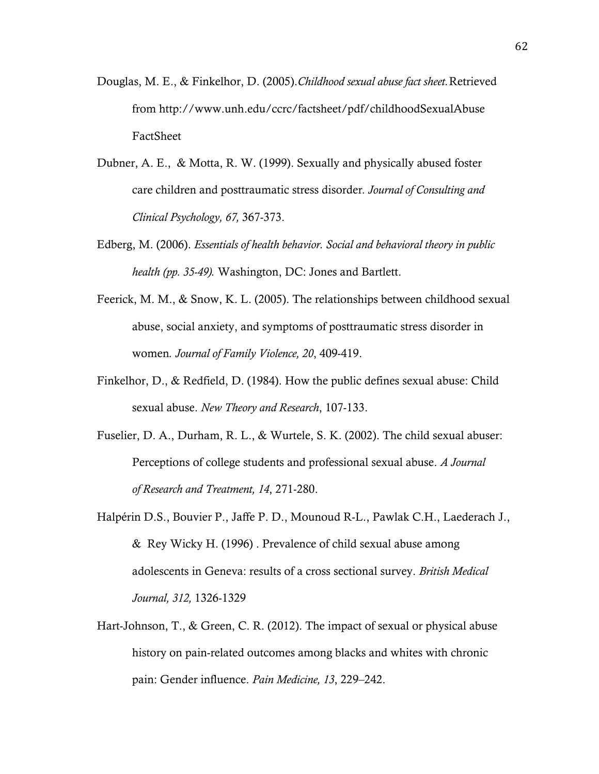- Douglas, M. E., & Finkelhor, D. (2005).*Childhood sexual abuse fact sheet.*Retrieved from http://www.unh.edu/ccrc/factsheet/pdf/childhoodSexualAbuse FactSheet
- Dubner, A. E., & Motta, R. W. (1999). Sexually and physically abused foster care children and posttraumatic stress disorder*. Journal of Consulting and Clinical Psychology, 67,* 367-373.
- Edberg, M. (2006). *Essentials of health behavior. Social and behavioral theory in public health (pp. 35-49).* Washington, DC: Jones and Bartlett.
- Feerick, M. M., & Snow, K. L. (2005). The relationships between childhood sexual abuse, social anxiety, and symptoms of posttraumatic stress disorder in women*. Journal of Family Violence, 20*, 409-419.
- Finkelhor, D., & Redfield, D. (1984). How the public defines sexual abuse: Child sexual abuse. *New Theory and Research*, 107-133.
- Fuselier, D. A., Durham, R. L., & Wurtele, S. K. (2002). The child sexual abuser: Perceptions of college students and professional sexual abuse. *A Journal of Research and Treatment, 14*, 271-280.
- Halpérin D.S., Bouvier P., Jaffe P. D., Mounoud R-L., Pawlak C.H., Laederach J., & Rey Wicky H. (1996) . Prevalence of child sexual abuse among adolescents in Geneva: results of a cross sectional survey. *British Medical Journal, 312,* 1326-1329
- Hart-Johnson, T., & Green, C. R. (2012). The impact of sexual or physical abuse history on pain-related outcomes among blacks and whites with chronic pain: Gender influence. *Pain Medicine, 13*, 229–242.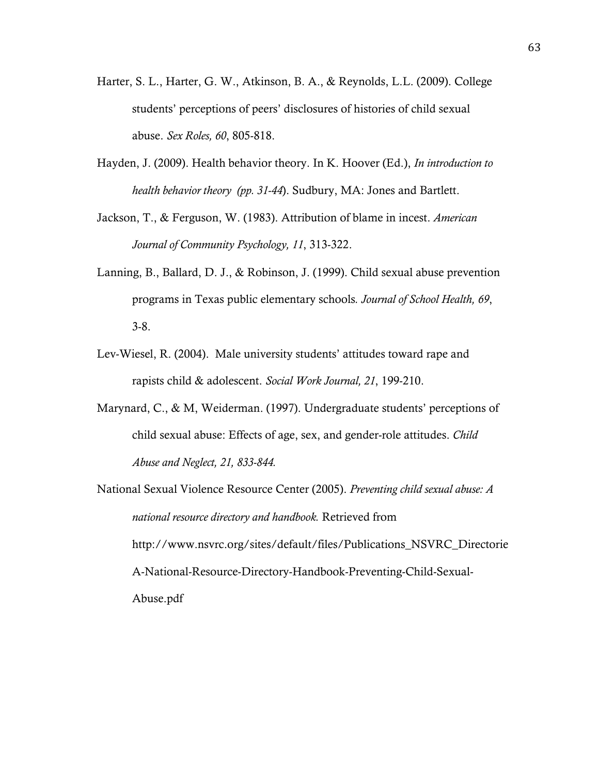- Harter, S. L., Harter, G. W., Atkinson, B. A., & Reynolds, L.L. (2009). College students' perceptions of peers' disclosures of histories of child sexual abuse. *Sex Roles, 60*, 805-818.
- Hayden, J. (2009). Health behavior theory. In K. Hoover (Ed.), *In introduction to health behavior theory (pp. 31-44*). Sudbury, MA: Jones and Bartlett.
- Jackson, T., & Ferguson, W. (1983). Attribution of blame in incest. *American Journal of Community Psychology, 11*, 313-322.
- Lanning, B., Ballard, D. J., & Robinson, J. (1999). Child sexual abuse prevention programs in Texas public elementary schools*. Journal of School Health, 69*, 3-8.
- Lev-Wiesel, R. (2004). Male university students' attitudes toward rape and rapists child & adolescent. *Social Work Journal, 21*, 199-210.
- Marynard, C., & M, Weiderman. (1997). Undergraduate students' perceptions of child sexual abuse: Effects of age, sex, and gender-role attitudes. *Child Abuse and Neglect, 21, 833-844.*
- National Sexual Violence Resource Center (2005). *Preventing child sexual abuse: A national resource directory and handbook.* Retrieved from http://www.nsvrc.org/sites/default/files/Publications\_NSVRC\_Directorie A-National-Resource-Directory-Handbook-Preventing-Child-Sexual-Abuse.pdf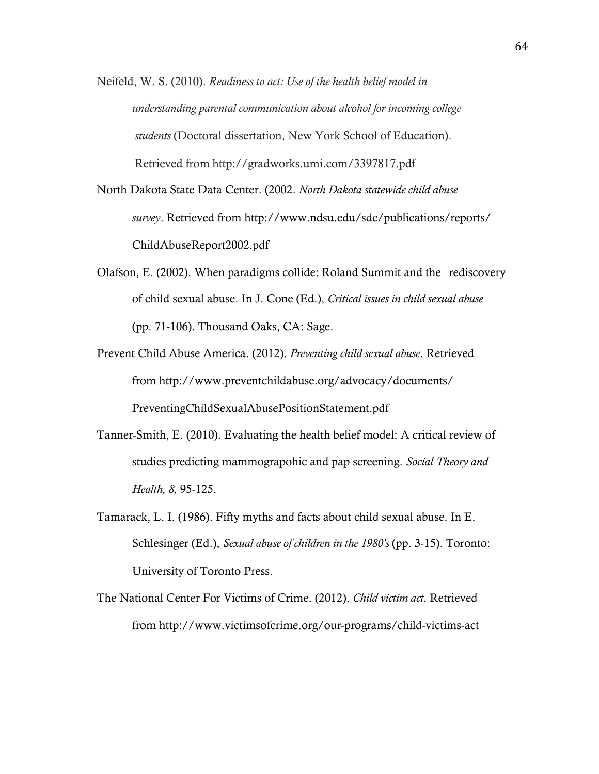Neifeld, W. S. (2010). *Readiness to act: Use of the health belief model in understanding parental communication about alcohol for incoming college students* (Doctoral dissertation, New York School of Education). Retrieved from http://gradworks.umi.com/3397817.pdf

North Dakota State Data Center. (2002. *North Dakota statewide child abuse survey*. Retrieved from http://www.ndsu.edu/sdc/publications/reports/ ChildAbuseReport2002.pdf

- Olafson, E. (2002). When paradigms collide: Roland Summit and the rediscovery of child sexual abuse. In J. Cone (Ed.), *Critical issues in child sexual abuse*  (pp. 71-106). Thousand Oaks, CA: Sage.
- Prevent Child Abuse America. (2012). *Preventing child sexual abuse*. Retrieved from http://www.preventchildabuse.org/advocacy/documents/ PreventingChildSexualAbusePositionStatement.pdf
- Tanner-Smith, E. (2010). Evaluating the health belief model: A critical review of studies predicting mammograpohic and pap screening. *Social Theory and Health, 8,* 95-125.
- Tamarack, L. I. (1986). Fifty myths and facts about child sexual abuse. In E. Schlesinger (Ed.), *Sexual abuse of children in the 1980's* (pp. 3-15). Toronto: University of Toronto Press.
- The National Center For Victims of Crime. (2012). *Child victim act.* Retrieved from http://www.victimsofcrime.org/our-programs/child-victims-act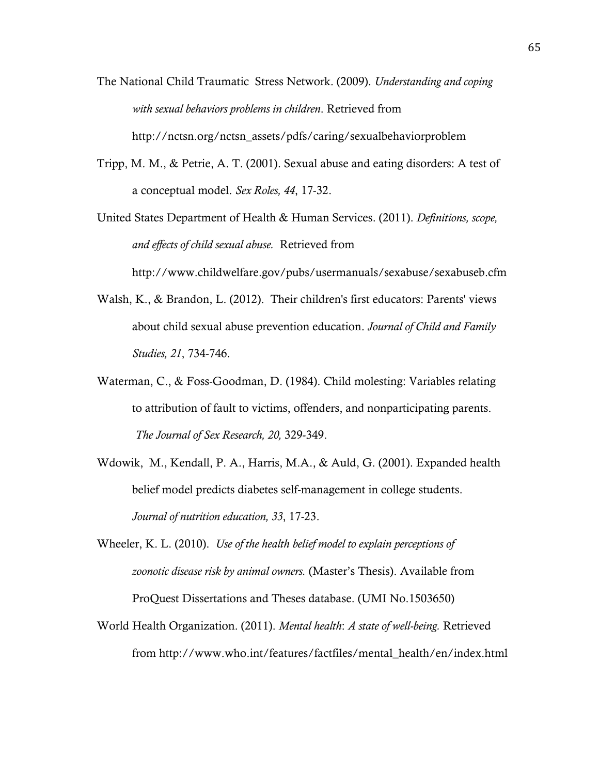- The National Child Traumatic Stress Network. (2009). *Understanding and coping with sexual behaviors problems in children*. Retrieved from http://nctsn.org/nctsn\_assets/pdfs/caring/sexualbehaviorproblem
- Tripp, M. M., & Petrie, A. T. (2001). Sexual abuse and eating disorders: A test of a conceptual model. *Sex Roles, 44*, 17-32.

United States Department of Health & Human Services. (2011). *Definitions, scope, and effects of child sexual abuse.* Retrieved from

http://www.childwelfare.gov/pubs/usermanuals/sexabuse/sexabuseb.cfm

- Walsh, K., & Brandon, L. (2012). Their children's first educators: Parents' views about child sexual abuse prevention education. *Journal of Child and Family Studies, 21*, 734-746.
- Waterman, C., & Foss-Goodman, D. (1984). Child molesting: Variables relating to attribution of fault to victims, offenders, and nonparticipating parents. *The Journal of Sex Research, 20,* 329-349.
- Wdowik, M., Kendall, P. A., Harris, M.A., & Auld, G. (2001). Expanded health belief model predicts diabetes self-management in college students. *Journal of nutrition education, 33*, 17-23.
- Wheeler, K. L. (2010). *Use of the health belief model to explain perceptions of zoonotic disease risk by animal owners.* (Master's Thesis). Available from ProQuest Dissertations and Theses database. (UMI No.1503650)
- World Health Organization. (2011). *Mental health*: *A state of well-being.* Retrieved from http://www.who.int/features/factfiles/mental\_health/en/index.html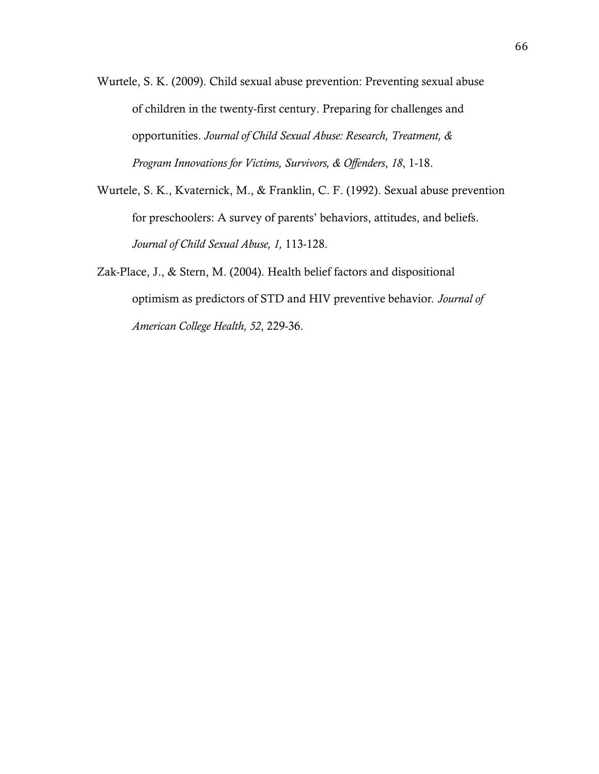- Wurtele, S. K. (2009). Child sexual abuse prevention: Preventing sexual abuse of children in the twenty-first century. Preparing for challenges and opportunities. *Journal of Child Sexual Abuse: Research, Treatment, & Program Innovations for Victims, Survivors, & Offenders*, *18*, 1-18.
- Wurtele, S. K., Kvaternick, M., & Franklin, C. F. (1992). Sexual abuse prevention for preschoolers: A survey of parents' behaviors, attitudes, and beliefs. *Journal of Child Sexual Abuse, 1,* 113-128.
- Zak-Place, J., & Stern, M. (2004). Health belief factors and dispositional optimism as predictors of STD and HIV preventive behavior*. Journal of American College Health, 52*, 229-36.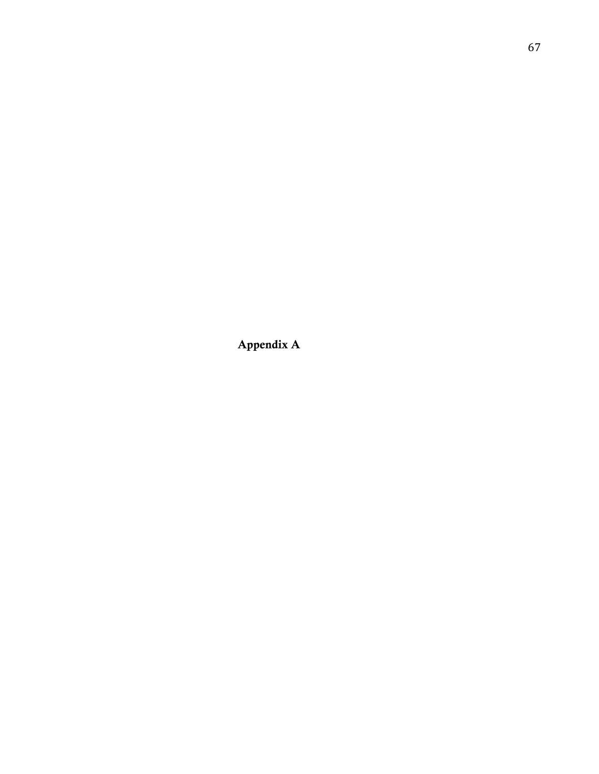Appendix A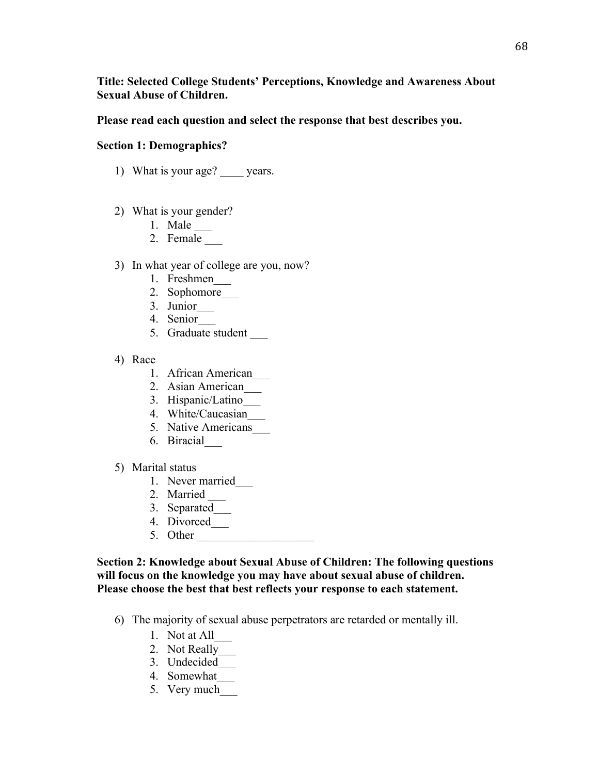# **Title: Selected College Students' Perceptions, Knowledge and Awareness About Sexual Abuse of Children.**

#### **Please read each question and select the response that best describes you.**

## **Section 1: Demographics?**

- 1) What is your age? years.
- 2) What is your gender?
	- 1. Male
	- 2. Female
- 3) In what year of college are you, now?
	- 1. Freshmen\_\_\_
	- 2. Sophomore\_\_\_
	- 3. Junior\_\_\_
	- 4. Senior\_\_\_
	- 5. Graduate student \_\_\_
- 4) Race
	- 1. African American\_\_\_
	- 2. Asian American\_\_\_
	- 3. Hispanic/Latino\_\_\_
	- 4. White/Caucasian\_\_\_
	- 5. Native Americans
	- 6. Biracial\_\_\_
- 5) Marital status
	- 1. Never married
	- 2. Married \_\_\_
	- 3. Separated\_\_\_
	- 4. Divorced\_\_\_
	- 5. Other

**Section 2: Knowledge about Sexual Abuse of Children: The following questions will focus on the knowledge you may have about sexual abuse of children. Please choose the best that best reflects your response to each statement.**

- 6) The majority of sexual abuse perpetrators are retarded or mentally ill.
	- 1. Not at All\_\_\_
	- 2. Not Really\_\_\_
	- 3. Undecided\_\_\_
	- 4. Somewhat\_\_\_
	- 5. Very much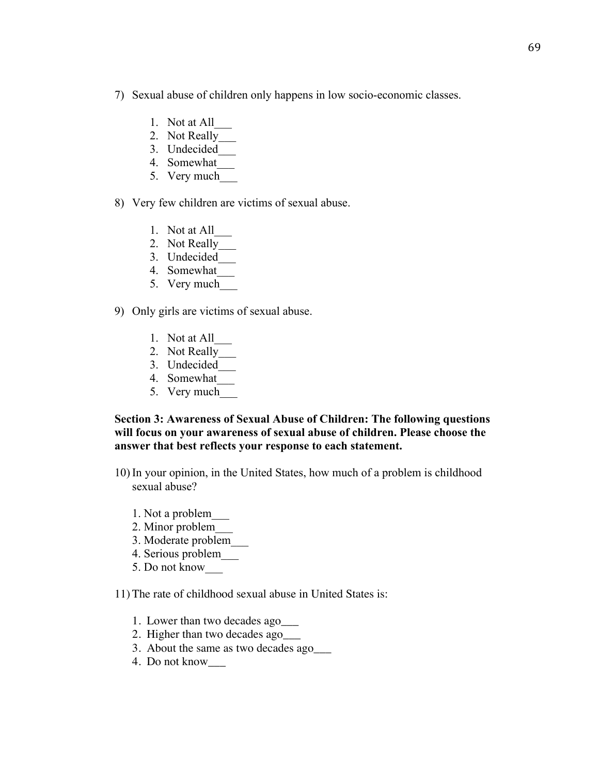- 7) Sexual abuse of children only happens in low socio-economic classes.
	- 1. Not at All\_\_\_
	- 2. Not Really
	- 3. Undecided\_\_\_
	- 4. Somewhat\_\_\_
	- 5. Very much\_\_\_
- 8) Very few children are victims of sexual abuse.
	- 1. Not at All\_\_\_
	- 2. Not Really\_\_\_
	- 3. Undecided\_\_\_
	- 4. Somewhat\_\_\_
	- 5. Very much
- 9) Only girls are victims of sexual abuse.
	- 1. Not at All\_\_\_
	- 2. Not Really\_\_\_
	- 3. Undecided\_\_\_
	- 4. Somewhat\_\_\_
	- 5. Very much

**Section 3: Awareness of Sexual Abuse of Children: The following questions will focus on your awareness of sexual abuse of children. Please choose the answer that best reflects your response to each statement.**

- 10) In your opinion, in the United States, how much of a problem is childhood sexual abuse?
	- 1. Not a problem\_\_\_
	- 2. Minor problem\_\_\_
	- 3. Moderate problem\_\_\_
	- 4. Serious problem\_\_\_
	- 5. Do not know\_\_\_

11) The rate of childhood sexual abuse in United States is:

- 1. Lower than two decades ago\_\_\_
- 2. Higher than two decades ago\_\_\_
- 3. About the same as two decades ago\_\_\_
- 4. Do not know\_\_\_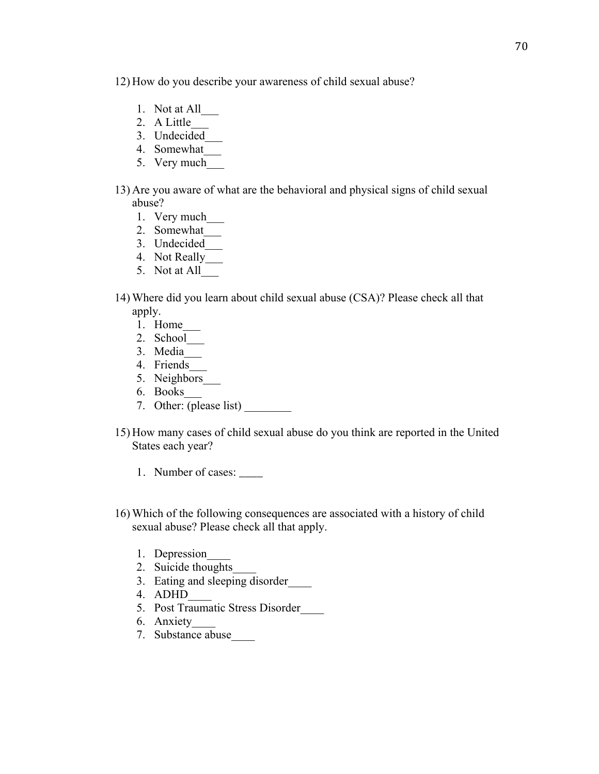12) How do you describe your awareness of child sexual abuse?

- 1. Not at All\_\_\_
- 2. A Little\_\_\_
- 3. Undecided\_\_\_
- 4. Somewhat\_\_\_
- 5. Very much
- 13) Are you aware of what are the behavioral and physical signs of child sexual abuse?
	- 1. Very much\_\_\_
	- 2. Somewhat\_\_\_
	- 3. Undecided\_\_\_
	- 4. Not Really\_\_\_
	- 5. Not at All\_\_\_
- 14) Where did you learn about child sexual abuse (CSA)? Please check all that apply.
	- 1. Home\_\_\_
	- 2. School\_\_\_
	- 3. Media\_\_\_
	- 4. Friends\_\_\_
	- 5. Neighbors\_\_\_
	- 6. Books\_\_\_
	- 7. Other:  $\overline{(\text{please list})}$
- 15) How many cases of child sexual abuse do you think are reported in the United States each year?
	- 1. Number of cases: \_\_\_\_
- 16) Which of the following consequences are associated with a history of child sexual abuse? Please check all that apply.
	- 1. Depression
	- 2. Suicide thoughts
	- 3. Eating and sleeping disorder\_\_\_\_
	- 4. ADHD\_\_\_\_
	- 5. Post Traumatic Stress Disorder\_\_\_\_
	- 6. Anxiety\_\_\_\_
	- 7. Substance abuse\_\_\_\_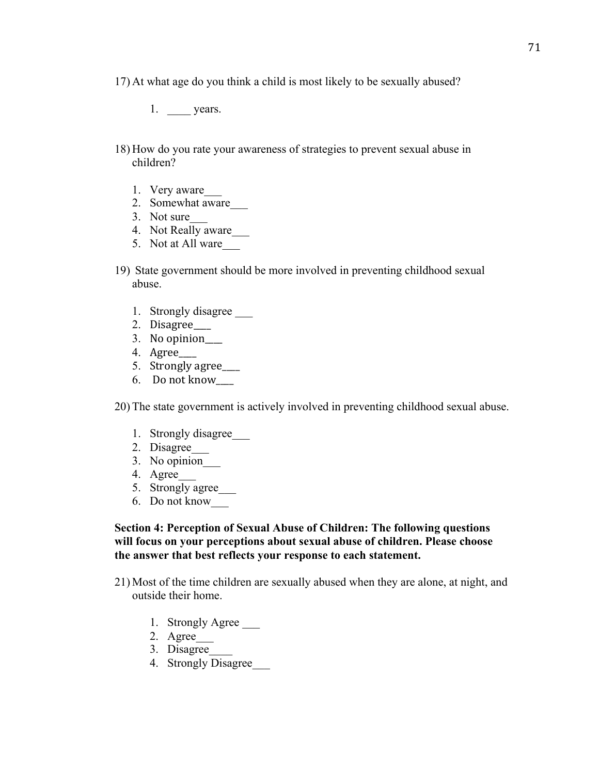17) At what age do you think a child is most likely to be sexually abused?

- 1. \_\_\_\_\_\_ years.
- 18) How do you rate your awareness of strategies to prevent sexual abuse in children?
	- 1. Very aware\_\_\_
	- 2. Somewhat aware\_\_\_
	- 3. Not sure\_\_\_
	- 4. Not Really aware\_\_\_
	- 5. Not at All ware
- 19) State government should be more involved in preventing childhood sexual abuse.
	- 1. Strongly disagree \_\_\_
	- 2. Disagree\_\_\_\_
	- 3. No opinion\_\_\_\_
	- 4. Agree\_\_\_\_!!
	- 5. Strongly agree\_\_\_\_
	- 6. Do not know

20) The state government is actively involved in preventing childhood sexual abuse.

- 1. Strongly disagree\_\_\_
- 2. Disagree\_\_\_
- 3. No opinion\_\_\_
- 4. Agree\_\_\_
- 5. Strongly agree
- 6. Do not know\_\_\_

### **Section 4: Perception of Sexual Abuse of Children: The following questions will focus on your perceptions about sexual abuse of children. Please choose the answer that best reflects your response to each statement.**

- 21) Most of the time children are sexually abused when they are alone, at night, and outside their home.
	- 1. Strongly Agree
	- 2. Agree\_\_\_
	- 3. Disagree\_\_\_\_
	- 4. Strongly Disagree\_\_\_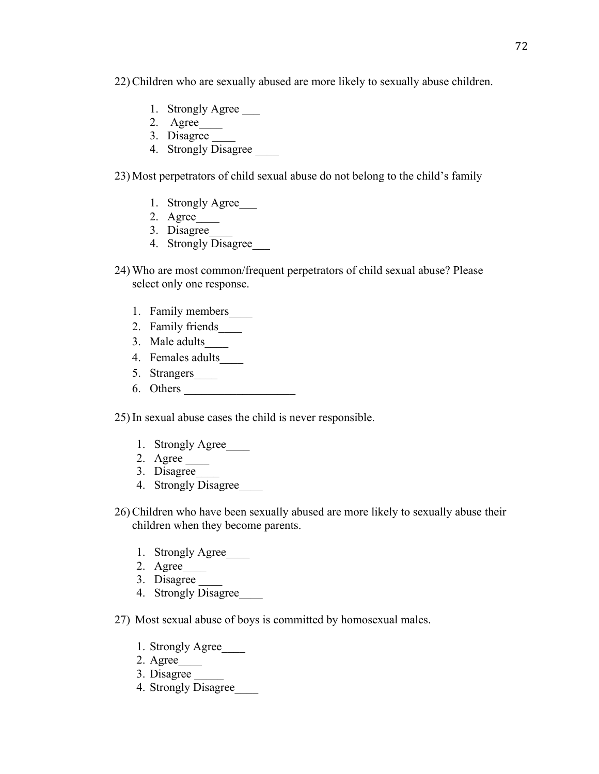22) Children who are sexually abused are more likely to sexually abuse children.

- 1. Strongly Agree
- 2. Agree\_\_\_\_
- 3. Disagree \_\_\_\_
- 4. Strongly Disagree

23) Most perpetrators of child sexual abuse do not belong to the child's family

- 1. Strongly Agree\_\_\_
- 2. Agree\_\_\_\_
- 3. Disagree\_\_\_\_
- 4. Strongly Disagree
- 24) Who are most common/frequent perpetrators of child sexual abuse? Please select only one response.
	- 1. Family members\_\_\_\_
	- 2. Family friends\_\_\_\_
	- 3. Male adults\_\_\_\_
	- 4. Females adults\_\_\_\_
	- 5. Strangers\_\_\_\_
	- 6. Others \_\_\_\_\_\_\_\_\_\_\_\_\_\_\_\_\_\_\_

25) In sexual abuse cases the child is never responsible.

- 1. Strongly Agree\_\_\_\_
- 2. Agree \_\_\_\_
- 3. Disagree\_\_\_\_
- 4. Strongly Disagree\_\_\_\_
- 26) Children who have been sexually abused are more likely to sexually abuse their children when they become parents.
	- 1. Strongly Agree
	- 2. Agree\_\_\_\_
	- 3. Disagree
	- 4. Strongly Disagree

27) Most sexual abuse of boys is committed by homosexual males.

- 1. Strongly Agree\_\_\_\_
- 2. Agree\_\_\_\_
- 3. Disagree
- 4. Strongly Disagree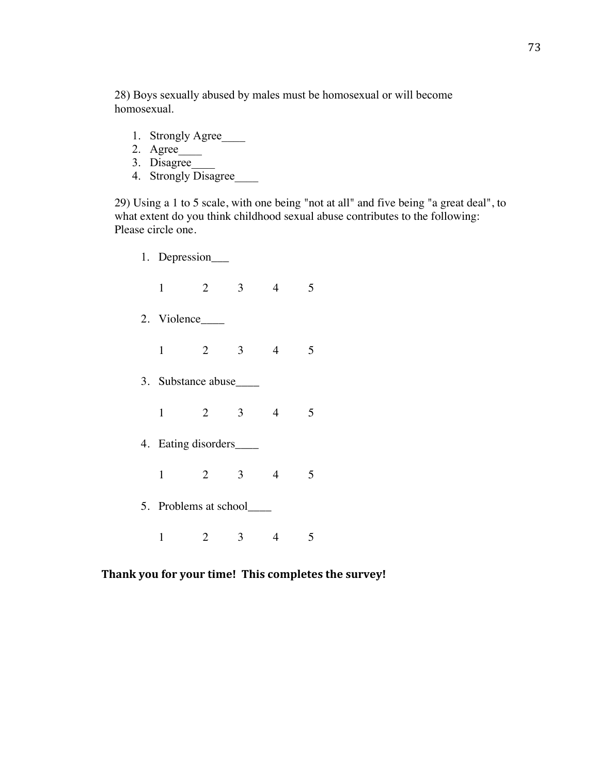28) Boys sexually abused by males must be homosexual or will become homosexual.

- 1. Strongly Agree
- 2. Agree\_\_\_\_
- 3. Disagree\_\_\_\_
- 4. Strongly Disagree

29) Using a 1 to 5 scale, with one being "not at all" and five being "a great deal", to what extent do you think childhood sexual abuse contributes to the following: Please circle one.

- 1. Depression\_\_\_ 1 2 3 4 5 2. Violence\_\_\_\_ 1 2 3 4 5 3. Substance abuse\_\_\_\_ 1 2 3 4 5 4. Eating disorders\_\_\_\_
	- 1 2 3 4 5
- 5. Problems at school\_\_\_\_
	- 1 2 3 4 5

# Thank you for your time! This completes the survey!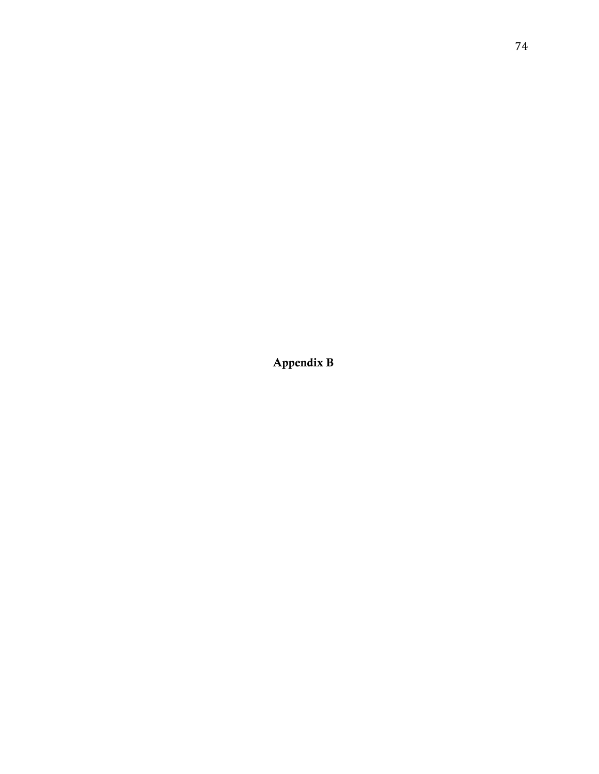Appendix B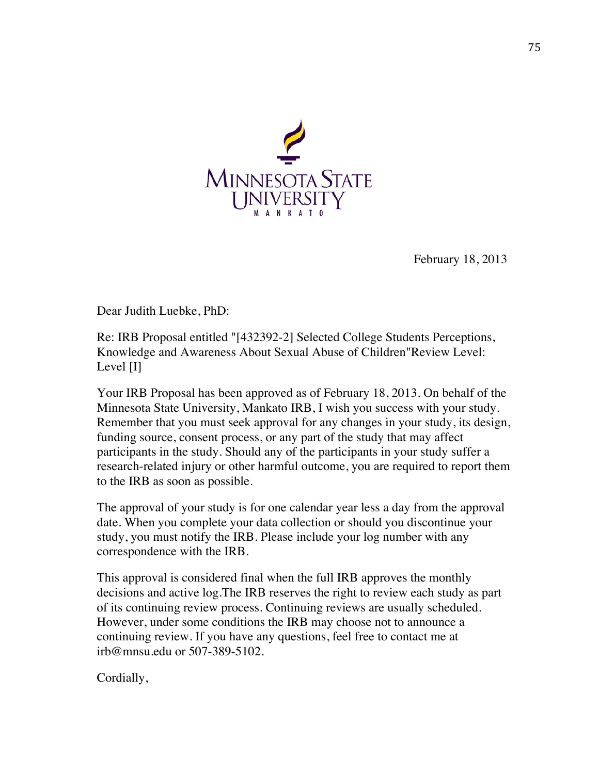

February 18, 2013

Dear Judith Luebke, PhD:

Re: IRB Proposal entitled "[432392-2] Selected College Students Perceptions, Knowledge and Awareness About Sexual Abuse of Children"Review Level: Level [I]

Your IRB Proposal has been approved as of February 18, 2013. On behalf of the Minnesota State University, Mankato IRB, I wish you success with your study. Remember that you must seek approval for any changes in your study, its design, funding source, consent process, or any part of the study that may affect participants in the study. Should any of the participants in your study suffer a research-related injury or other harmful outcome, you are required to report them to the IRB as soon as possible.

The approval of your study is for one calendar year less a day from the approval date. When you complete your data collection or should you discontinue your study, you must notify the IRB. Please include your log number with any correspondence with the IRB.

This approval is considered final when the full IRB approves the monthly decisions and active log.The IRB reserves the right to review each study as part of its continuing review process. Continuing reviews are usually scheduled. However, under some conditions the IRB may choose not to announce a continuing review. If you have any questions, feel free to contact me at irb@mnsu.edu or 507-389-5102.

Cordially,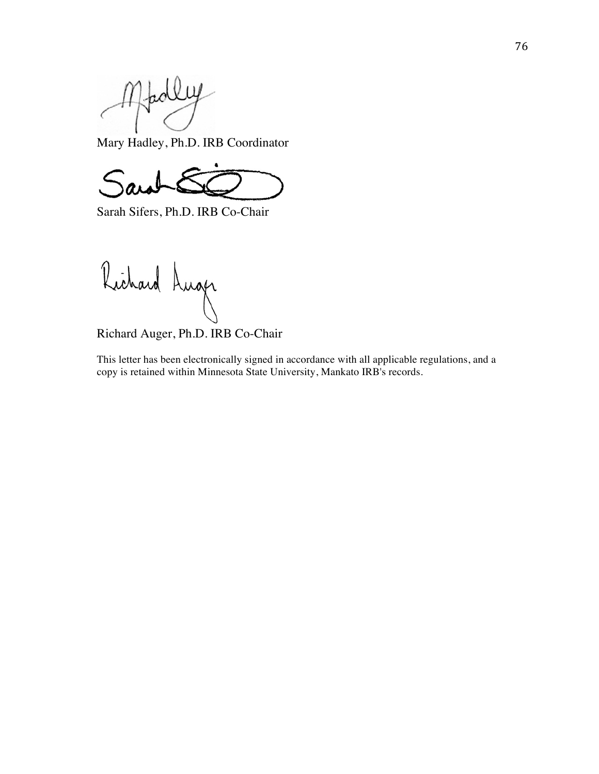Madley

Mary Hadley, Ph.D. IRB Coordinator

Sarah Sifers, Ph.D. IRB Co-Chair

Richard Luger

Richard Auger, Ph.D. IRB Co-Chair

This letter has been electronically signed in accordance with all applicable regulations, and a copy is retained within Minnesota State University, Mankato IRB's records.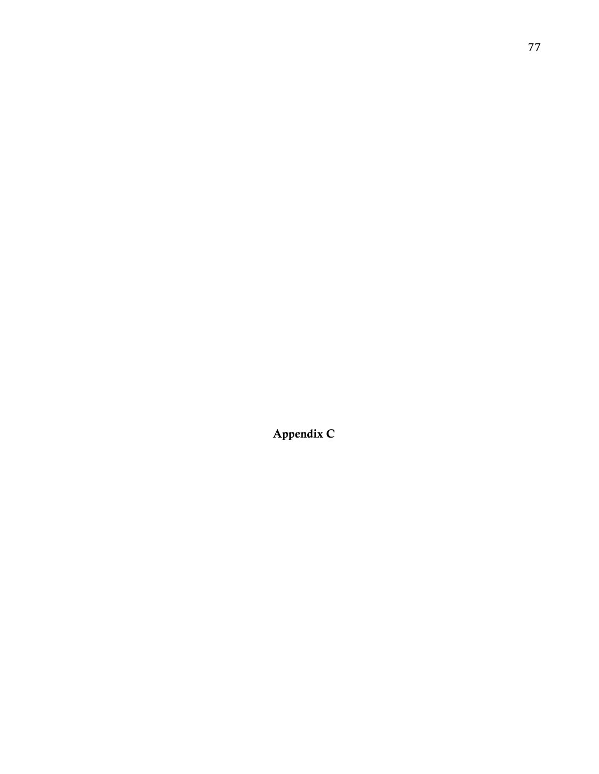Appendix C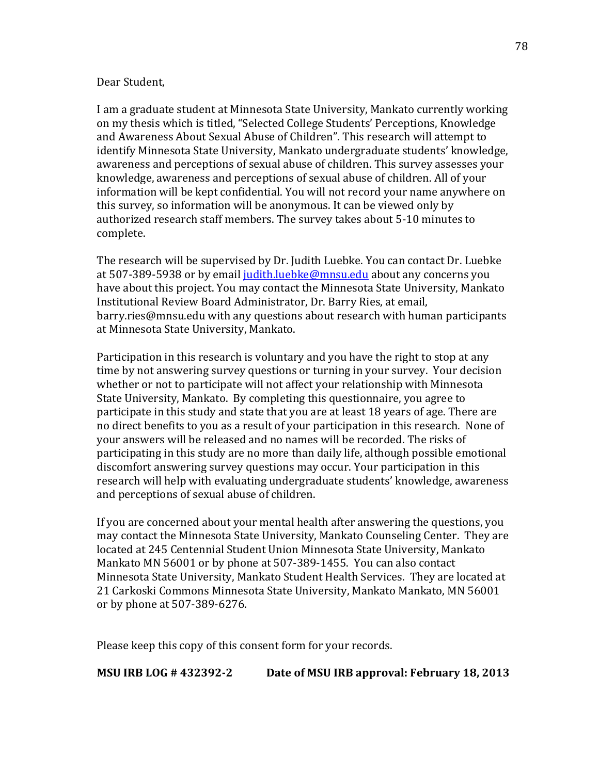#### Dear Student.

I am a graduate student at Minnesota State University, Mankato currently working on my thesis which is titled, "Selected College Students' Perceptions, Knowledge and Awareness About Sexual Abuse of Children". This research will attempt to identify Minnesota State University, Mankato undergraduate students' knowledge, awareness and perceptions of sexual abuse of children. This survey assesses your knowledge, awareness and perceptions of sexual abuse of children. All of your information will be kept confidential. You will not record your name anywhere on this survey, so information will be anonymous. It can be viewed only by authorized research staff members. The survey takes about 5-10 minutes to complete.

The research will be supervised by Dr. Judith Luebke. You can contact Dr. Luebke at 507-389-5938 or by email judith.luebke@mnsu.edu about any concerns you have about this project. You may contact the Minnesota State University, Mankato Institutional Review Board Administrator, Dr. Barry Ries, at email, barry.ries@mnsu.edu with any questions about research with human participants at Minnesota State University, Mankato.

Participation in this research is voluntary and you have the right to stop at any time by not answering survey questions or turning in your survey. Your decision whether or not to participate will not affect your relationship with Minnesota State University, Mankato. By completing this questionnaire, you agree to participate in this study and state that you are at least 18 years of age. There are no direct benefits to you as a result of your participation in this research. None of your answers will be released and no names will be recorded. The risks of participating in this study are no more than daily life, although possible emotional discomfort answering survey questions may occur. Your participation in this research will help with evaluating undergraduate students' knowledge, awareness and perceptions of sexual abuse of children.

If you are concerned about your mental health after answering the questions, you may contact the Minnesota State University, Mankato Counseling Center. They are located at 245 Centennial Student Union Minnesota State University, Mankato Mankato MN 56001 or by phone at 507-389-1455. You can also contact Minnesota State University, Mankato Student Health Services. They are located at 21 Carkoski Commons Minnesota State University, Mankato Mankato, MN 56001 or by phone at 507-389-6276.

Please keep this copy of this consent form for your records.

**MSU IRB LOG # 432392-2** Date of MSU IRB approval: February 18, 2013